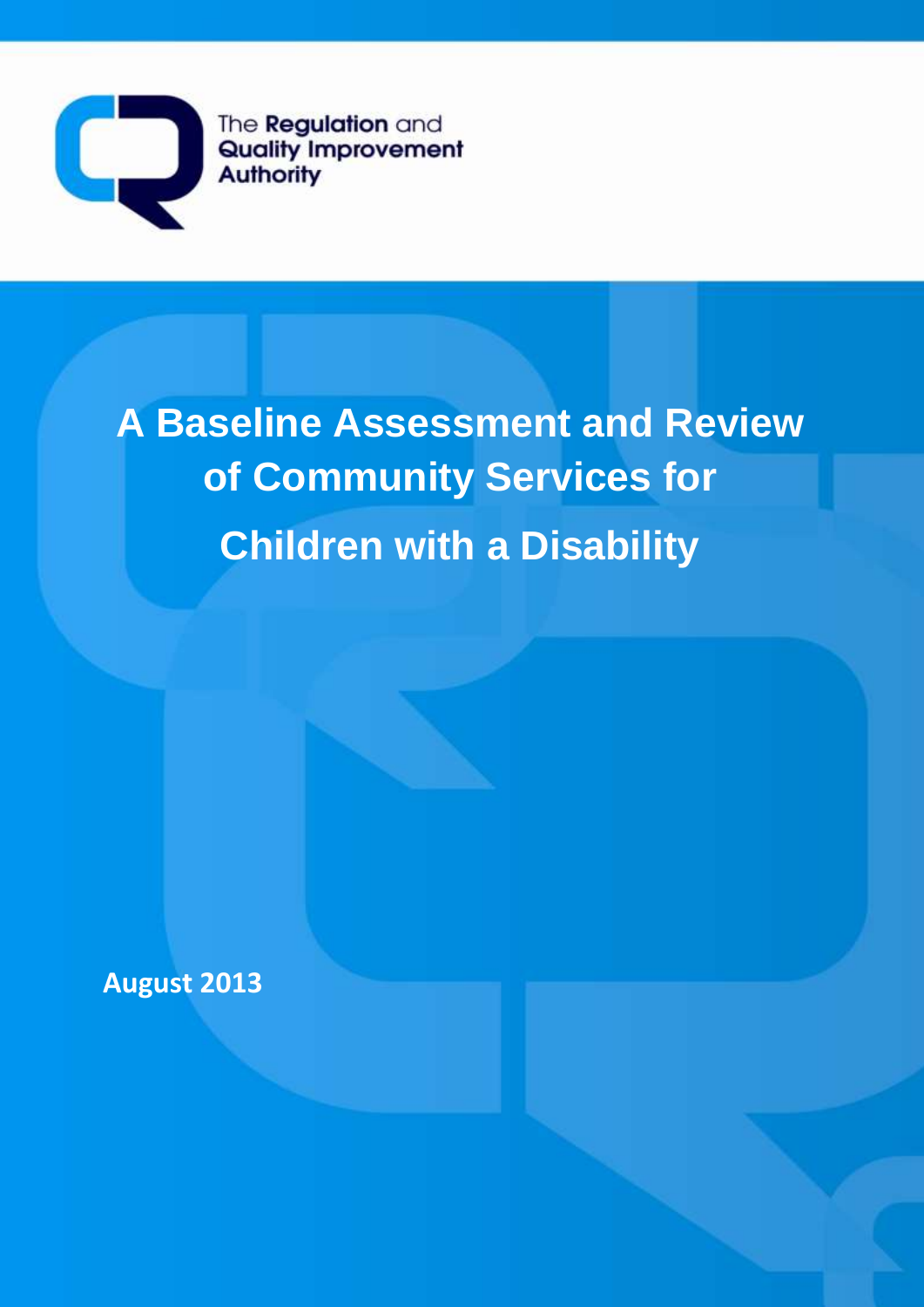

The **Regulation** and Quality Improvement **Authority** 

# **A Baseline Assessment and Review of Community Services for Children with a Disability**

**August 2013**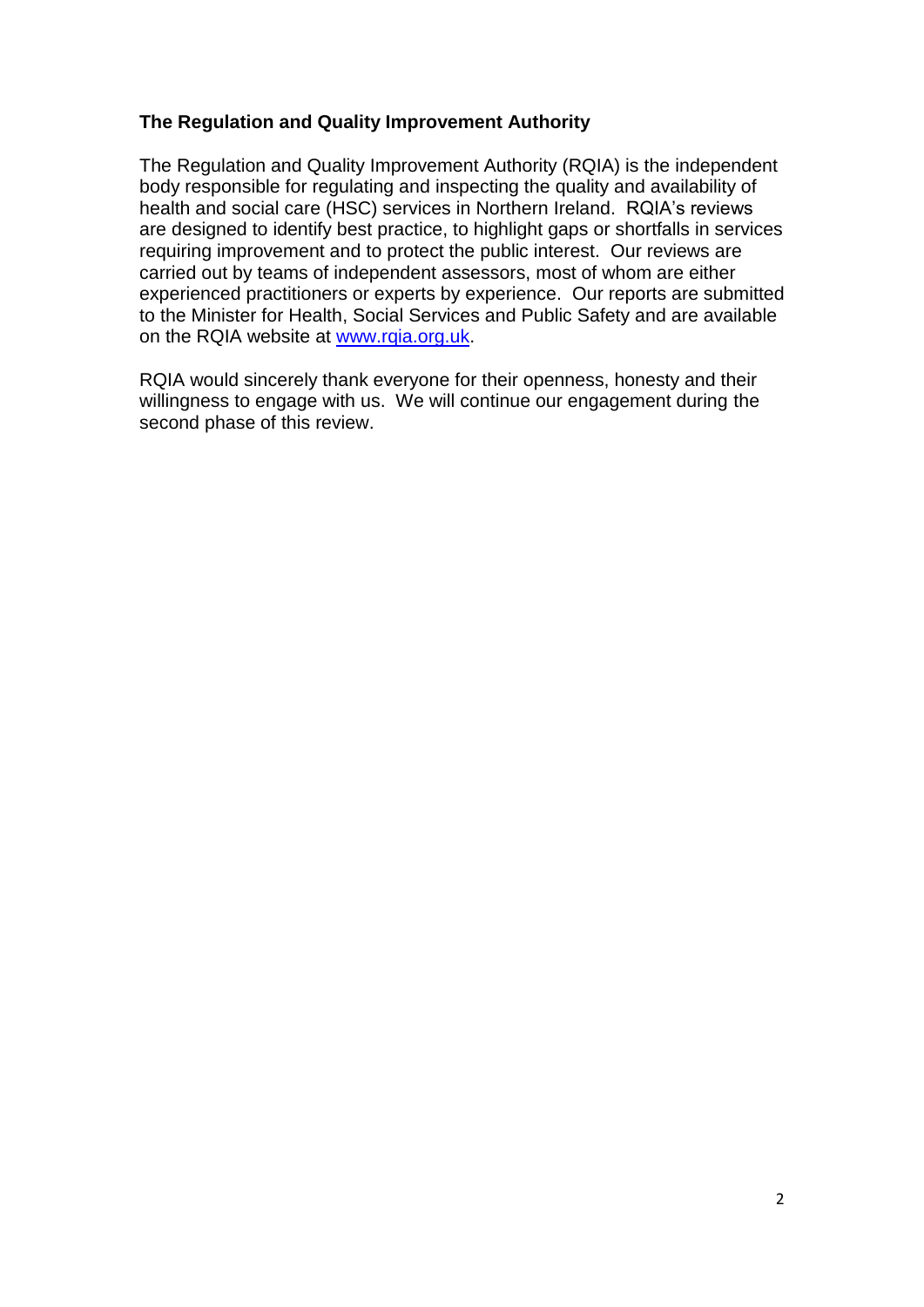# **The Regulation and Quality Improvement Authority**

The Regulation and Quality Improvement Authority (RQIA) is the independent body responsible for regulating and inspecting the quality and availability of health and social care (HSC) services in Northern Ireland. RQIA's reviews are designed to identify best practice, to highlight gaps or shortfalls in services requiring improvement and to protect the public interest. Our reviews are carried out by teams of independent assessors, most of whom are either experienced practitioners or experts by experience. Our reports are submitted to the Minister for Health, Social Services and Public Safety and are available on the RQIA website at [www.rqia.org.uk.](http://www.rqia.org.uk/)

RQIA would sincerely thank everyone for their openness, honesty and their willingness to engage with us. We will continue our engagement during the second phase of this review.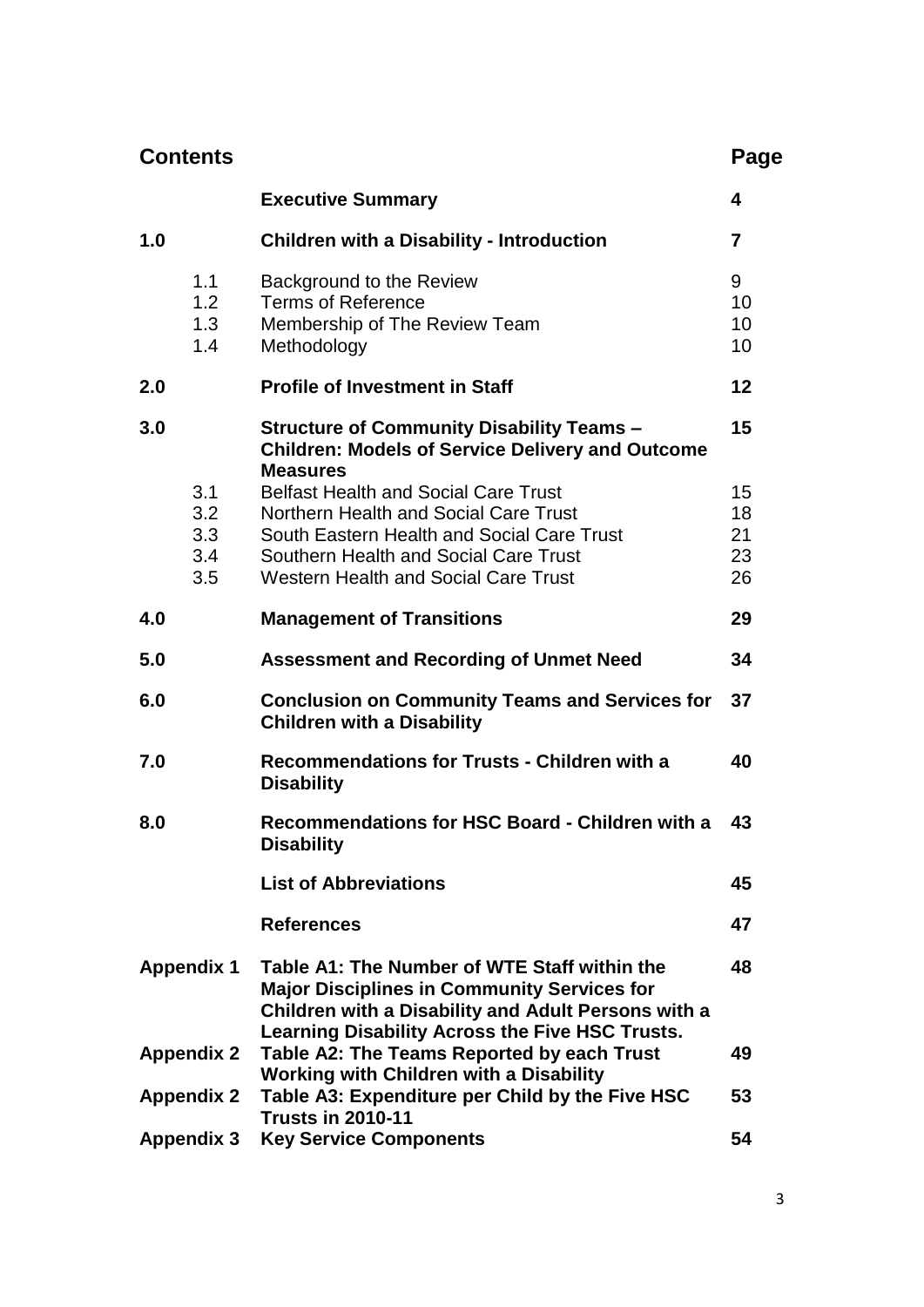| <b>Contents</b>                       |                                                                                                                                                                                                                        | Page                |
|---------------------------------------|------------------------------------------------------------------------------------------------------------------------------------------------------------------------------------------------------------------------|---------------------|
|                                       | <b>Executive Summary</b>                                                                                                                                                                                               | 4                   |
| 1.0                                   | <b>Children with a Disability - Introduction</b>                                                                                                                                                                       | $\overline{7}$      |
| 1.1<br>1.2 <sub>2</sub><br>1.3<br>1.4 | Background to the Review<br><b>Terms of Reference</b><br>Membership of The Review Team<br>Methodology                                                                                                                  | 9<br>10<br>10<br>10 |
| 2.0                                   | <b>Profile of Investment in Staff</b>                                                                                                                                                                                  | 12                  |
| 3.0<br>3.1<br>3.2                     | <b>Structure of Community Disability Teams -</b><br><b>Children: Models of Service Delivery and Outcome</b><br><b>Measures</b><br><b>Belfast Health and Social Care Trust</b><br>Northern Health and Social Care Trust | 15<br>15<br>18      |
| 3.3<br>3.4<br>3.5                     | South Eastern Health and Social Care Trust<br>Southern Health and Social Care Trust<br><b>Western Health and Social Care Trust</b>                                                                                     | 21<br>23<br>26      |
| 4.0                                   | <b>Management of Transitions</b>                                                                                                                                                                                       | 29                  |
| 5.0                                   | <b>Assessment and Recording of Unmet Need</b>                                                                                                                                                                          | 34                  |
| 6.0                                   | <b>Conclusion on Community Teams and Services for</b><br><b>Children with a Disability</b>                                                                                                                             | 37                  |
| 7.0                                   | <b>Recommendations for Trusts - Children with a</b><br><b>Disability</b>                                                                                                                                               | 40                  |
| 8.0                                   | Recommendations for HSC Board - Children with a<br><b>Disability</b>                                                                                                                                                   | 43                  |
|                                       | <b>List of Abbreviations</b>                                                                                                                                                                                           | 45                  |
|                                       | <b>References</b>                                                                                                                                                                                                      | 47                  |
| <b>Appendix 1</b>                     | Table A1: The Number of WTE Staff within the<br><b>Major Disciplines in Community Services for</b><br>Children with a Disability and Adult Persons with a<br>Learning Disability Across the Five HSC Trusts.           | 48                  |
| <b>Appendix 2</b>                     | Table A2: The Teams Reported by each Trust<br><b>Working with Children with a Disability</b>                                                                                                                           | 49                  |
| <b>Appendix 2</b>                     | Table A3: Expenditure per Child by the Five HSC<br><b>Trusts in 2010-11</b>                                                                                                                                            | 53                  |
| <b>Appendix 3</b>                     | <b>Key Service Components</b>                                                                                                                                                                                          | 54                  |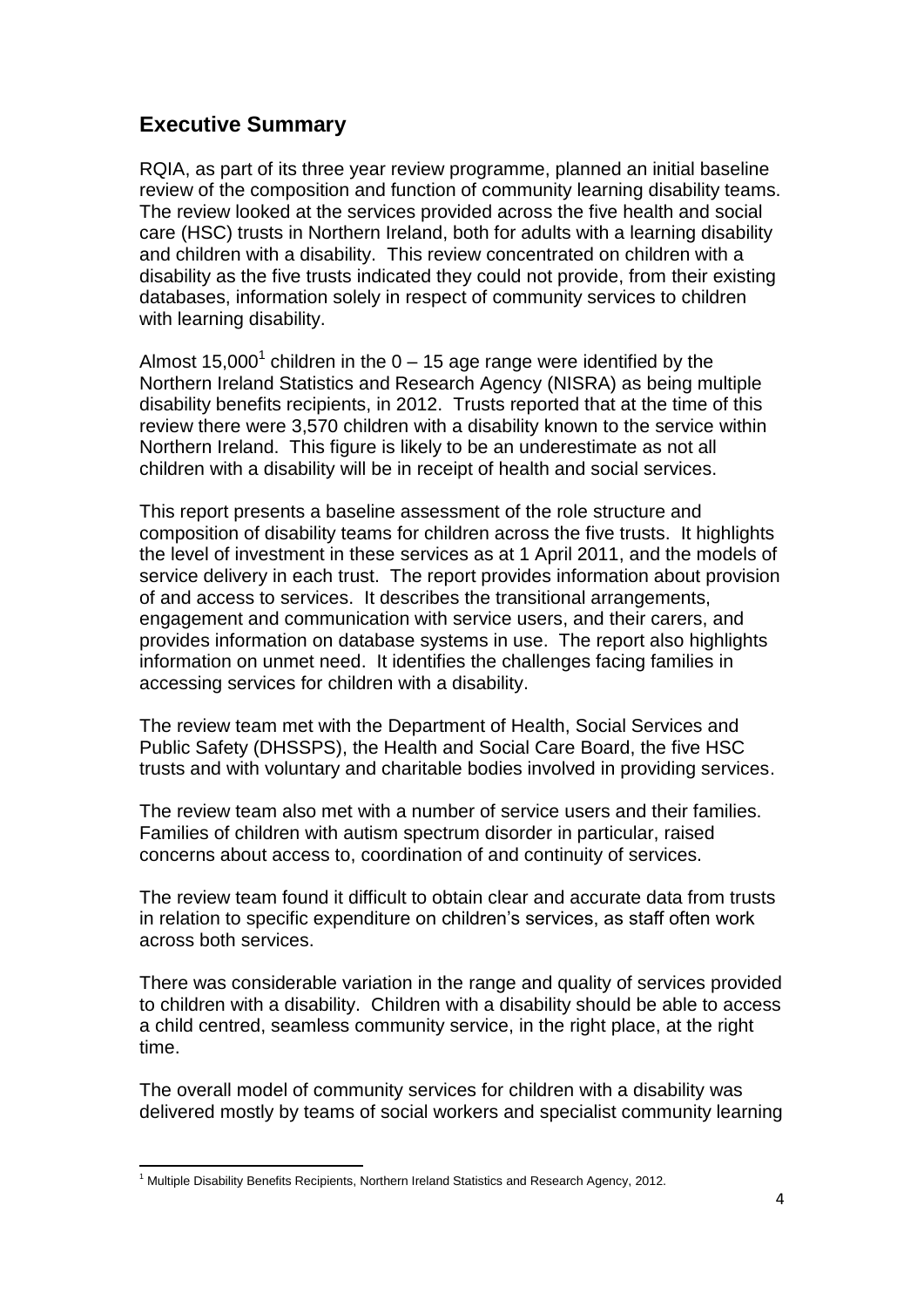# **Executive Summary**

RQIA, as part of its three year review programme, planned an initial baseline review of the composition and function of community learning disability teams. The review looked at the services provided across the five health and social care (HSC) trusts in Northern Ireland, both for adults with a learning disability and children with a disability. This review concentrated on children with a disability as the five trusts indicated they could not provide, from their existing databases, information solely in respect of community services to children with learning disability.

Almost 15,000<sup>1</sup> children in the 0 – 15 age range were identified by the Northern Ireland Statistics and Research Agency (NISRA) as being multiple disability benefits recipients, in 2012. Trusts reported that at the time of this review there were 3,570 children with a disability known to the service within Northern Ireland. This figure is likely to be an underestimate as not all children with a disability will be in receipt of health and social services.

This report presents a baseline assessment of the role structure and composition of disability teams for children across the five trusts. It highlights the level of investment in these services as at 1 April 2011, and the models of service delivery in each trust. The report provides information about provision of and access to services. It describes the transitional arrangements, engagement and communication with service users, and their carers, and provides information on database systems in use. The report also highlights information on unmet need. It identifies the challenges facing families in accessing services for children with a disability.

The review team met with the Department of Health, Social Services and Public Safety (DHSSPS), the Health and Social Care Board, the five HSC trusts and with voluntary and charitable bodies involved in providing services.

The review team also met with a number of service users and their families. Families of children with autism spectrum disorder in particular, raised concerns about access to, coordination of and continuity of services.

The review team found it difficult to obtain clear and accurate data from trusts in relation to specific expenditure on children"s services, as staff often work across both services.

There was considerable variation in the range and quality of services provided to children with a disability. Children with a disability should be able to access a child centred, seamless community service, in the right place, at the right time.

The overall model of community services for children with a disability was delivered mostly by teams of social workers and specialist community learning

 $\overline{a}$ <sup>1</sup> Multiple Disability Benefits Recipients, Northern Ireland Statistics and Research Agency, 2012.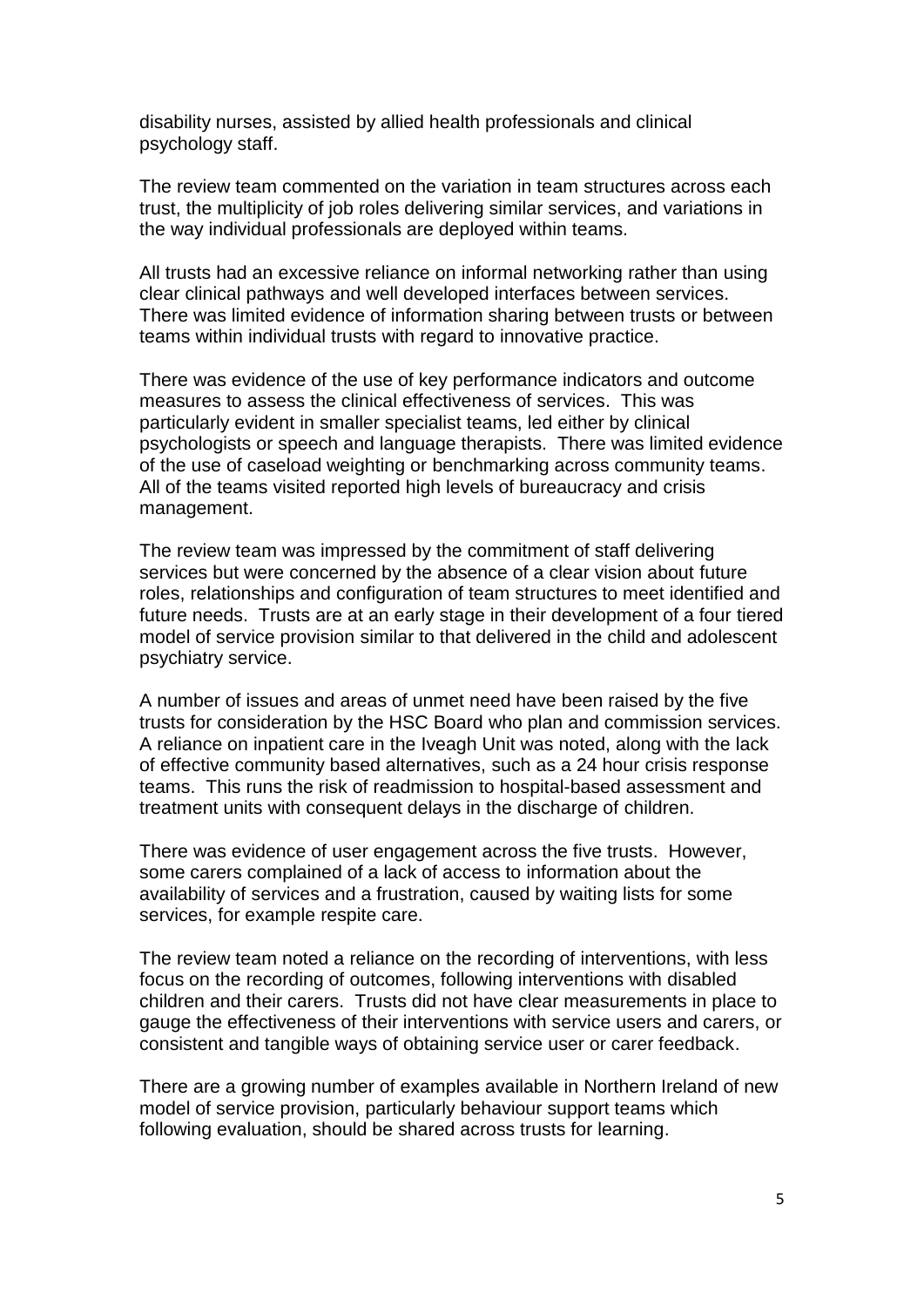disability nurses, assisted by allied health professionals and clinical psychology staff.

The review team commented on the variation in team structures across each trust, the multiplicity of job roles delivering similar services, and variations in the way individual professionals are deployed within teams.

All trusts had an excessive reliance on informal networking rather than using clear clinical pathways and well developed interfaces between services. There was limited evidence of information sharing between trusts or between teams within individual trusts with regard to innovative practice.

There was evidence of the use of key performance indicators and outcome measures to assess the clinical effectiveness of services. This was particularly evident in smaller specialist teams, led either by clinical psychologists or speech and language therapists. There was limited evidence of the use of caseload weighting or benchmarking across community teams. All of the teams visited reported high levels of bureaucracy and crisis management.

The review team was impressed by the commitment of staff delivering services but were concerned by the absence of a clear vision about future roles, relationships and configuration of team structures to meet identified and future needs. Trusts are at an early stage in their development of a four tiered model of service provision similar to that delivered in the child and adolescent psychiatry service.

A number of issues and areas of unmet need have been raised by the five trusts for consideration by the HSC Board who plan and commission services. A reliance on inpatient care in the Iveagh Unit was noted, along with the lack of effective community based alternatives, such as a 24 hour crisis response teams. This runs the risk of readmission to hospital-based assessment and treatment units with consequent delays in the discharge of children.

There was evidence of user engagement across the five trusts. However, some carers complained of a lack of access to information about the availability of services and a frustration, caused by waiting lists for some services, for example respite care.

The review team noted a reliance on the recording of interventions, with less focus on the recording of outcomes, following interventions with disabled children and their carers. Trusts did not have clear measurements in place to gauge the effectiveness of their interventions with service users and carers, or consistent and tangible ways of obtaining service user or carer feedback.

There are a growing number of examples available in Northern Ireland of new model of service provision, particularly behaviour support teams which following evaluation, should be shared across trusts for learning.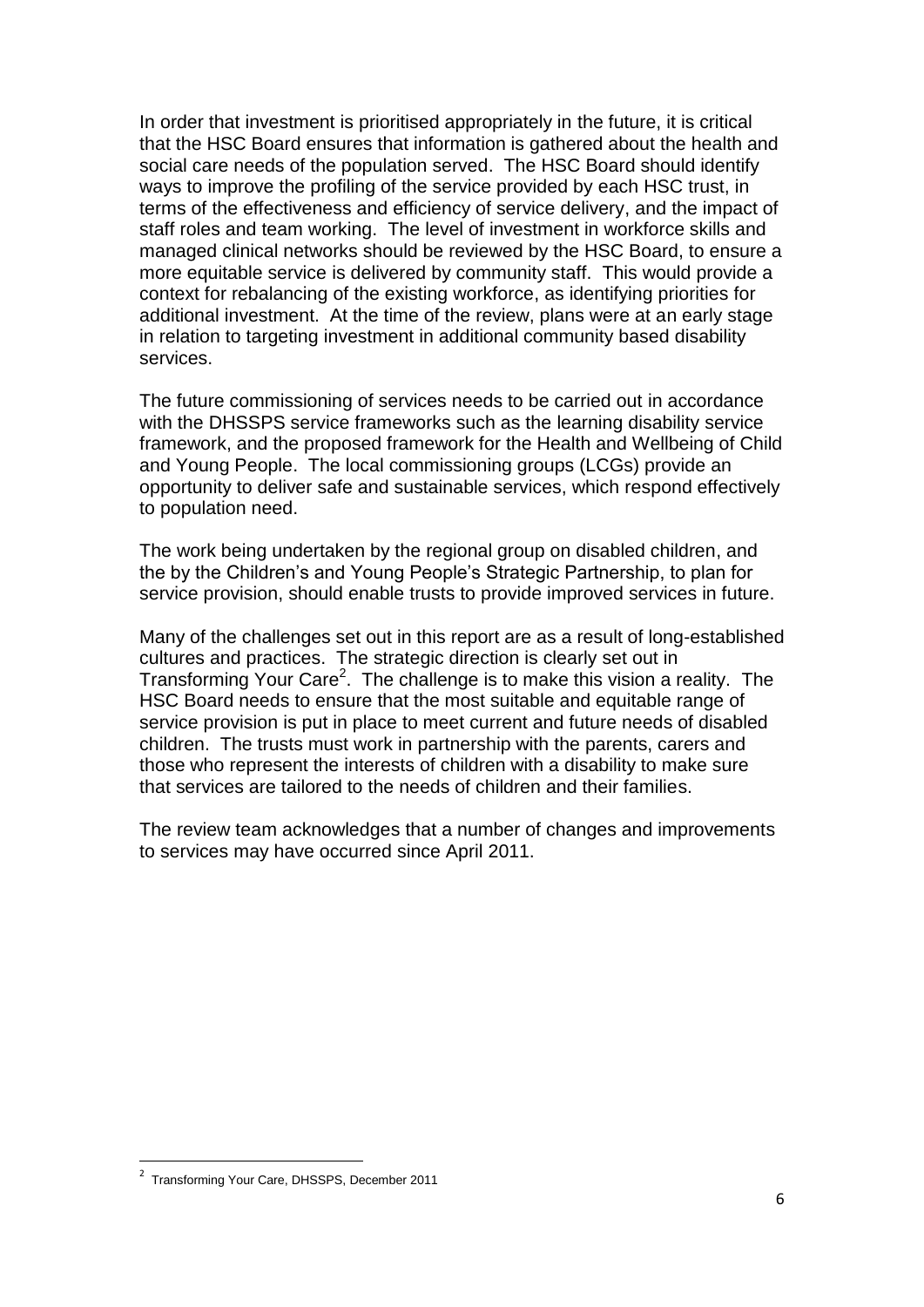In order that investment is prioritised appropriately in the future, it is critical that the HSC Board ensures that information is gathered about the health and social care needs of the population served. The HSC Board should identify ways to improve the profiling of the service provided by each HSC trust, in terms of the effectiveness and efficiency of service delivery, and the impact of staff roles and team working. The level of investment in workforce skills and managed clinical networks should be reviewed by the HSC Board, to ensure a more equitable service is delivered by community staff. This would provide a context for rebalancing of the existing workforce, as identifying priorities for additional investment. At the time of the review, plans were at an early stage in relation to targeting investment in additional community based disability services.

The future commissioning of services needs to be carried out in accordance with the DHSSPS service frameworks such as the learning disability service framework, and the proposed framework for the Health and Wellbeing of Child and Young People. The local commissioning groups (LCGs) provide an opportunity to deliver safe and sustainable services, which respond effectively to population need.

The work being undertaken by the regional group on disabled children, and the by the Children"s and Young People"s Strategic Partnership, to plan for service provision, should enable trusts to provide improved services in future.

Many of the challenges set out in this report are as a result of long-established cultures and practices. The strategic direction is clearly set out in Transforming Your Care<sup>2</sup>. The challenge is to make this vision a reality. The HSC Board needs to ensure that the most suitable and equitable range of service provision is put in place to meet current and future needs of disabled children. The trusts must work in partnership with the parents, carers and those who represent the interests of children with a disability to make sure that services are tailored to the needs of children and their families.

The review team acknowledges that a number of changes and improvements to services may have occurred since April 2011.

 $\overline{a}$ 

<sup>&</sup>lt;sup>2</sup> Transforming Your Care, DHSSPS, December 2011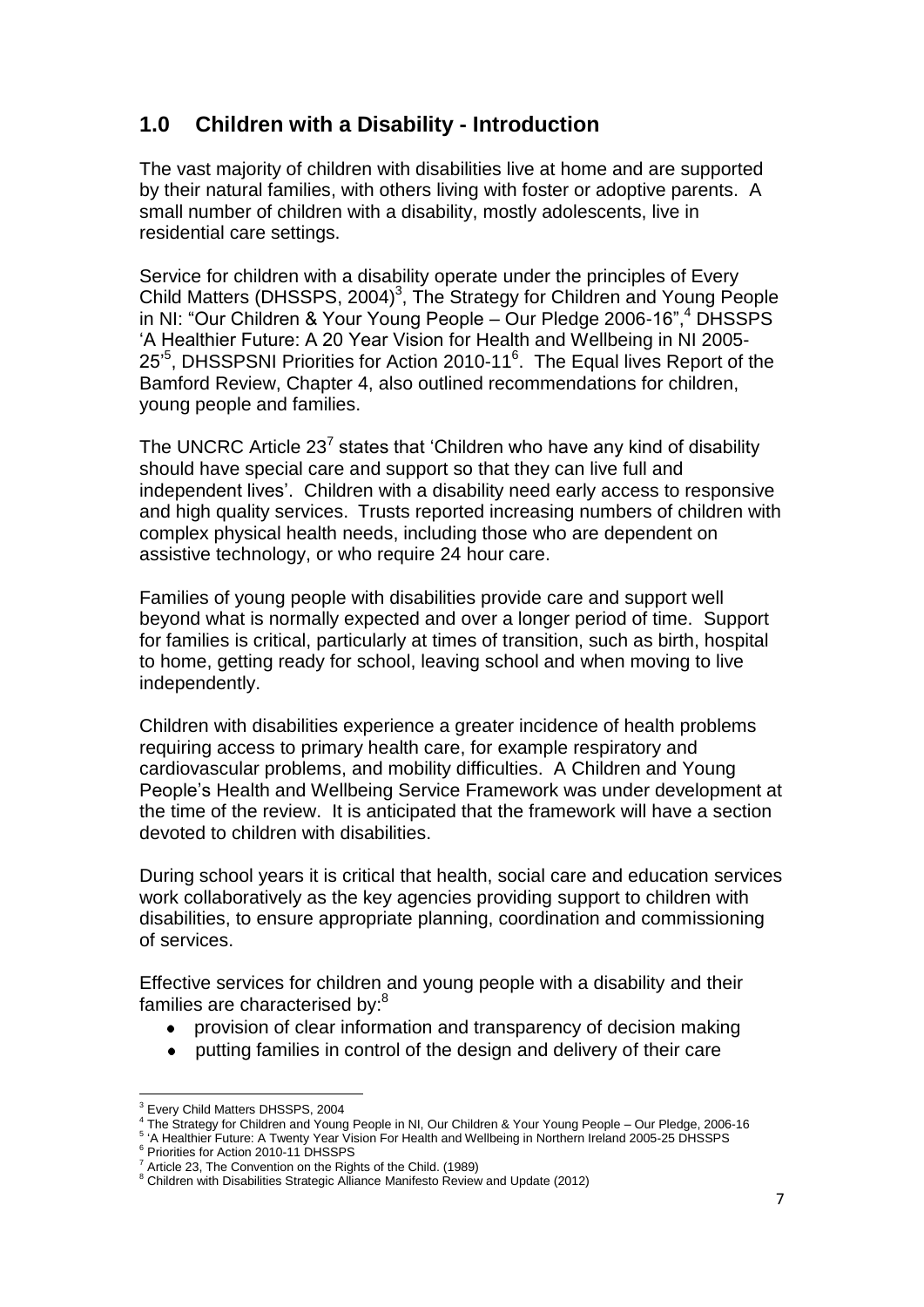# **1.0 Children with a Disability - Introduction**

The vast majority of children with disabilities live at home and are supported by their natural families, with others living with foster or adoptive parents. A small number of children with a disability, mostly adolescents, live in residential care settings.

Service for children with a disability operate under the principles of Every Child Matters (DHSSPS, 2004) $3$ , The Strategy for Children and Young People in NI: "Our Children & Your Young People – Our Pledge 2006-16", <sup>4</sup> DHSSPS "A Healthier Future: A 20 Year Vision for Health and Wellbeing in NI 2005- 25<sup>5</sup>, DHSSPSNI Priorities for Action 2010-11<sup>6</sup>. The Equal lives Report of the Bamford Review, Chapter 4, also outlined recommendations for children, young people and families.

The UNCRC Article 23<sup>7</sup> states that 'Children who have any kind of disability should have special care and support so that they can live full and independent lives'. Children with a disability need early access to responsive and high quality services. Trusts reported increasing numbers of children with complex physical health needs, including those who are dependent on assistive technology, or who require 24 hour care.

Families of young people with disabilities provide care and support well beyond what is normally expected and over a longer period of time. Support for families is critical, particularly at times of transition, such as birth, hospital to home, getting ready for school, leaving school and when moving to live independently.

Children with disabilities experience a greater incidence of health problems requiring access to primary health care, for example respiratory and cardiovascular problems, and mobility difficulties. A Children and Young People"s Health and Wellbeing Service Framework was under development at the time of the review. It is anticipated that the framework will have a section devoted to children with disabilities.

During school years it is critical that health, social care and education services work collaboratively as the key agencies providing support to children with disabilities, to ensure appropriate planning, coordination and commissioning of services.

Effective services for children and young people with a disability and their families are characterised by:<sup>8</sup>

- provision of clear information and transparency of decision making
- putting families in control of the design and delivery of their care  $\bullet$

 $\overline{a}$ <sup>3</sup> Every Child Matters DHSSPS, 2004

<sup>4</sup> The Strategy for Children and Young People in NI, Our Children & Your Young People – Our Pledge, 2006-16

<sup>&</sup>lt;sup>5</sup> 'A Healthier Future: A Twenty Year Vision For Health and Wellbeing in Northern Ireland 2005-25 DHSSPS

<sup>6</sup> Priorities for Action 2010-11 DHSSPS

<sup>7</sup> Article 23, The Convention on the Rights of the Child. (1989)

<sup>&</sup>lt;sup>8</sup> Children with Disabilities Strategic Alliance Manifesto Review and Update (2012)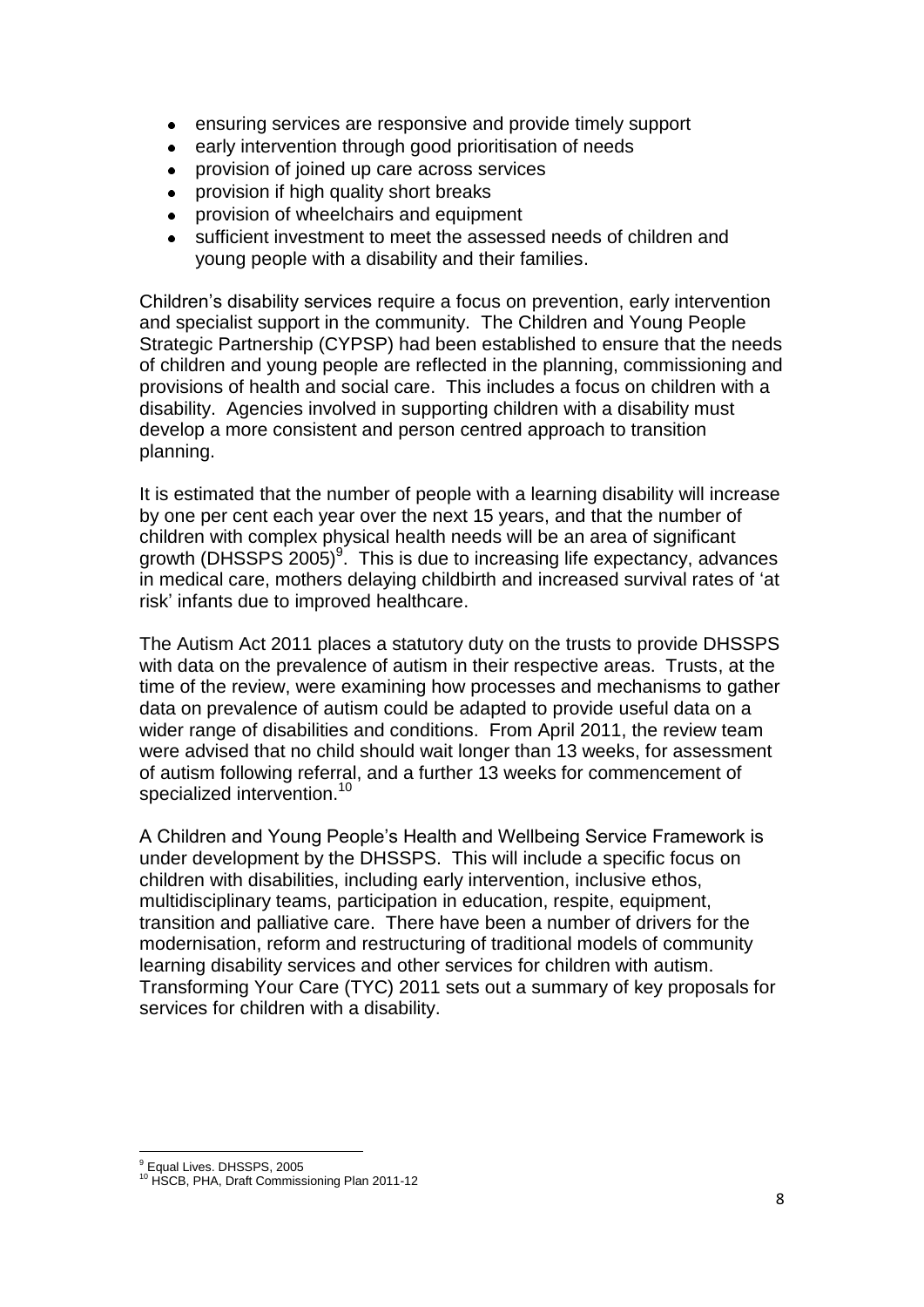- ensuring services are responsive and provide timely support  $\bullet$
- early intervention through good prioritisation of needs
- provision of joined up care across services
- provision if high quality short breaks
- provision of wheelchairs and equipment
- sufficient investment to meet the assessed needs of children and young people with a disability and their families.

Children"s disability services require a focus on prevention, early intervention and specialist support in the community. The Children and Young People Strategic Partnership (CYPSP) had been established to ensure that the needs of children and young people are reflected in the planning, commissioning and provisions of health and social care. This includes a focus on children with a disability. Agencies involved in supporting children with a disability must develop a more consistent and person centred approach to transition planning.

It is estimated that the number of people with a learning disability will increase by one per cent each year over the next 15 years, and that the number of children with complex physical health needs will be an area of significant growth (DHSSPS 2005)<sup>9</sup>. This is due to increasing life expectancy, advances in medical care, mothers delaying childbirth and increased survival rates of "at risk" infants due to improved healthcare.

The Autism Act 2011 places a statutory duty on the trusts to provide DHSSPS with data on the prevalence of autism in their respective areas. Trusts, at the time of the review, were examining how processes and mechanisms to gather data on prevalence of autism could be adapted to provide useful data on a wider range of disabilities and conditions. From April 2011, the review team were advised that no child should wait longer than 13 weeks, for assessment of autism following referral, and a further 13 weeks for commencement of specialized intervention.<sup>10</sup>

A Children and Young People"s Health and Wellbeing Service Framework is under development by the DHSSPS. This will include a specific focus on children with disabilities, including early intervention, inclusive ethos, multidisciplinary teams, participation in education, respite, equipment, transition and palliative care. There have been a number of drivers for the modernisation, reform and restructuring of traditional models of community learning disability services and other services for children with autism. Transforming Your Care (TYC) 2011 sets out a summary of key proposals for services for children with a disability.

 $\overline{a}$ <sup>9</sup> Equal Lives. DHSSPS, 2005

<sup>&</sup>lt;sup>10</sup> HSCB, PHA, Draft Commissioning Plan 2011-12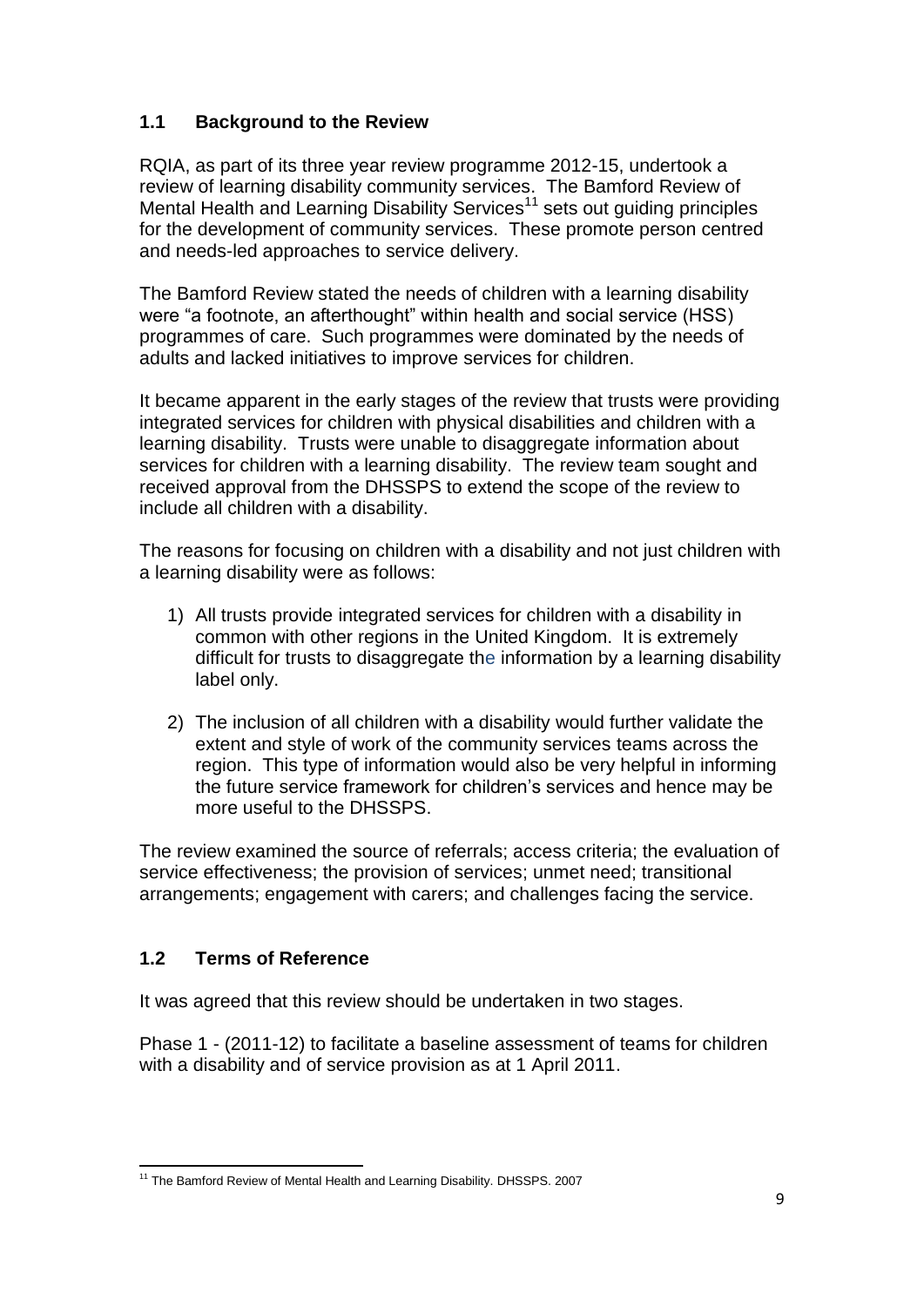# **1.1 Background to the Review**

RQIA, as part of its three year review programme 2012-15, undertook a review of learning disability community services. The Bamford Review of Mental Health and Learning Disability Services<sup>11</sup> sets out guiding principles for the development of community services. These promote person centred and needs-led approaches to service delivery.

The Bamford Review stated the needs of children with a learning disability were "a footnote, an afterthought" within health and social service (HSS) programmes of care. Such programmes were dominated by the needs of adults and lacked initiatives to improve services for children.

It became apparent in the early stages of the review that trusts were providing integrated services for children with physical disabilities and children with a learning disability. Trusts were unable to disaggregate information about services for children with a learning disability. The review team sought and received approval from the DHSSPS to extend the scope of the review to include all children with a disability.

The reasons for focusing on children with a disability and not just children with a learning disability were as follows:

- 1) All trusts provide integrated services for children with a disability in common with other regions in the United Kingdom. It is extremely difficult for trusts to disaggregate the information by a learning disability label only.
- 2) The inclusion of all children with a disability would further validate the extent and style of work of the community services teams across the region. This type of information would also be very helpful in informing the future service framework for children"s services and hence may be more useful to the DHSSPS.

The review examined the source of referrals; access criteria; the evaluation of service effectiveness; the provision of services; unmet need; transitional arrangements; engagement with carers; and challenges facing the service.

# **1.2 Terms of Reference**

It was agreed that this review should be undertaken in two stages.

Phase 1 - (2011-12) to facilitate a baseline assessment of teams for children with a disability and of service provision as at 1 April 2011.

 $\overline{a}$ <sup>11</sup> The Bamford Review of Mental Health and Learning Disability. DHSSPS. 2007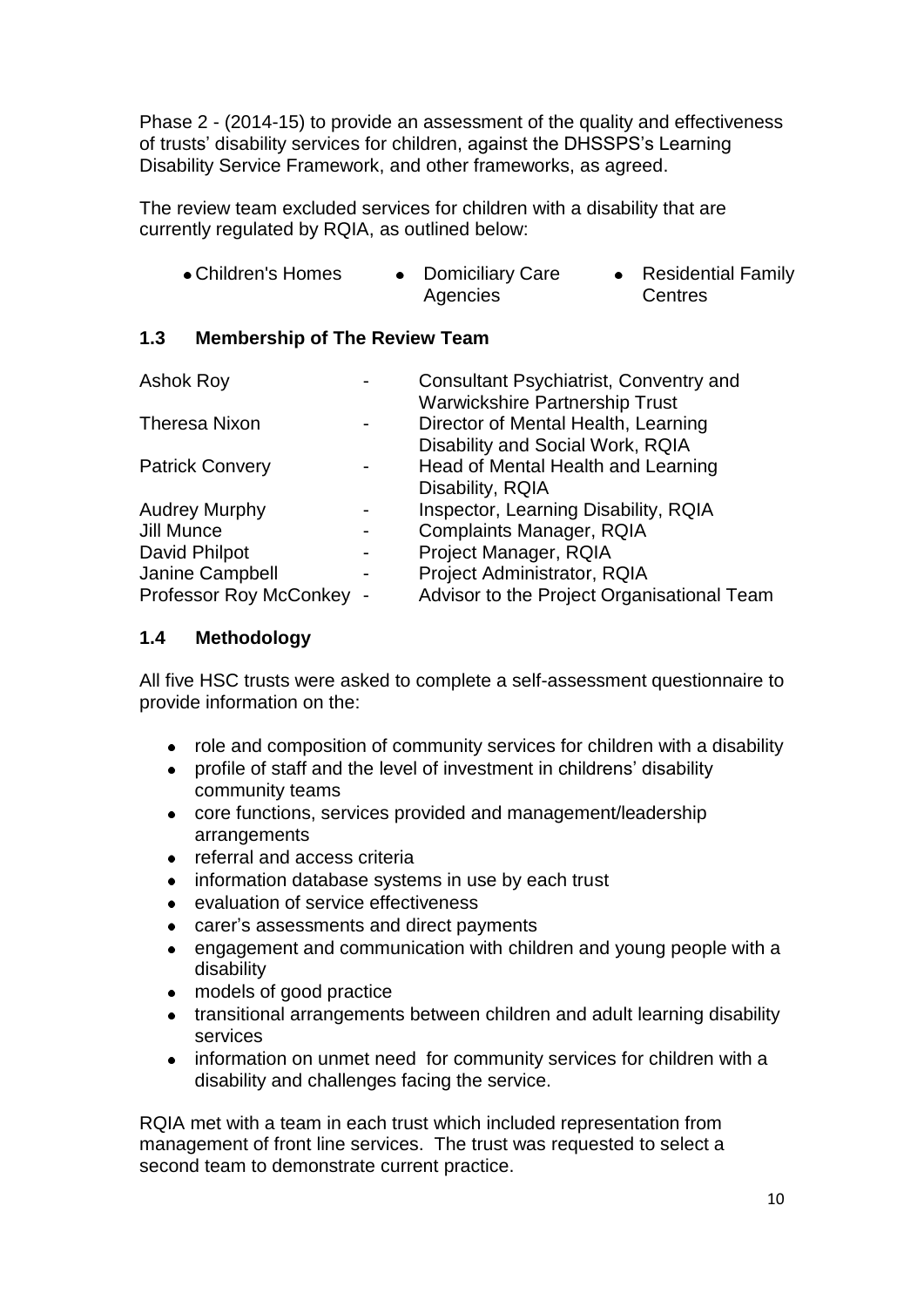Phase 2 - (2014-15) to provide an assessment of the quality and effectiveness of trusts' disability services for children, against the DHSSPS's Learning Disability Service Framework, and other frameworks, as agreed.

The review team excluded services for children with a disability that are currently regulated by RQIA, as outlined below:

| • Children's Homes | <b>Domiciliary Care</b> | • Residential Family |
|--------------------|-------------------------|----------------------|
|                    | Agencies                | Centres              |

# **1.3 Membership of The Review Team**

| <b>Ashok Roy</b>         | Consultant Psychiatrist, Conventry and     |
|--------------------------|--------------------------------------------|
|                          | <b>Warwickshire Partnership Trust</b>      |
| <b>Theresa Nixon</b>     | Director of Mental Health, Learning        |
|                          | Disability and Social Work, RQIA           |
| <b>Patrick Convery</b>   | Head of Mental Health and Learning         |
|                          | Disability, RQIA                           |
| <b>Audrey Murphy</b>     | Inspector, Learning Disability, RQIA       |
| Jill Munce               | <b>Complaints Manager, RQIA</b>            |
| David Philpot            | Project Manager, RQIA                      |
| Janine Campbell          | Project Administrator, RQIA                |
| Professor Roy McConkey - | Advisor to the Project Organisational Team |

# **1.4 Methodology**

All five HSC trusts were asked to complete a self-assessment questionnaire to provide information on the:

- role and composition of community services for children with a disability  $\bullet$
- profile of staff and the level of investment in childrens' disability community teams
- core functions, services provided and management/leadership arrangements
- referral and access criteria
- $\bullet$ information database systems in use by each trust
- evaluation of service effectiveness
- carer"s assessments and direct payments  $\bullet$
- engagement and communication with children and young people with a  $\bullet$ disability
- models of good practice  $\bullet$
- transitional arrangements between children and adult learning disability  $\bullet$ services
- information on unmet need for community services for children with a  $\bullet$ disability and challenges facing the service.

RQIA met with a team in each trust which included representation from management of front line services. The trust was requested to select a second team to demonstrate current practice.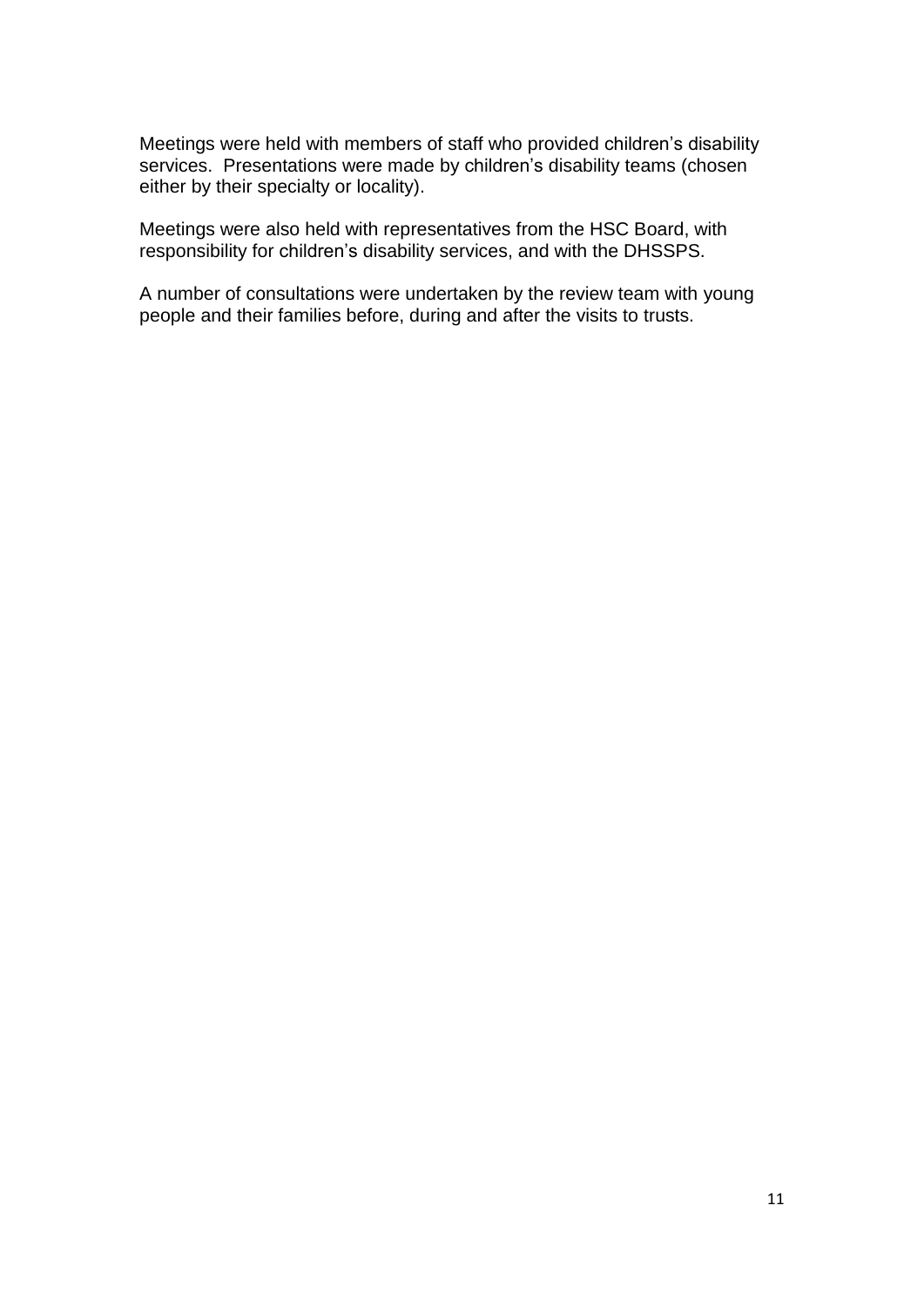Meetings were held with members of staff who provided children"s disability services. Presentations were made by children's disability teams (chosen either by their specialty or locality).

Meetings were also held with representatives from the HSC Board, with responsibility for children"s disability services, and with the DHSSPS.

A number of consultations were undertaken by the review team with young people and their families before, during and after the visits to trusts.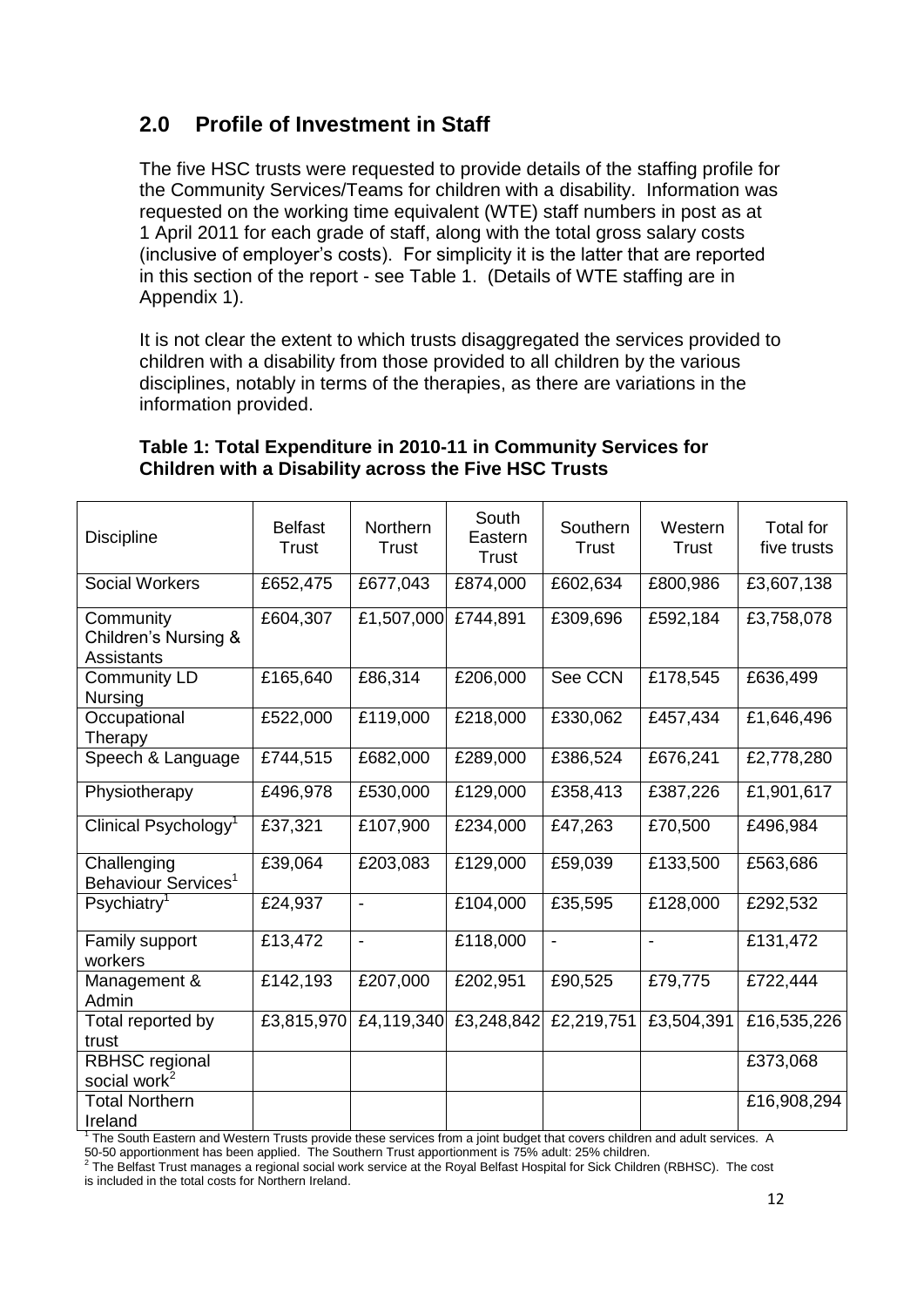# **2.0 Profile of Investment in Staff**

The five HSC trusts were requested to provide details of the staffing profile for the Community Services/Teams for children with a disability. Information was requested on the working time equivalent (WTE) staff numbers in post as at 1 April 2011 for each grade of staff, along with the total gross salary costs (inclusive of employer"s costs). For simplicity it is the latter that are reported in this section of the report - see Table 1. (Details of WTE staffing are in Appendix 1).

It is not clear the extent to which trusts disaggregated the services provided to children with a disability from those provided to all children by the various disciplines, notably in terms of the therapies, as there are variations in the information provided.

| <b>Discipline</b>                                      | <b>Belfast</b><br>Trust | Northern<br><b>Trust</b> | South<br>Eastern<br>Trust | Southern<br><b>Trust</b> | Western<br><b>Trust</b> | <b>Total for</b><br>five trusts |
|--------------------------------------------------------|-------------------------|--------------------------|---------------------------|--------------------------|-------------------------|---------------------------------|
| <b>Social Workers</b>                                  | £652,475                | £677,043                 | £874,000                  | £602,634                 | £800,986                | £3,607,138                      |
| Community<br>Children's Nursing &<br><b>Assistants</b> | £604,307                | £1,507,000               | £744,891                  | £309,696                 | £592,184                | £3,758,078                      |
| <b>Community LD</b><br>Nursing                         | £165,640                | £86,314                  | £206,000                  | See CCN                  | £178,545                | £636,499                        |
| Occupational<br>Therapy                                | £522,000                | £119,000                 | £218,000                  | £330,062                 | £457,434                | £1,646,496                      |
| Speech & Language                                      | £744,515                | £682,000                 | £289,000                  | £386,524                 | £676,241                | £2,778,280                      |
| Physiotherapy                                          | £496,978                | £530,000                 | £129,000                  | £358,413                 | £387,226                | £1,901,617                      |
| Clinical Psychology <sup>1</sup>                       | £37,321                 | £107,900                 | £234,000                  | £47,263                  | £70,500                 | £496,984                        |
| Challenging<br>Behaviour Services <sup>1</sup>         | £39,064                 | £203,083                 | £129,000                  | £59,039                  | £133,500                | £563,686                        |
| $P$ sychiatry <sup>1</sup>                             | £24,937                 | $\overline{\phantom{a}}$ | £104,000                  | £35,595                  | £128,000                | £292,532                        |
| Family support<br>workers                              | £13,472                 | $\overline{\phantom{a}}$ | £118,000                  | $\frac{1}{2}$            | $\blacksquare$          | £131,472                        |
| Management &<br>Admin                                  | £142,193                | £207,000                 | £202,951                  | £90,525                  | £79,775                 | £722,444                        |
| Total reported by<br>trust                             | £3,815,970              | £4,119,340               | £3,248,842                | £2,219,751               | £3,504,391              | £16,535,226                     |
| <b>RBHSC regional</b><br>social work <sup>2</sup>      |                         |                          |                           |                          |                         | £373,068                        |
| <b>Total Northern</b><br>Ireland                       |                         |                          |                           |                          |                         | £16,908,294                     |

#### **Table 1: Total Expenditure in 2010-11 in Community Services for Children with a Disability across the Five HSC Trusts**

1 The South Eastern and Western Trusts provide these services from a joint budget that covers children and adult services. A

50-50 apportionment has been applied. The Southern Trust apportionment is 75% adult: 25% children.<br><sup>2</sup> The Belfast Trust manages a regional social work service at the Royal Belfast Hospital for Sick Children (RBHSC). The is included in the total costs for Northern Ireland.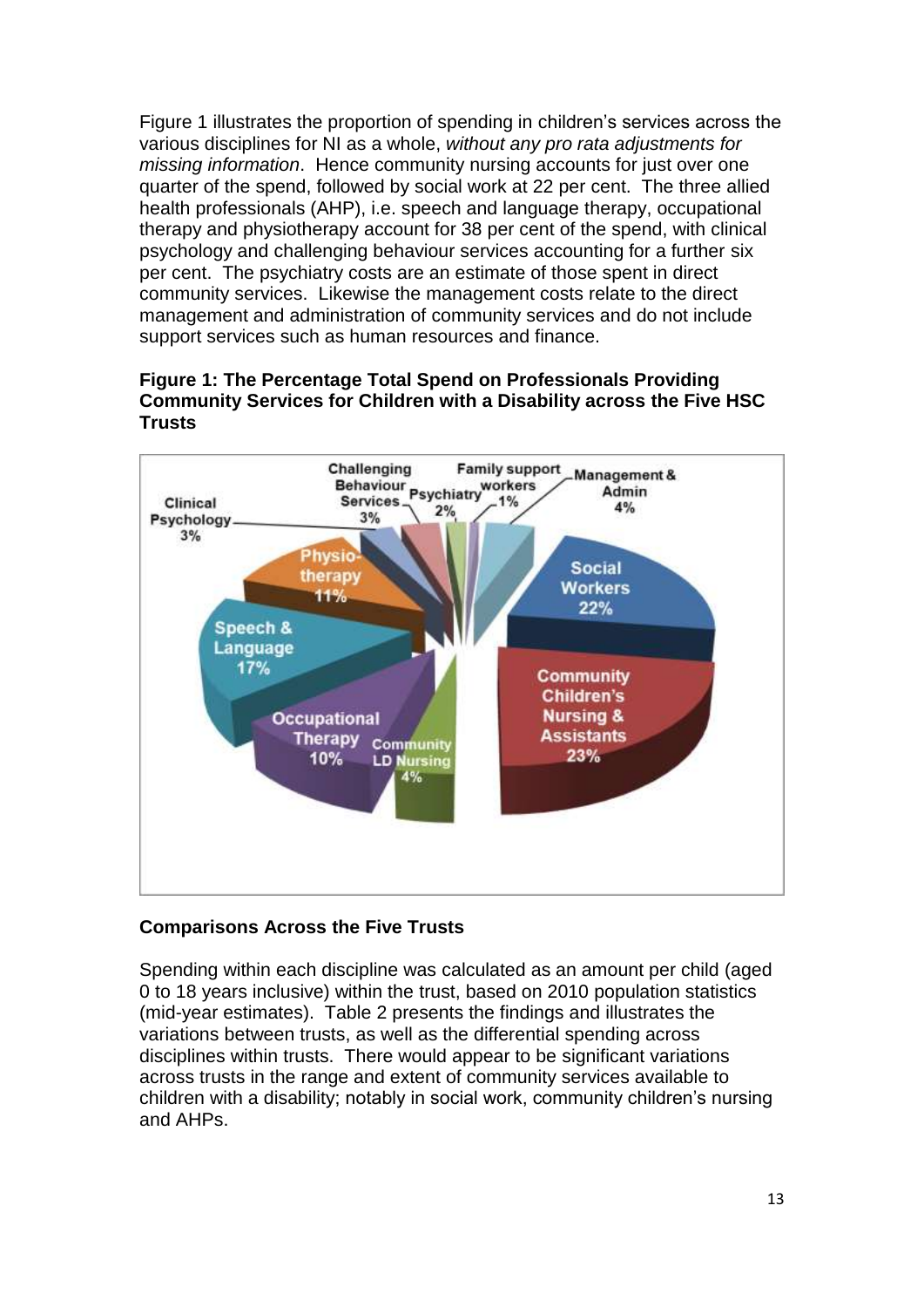Figure 1 illustrates the proportion of spending in children"s services across the various disciplines for NI as a whole, *without any pro rata adjustments for missing information*. Hence community nursing accounts for just over one quarter of the spend, followed by social work at 22 per cent. The three allied health professionals (AHP), i.e. speech and language therapy, occupational therapy and physiotherapy account for 38 per cent of the spend, with clinical psychology and challenging behaviour services accounting for a further six per cent. The psychiatry costs are an estimate of those spent in direct community services. Likewise the management costs relate to the direct management and administration of community services and do not include support services such as human resources and finance.





# **Comparisons Across the Five Trusts**

Spending within each discipline was calculated as an amount per child (aged 0 to 18 years inclusive) within the trust, based on 2010 population statistics (mid-year estimates). Table 2 presents the findings and illustrates the variations between trusts, as well as the differential spending across disciplines within trusts. There would appear to be significant variations across trusts in the range and extent of community services available to children with a disability; notably in social work, community children"s nursing and AHPs.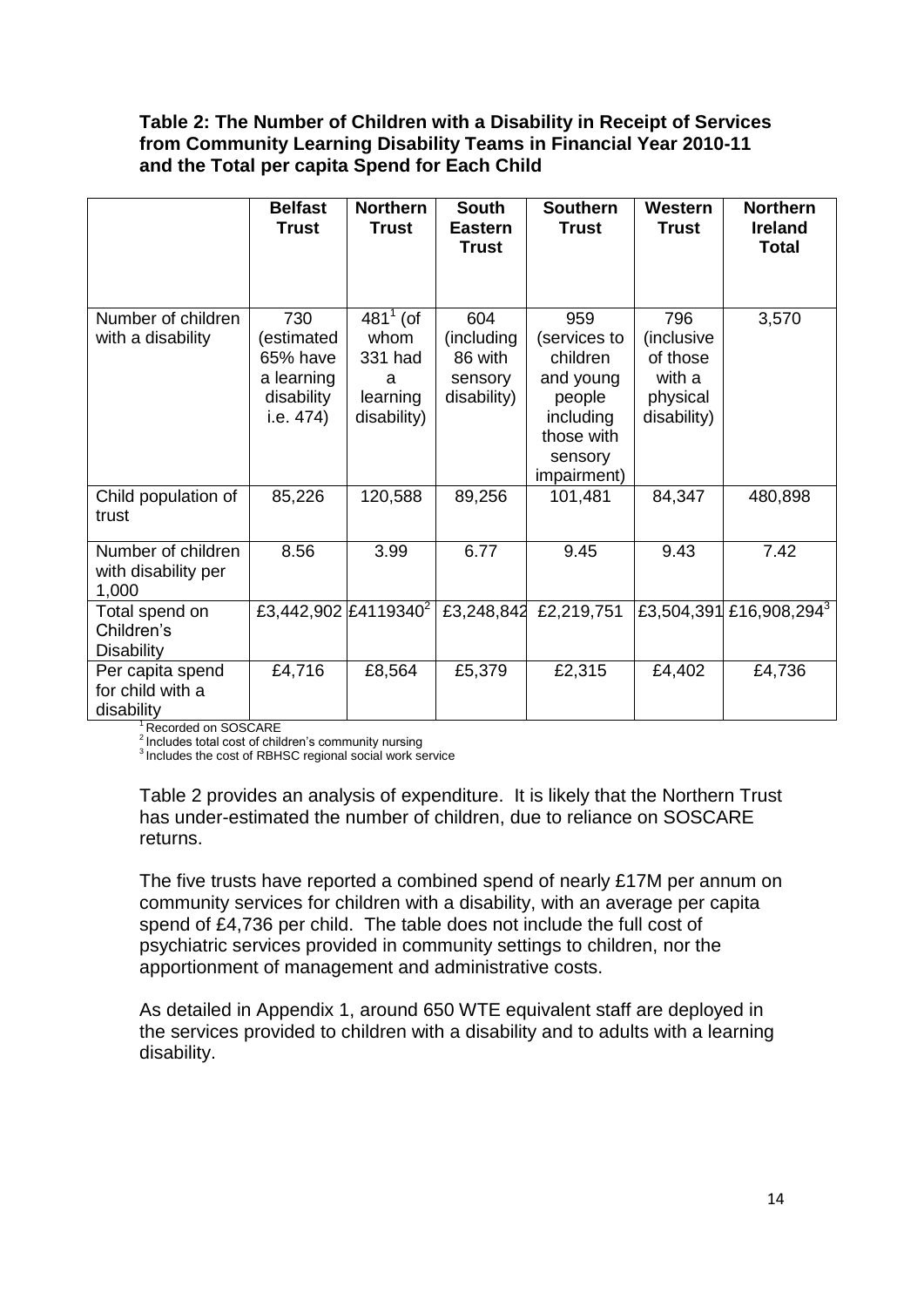#### **Table 2: The Number of Children with a Disability in Receipt of Services from Community Learning Disability Teams in Financial Year 2010-11 and the Total per capita Spend for Each Child**

|                                                    | <b>Belfast</b><br><b>Trust</b>                                         | <b>Northern</b><br><b>Trust</b>                                | <b>South</b><br><b>Eastern</b><br><b>Trust</b>         | <b>Southern</b><br><b>Trust</b>                                                                             | Western<br><b>Trust</b>                                            | <b>Northern</b><br><b>Ireland</b><br><b>Total</b> |
|----------------------------------------------------|------------------------------------------------------------------------|----------------------------------------------------------------|--------------------------------------------------------|-------------------------------------------------------------------------------------------------------------|--------------------------------------------------------------------|---------------------------------------------------|
| Number of children<br>with a disability            | 730<br>(estimated<br>65% have<br>a learning<br>disability<br>i.e. 474) | $481^1$ (of<br>whom<br>331 had<br>a<br>learning<br>disability) | 604<br>(including<br>86 with<br>sensory<br>disability) | 959<br>(services to<br>children<br>and young<br>people<br>including<br>those with<br>sensory<br>impairment) | 796<br>(inclusive<br>of those<br>with a<br>physical<br>disability) | 3,570                                             |
| Child population of<br>trust                       | 85,226                                                                 | 120,588                                                        | 89,256                                                 | 101,481                                                                                                     | 84,347                                                             | 480,898                                           |
| Number of children<br>with disability per<br>1,000 | 8.56                                                                   | 3.99                                                           | 6.77                                                   | 9.45                                                                                                        | 9.43                                                               | 7.42                                              |
| Total spend on<br>Children's<br><b>Disability</b>  | £3,442,902 £4119340 <sup>2</sup>                                       |                                                                | £3,248,842                                             | £2,219,751                                                                                                  |                                                                    | £3,504,391 £16,908,294 <sup>3</sup>               |
| Per capita spend<br>for child with a<br>disability | £4,716                                                                 | £8,564                                                         | £5,379                                                 | £2,315                                                                                                      | £4,402                                                             | £4,736                                            |

<sup>1</sup> Recorded on SOSCARE

<sup>2</sup>Includes total cost of children's community nursing

<sup>3</sup>Includes the cost of RBHSC regional social work service

Table 2 provides an analysis of expenditure. It is likely that the Northern Trust has under-estimated the number of children, due to reliance on SOSCARE returns.

The five trusts have reported a combined spend of nearly £17M per annum on community services for children with a disability, with an average per capita spend of £4,736 per child. The table does not include the full cost of psychiatric services provided in community settings to children, nor the apportionment of management and administrative costs.

As detailed in Appendix 1, around 650 WTE equivalent staff are deployed in the services provided to children with a disability and to adults with a learning disability.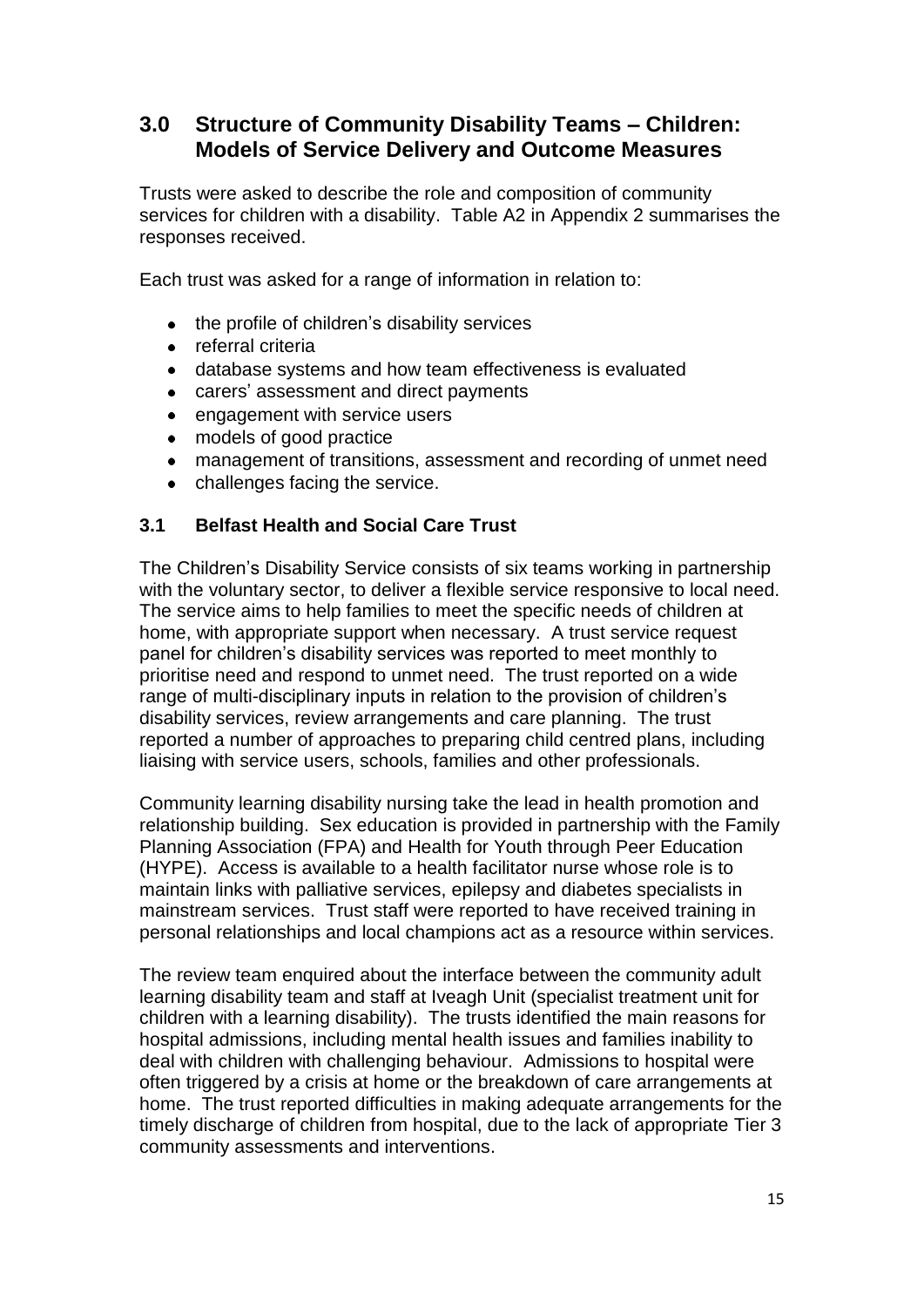# **3.0 Structure of Community Disability Teams – Children: Models of Service Delivery and Outcome Measures**

Trusts were asked to describe the role and composition of community services for children with a disability. Table A2 in Appendix 2 summarises the responses received.

Each trust was asked for a range of information in relation to:

- the profile of children"s disability services  $\bullet$
- referral criteria
- database systems and how team effectiveness is evaluated  $\bullet$
- carers" assessment and direct payments  $\bullet$
- $\bullet$ engagement with service users
- models of good practice  $\bullet$
- management of transitions, assessment and recording of unmet need  $\bullet$
- challenges facing the service.

#### **3.1 Belfast Health and Social Care Trust**

The Children"s Disability Service consists of six teams working in partnership with the voluntary sector, to deliver a flexible service responsive to local need. The service aims to help families to meet the specific needs of children at home, with appropriate support when necessary. A trust service request panel for children"s disability services was reported to meet monthly to prioritise need and respond to unmet need. The trust reported on a wide range of multi-disciplinary inputs in relation to the provision of children"s disability services, review arrangements and care planning. The trust reported a number of approaches to preparing child centred plans, including liaising with service users, schools, families and other professionals.

Community learning disability nursing take the lead in health promotion and relationship building. Sex education is provided in partnership with the Family Planning Association (FPA) and Health for Youth through Peer Education (HYPE). Access is available to a health facilitator nurse whose role is to maintain links with palliative services, epilepsy and diabetes specialists in mainstream services. Trust staff were reported to have received training in personal relationships and local champions act as a resource within services.

The review team enquired about the interface between the community adult learning disability team and staff at Iveagh Unit (specialist treatment unit for children with a learning disability). The trusts identified the main reasons for hospital admissions, including mental health issues and families inability to deal with children with challenging behaviour. Admissions to hospital were often triggered by a crisis at home or the breakdown of care arrangements at home. The trust reported difficulties in making adequate arrangements for the timely discharge of children from hospital, due to the lack of appropriate Tier 3 community assessments and interventions.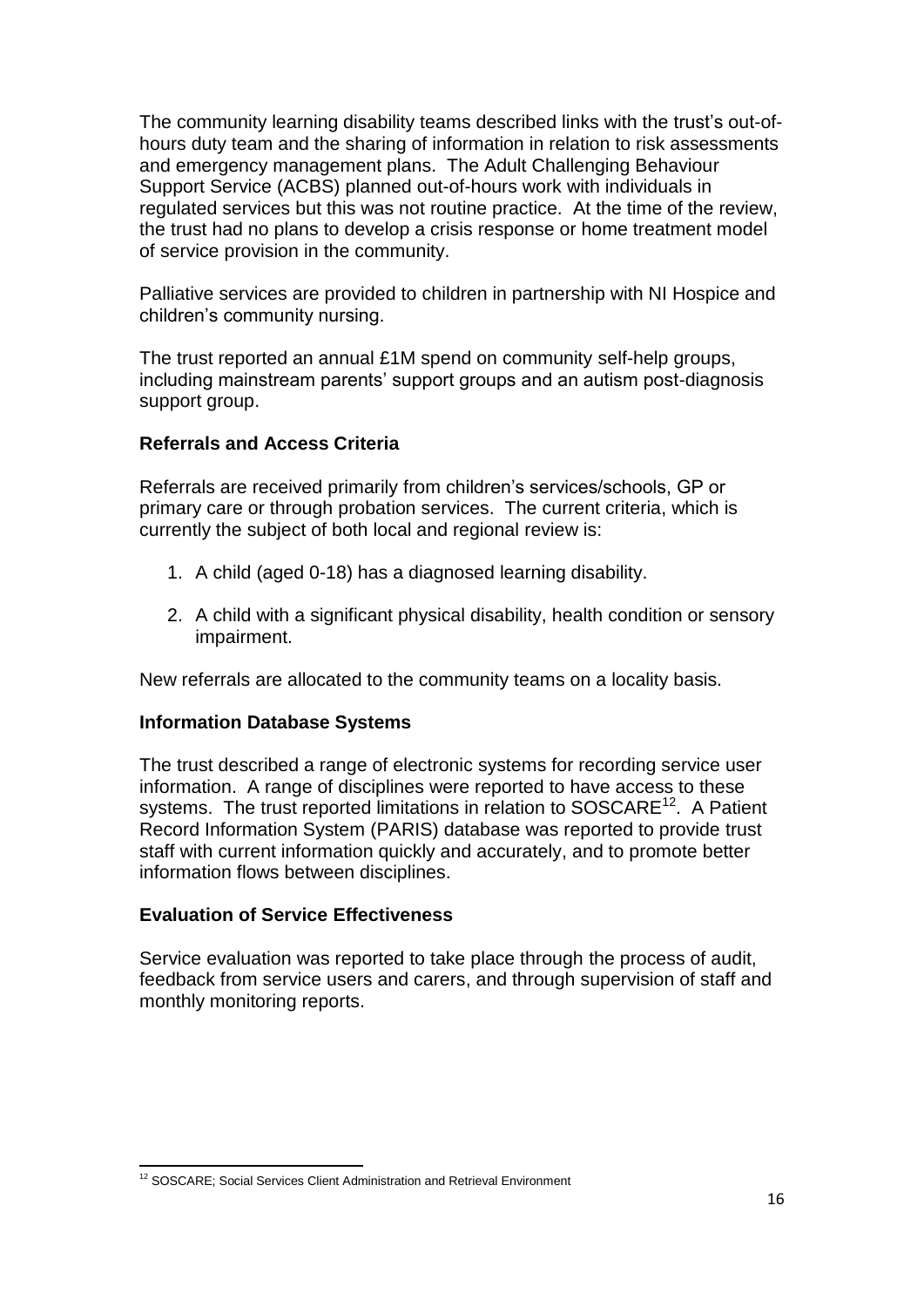The community learning disability teams described links with the trust"s out-ofhours duty team and the sharing of information in relation to risk assessments and emergency management plans. The Adult Challenging Behaviour Support Service (ACBS) planned out-of-hours work with individuals in regulated services but this was not routine practice. At the time of the review, the trust had no plans to develop a crisis response or home treatment model of service provision in the community.

Palliative services are provided to children in partnership with NI Hospice and children"s community nursing.

The trust reported an annual £1M spend on community self-help groups, including mainstream parents' support groups and an autism post-diagnosis support group.

# **Referrals and Access Criteria**

Referrals are received primarily from children's services/schools, GP or primary care or through probation services. The current criteria, which is currently the subject of both local and regional review is:

- 1. A child (aged 0-18) has a diagnosed learning disability.
- 2. A child with a significant physical disability, health condition or sensory impairment.

New referrals are allocated to the community teams on a locality basis.

#### **Information Database Systems**

The trust described a range of electronic systems for recording service user information. A range of disciplines were reported to have access to these systems. The trust reported limitations in relation to SOSCARE<sup>12</sup>. A Patient Record Information System (PARIS) database was reported to provide trust staff with current information quickly and accurately, and to promote better information flows between disciplines.

#### **Evaluation of Service Effectiveness**

Service evaluation was reported to take place through the process of audit, feedback from service users and carers, and through supervision of staff and monthly monitoring reports.

 $\overline{a}$ <sup>12</sup> SOSCARE; Social Services Client Administration and Retrieval Environment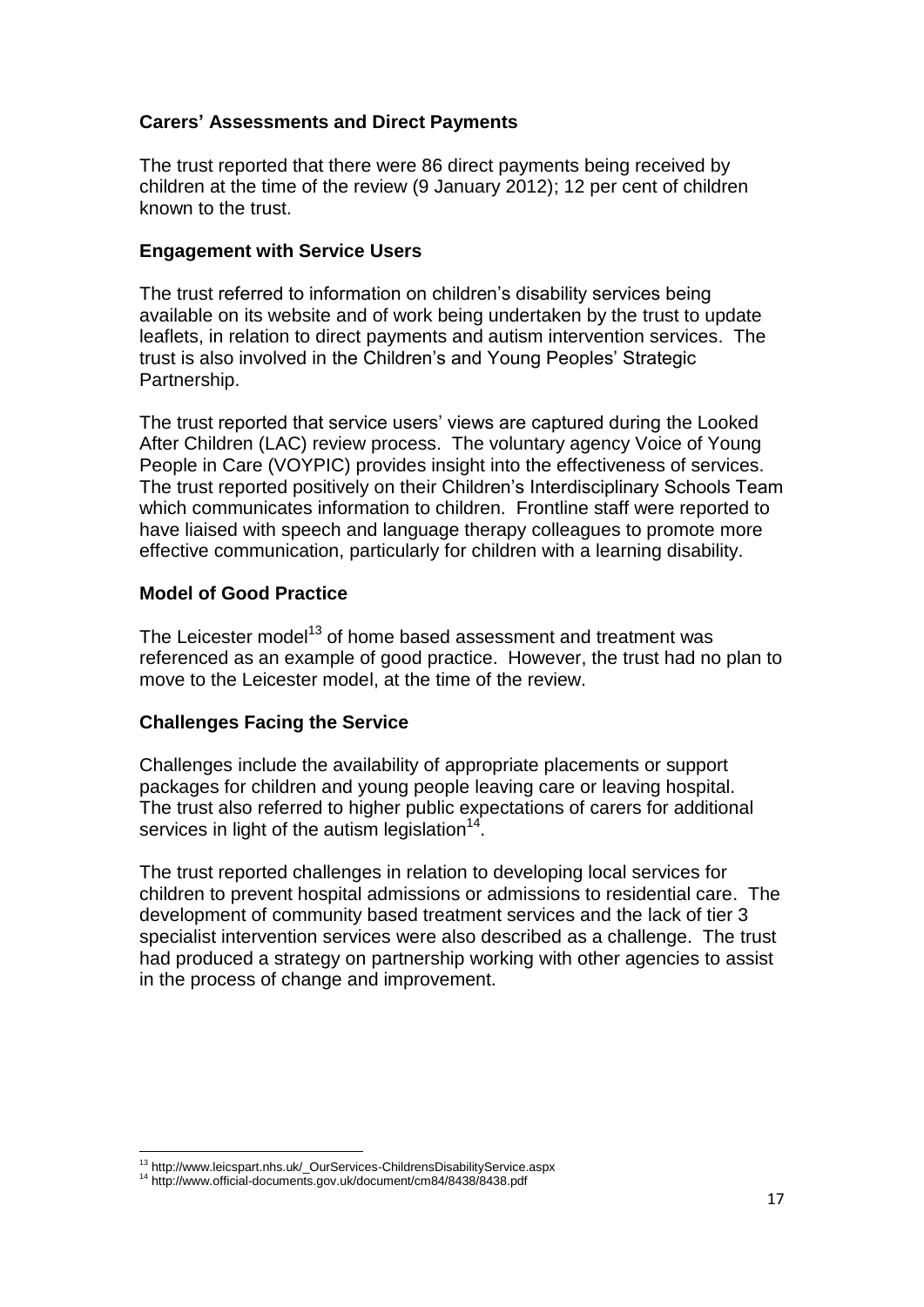# **Carers' Assessments and Direct Payments**

The trust reported that there were 86 direct payments being received by children at the time of the review (9 January 2012); 12 per cent of children known to the trust.

#### **Engagement with Service Users**

The trust referred to information on children's disability services being available on its website and of work being undertaken by the trust to update leaflets, in relation to direct payments and autism intervention services. The trust is also involved in the Children"s and Young Peoples" Strategic Partnership.

The trust reported that service users' views are captured during the Looked After Children (LAC) review process. The voluntary agency Voice of Young People in Care (VOYPIC) provides insight into the effectiveness of services. The trust reported positively on their Children"s Interdisciplinary Schools Team which communicates information to children. Frontline staff were reported to have liaised with speech and language therapy colleagues to promote more effective communication, particularly for children with a learning disability.

#### **Model of Good Practice**

The Leicester model<sup>13</sup> of home based assessment and treatment was referenced as an example of good practice. However, the trust had no plan to move to the Leicester model, at the time of the review.

#### **Challenges Facing the Service**

Challenges include the availability of appropriate placements or support packages for children and young people leaving care or leaving hospital. The trust also referred to higher public expectations of carers for additional services in light of the autism legislation $14$ .

The trust reported challenges in relation to developing local services for children to prevent hospital admissions or admissions to residential care. The development of community based treatment services and the lack of tier 3 specialist intervention services were also described as a challenge. The trust had produced a strategy on partnership working with other agencies to assist in the process of change and improvement.

 $\overline{a}$ <sup>13</sup> http://www.leicspart.nhs.uk/\_OurServices-ChildrensDisabilityService.aspx

<sup>14</sup> http://www.official-documents.gov.uk/document/cm84/8438/8438.pdf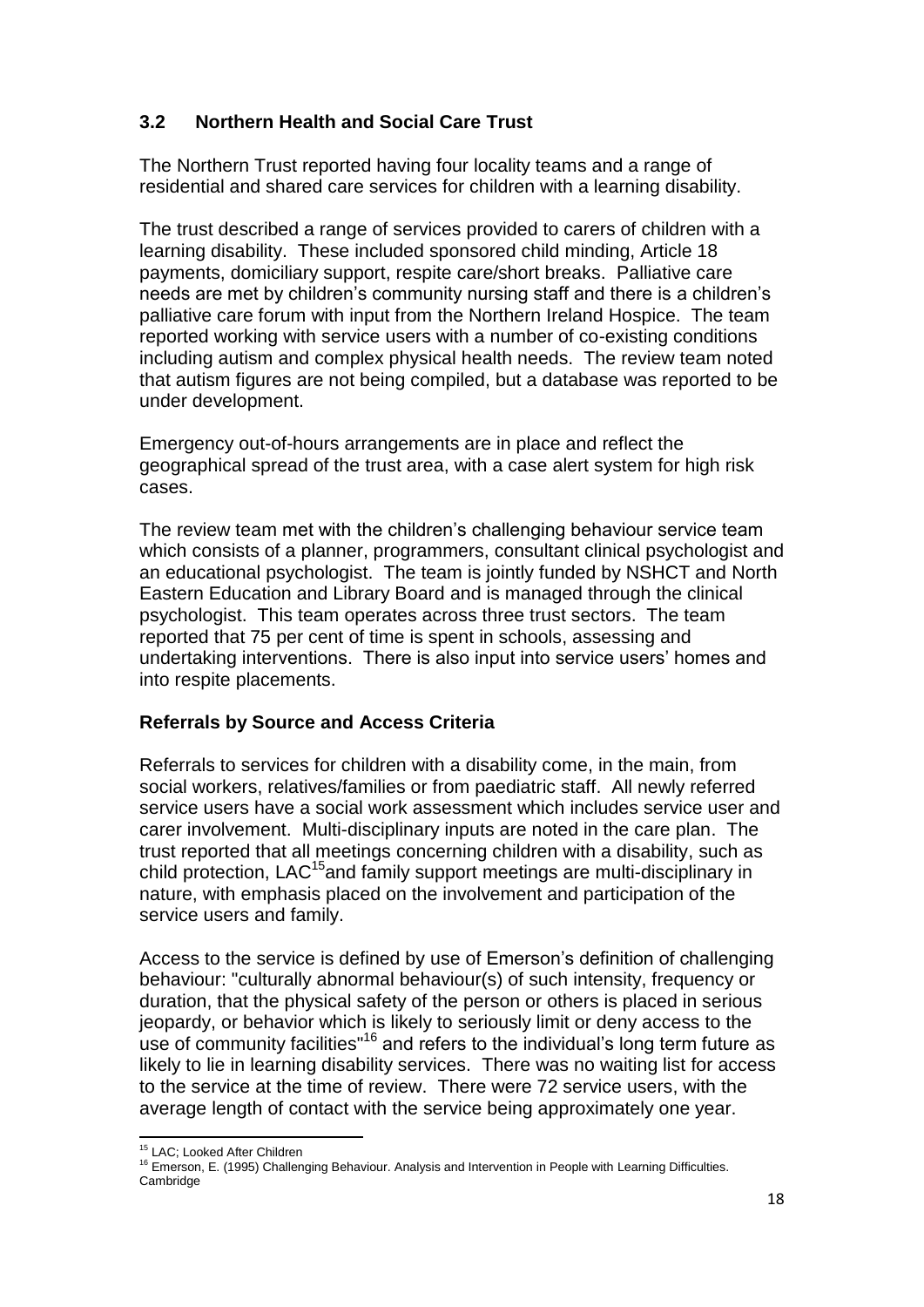# **3.2 Northern Health and Social Care Trust**

The Northern Trust reported having four locality teams and a range of residential and shared care services for children with a learning disability.

The trust described a range of services provided to carers of children with a learning disability. These included sponsored child minding, Article 18 payments, domiciliary support, respite care/short breaks. Palliative care needs are met by children's community nursing staff and there is a children's palliative care forum with input from the Northern Ireland Hospice. The team reported working with service users with a number of co-existing conditions including autism and complex physical health needs. The review team noted that autism figures are not being compiled, but a database was reported to be under development.

Emergency out-of-hours arrangements are in place and reflect the geographical spread of the trust area, with a case alert system for high risk cases.

The review team met with the children's challenging behaviour service team which consists of a planner, programmers, consultant clinical psychologist and an educational psychologist. The team is jointly funded by NSHCT and North Eastern Education and Library Board and is managed through the clinical psychologist. This team operates across three trust sectors. The team reported that 75 per cent of time is spent in schools, assessing and undertaking interventions. There is also input into service users" homes and into respite placements.

# **Referrals by Source and Access Criteria**

Referrals to services for children with a disability come, in the main, from social workers, relatives/families or from paediatric staff. All newly referred service users have a social work assessment which includes service user and carer involvement. Multi-disciplinary inputs are noted in the care plan. The trust reported that all meetings concerning children with a disability, such as child protection, LAC<sup>15</sup>and family support meetings are multi-disciplinary in nature, with emphasis placed on the involvement and participation of the service users and family.

Access to the service is defined by use of Emerson"s definition of challenging behaviour: "culturally abnormal behaviour(s) of such intensity, frequency or duration, that the physical safety of the person or others is placed in serious jeopardy, or behavior which is likely to seriously limit or deny access to the use of community facilities<sup>"16</sup> and refers to the individual's long term future as likely to lie in learning disability services. There was no waiting list for access to the service at the time of review. There were 72 service users, with the average length of contact with the service being approximately one year.

 $\overline{a}$ <sup>15</sup> LAC; Looked After Children

<sup>&</sup>lt;sup>16</sup> Emerson, E. (1995) Challenging Behaviour. Analysis and Intervention in People with Learning Difficulties. Cambridge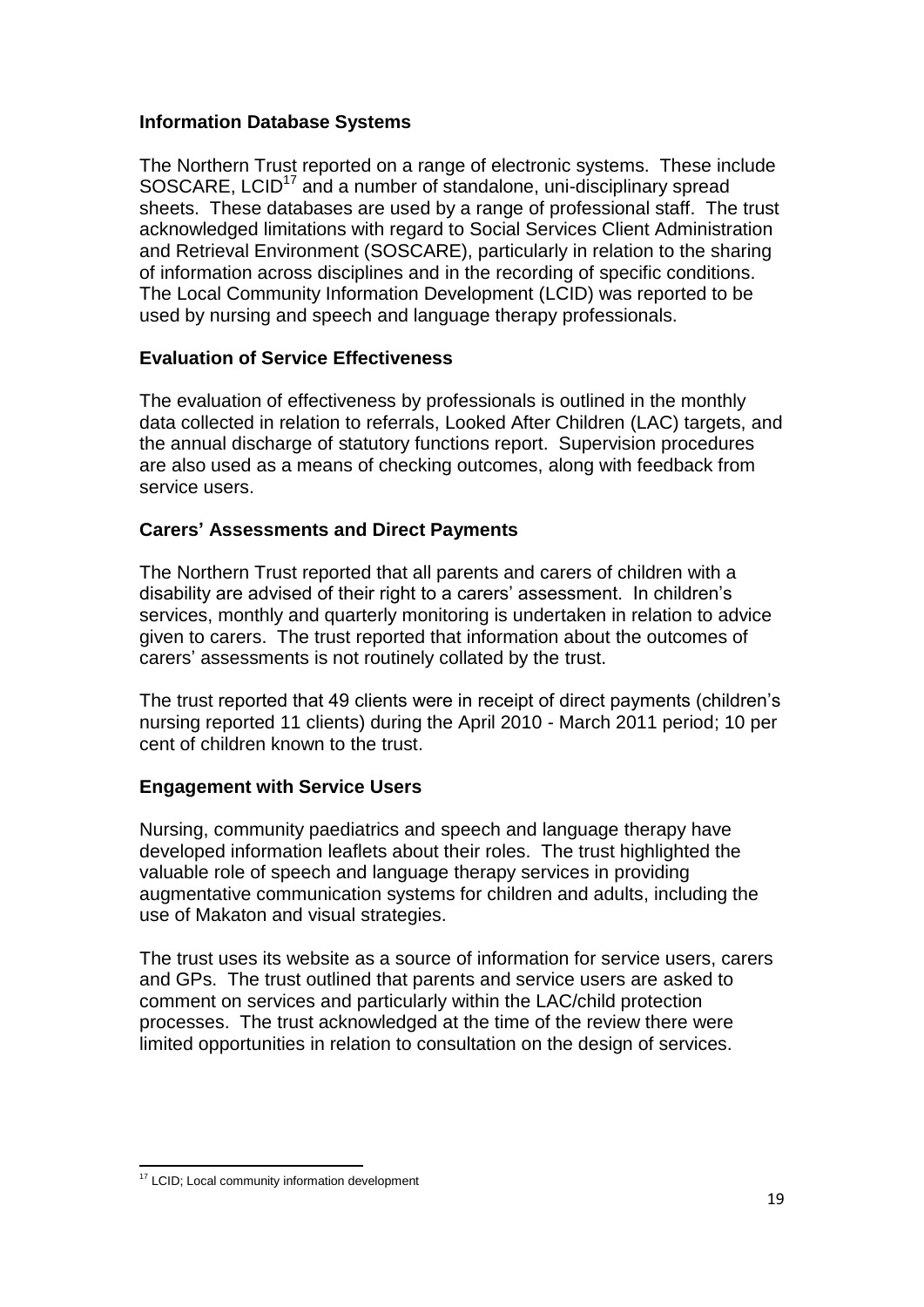# **Information Database Systems**

The Northern Trust reported on a range of electronic systems. These include SOSCARE, LCID<sup>17</sup> and a number of standalone, uni-disciplinary spread sheets. These databases are used by a range of professional staff. The trust acknowledged limitations with regard to Social Services Client Administration and Retrieval Environment (SOSCARE), particularly in relation to the sharing of information across disciplines and in the recording of specific conditions. The Local Community Information Development (LCID) was reported to be used by nursing and speech and language therapy professionals.

# **Evaluation of Service Effectiveness**

The evaluation of effectiveness by professionals is outlined in the monthly data collected in relation to referrals, Looked After Children (LAC) targets, and the annual discharge of statutory functions report. Supervision procedures are also used as a means of checking outcomes, along with feedback from service users.

# **Carers' Assessments and Direct Payments**

The Northern Trust reported that all parents and carers of children with a disability are advised of their right to a carers" assessment. In children"s services, monthly and quarterly monitoring is undertaken in relation to advice given to carers. The trust reported that information about the outcomes of carers" assessments is not routinely collated by the trust.

The trust reported that 49 clients were in receipt of direct payments (children"s nursing reported 11 clients) during the April 2010 - March 2011 period; 10 per cent of children known to the trust.

# **Engagement with Service Users**

Nursing, community paediatrics and speech and language therapy have developed information leaflets about their roles. The trust highlighted the valuable role of speech and language therapy services in providing augmentative communication systems for children and adults, including the use of Makaton and visual strategies.

The trust uses its website as a source of information for service users, carers and GPs. The trust outlined that parents and service users are asked to comment on services and particularly within the LAC/child protection processes. The trust acknowledged at the time of the review there were limited opportunities in relation to consultation on the design of services.

 $\overline{a}$ <sup>17</sup> LCID; Local community information development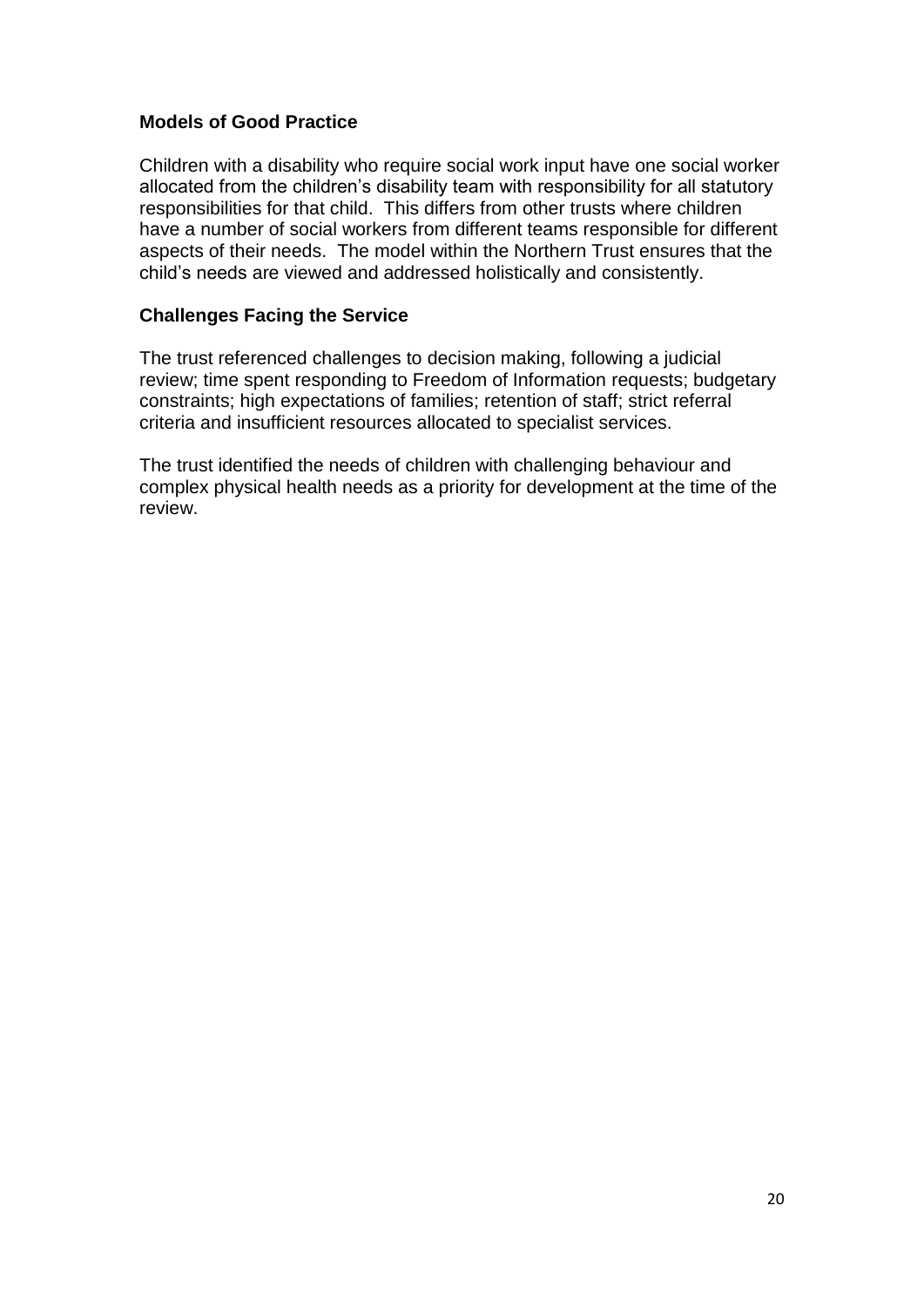# **Models of Good Practice**

Children with a disability who require social work input have one social worker allocated from the children"s disability team with responsibility for all statutory responsibilities for that child. This differs from other trusts where children have a number of social workers from different teams responsible for different aspects of their needs. The model within the Northern Trust ensures that the child"s needs are viewed and addressed holistically and consistently.

# **Challenges Facing the Service**

The trust referenced challenges to decision making, following a judicial review; time spent responding to Freedom of Information requests; budgetary constraints; high expectations of families; retention of staff; strict referral criteria and insufficient resources allocated to specialist services.

The trust identified the needs of children with challenging behaviour and complex physical health needs as a priority for development at the time of the review.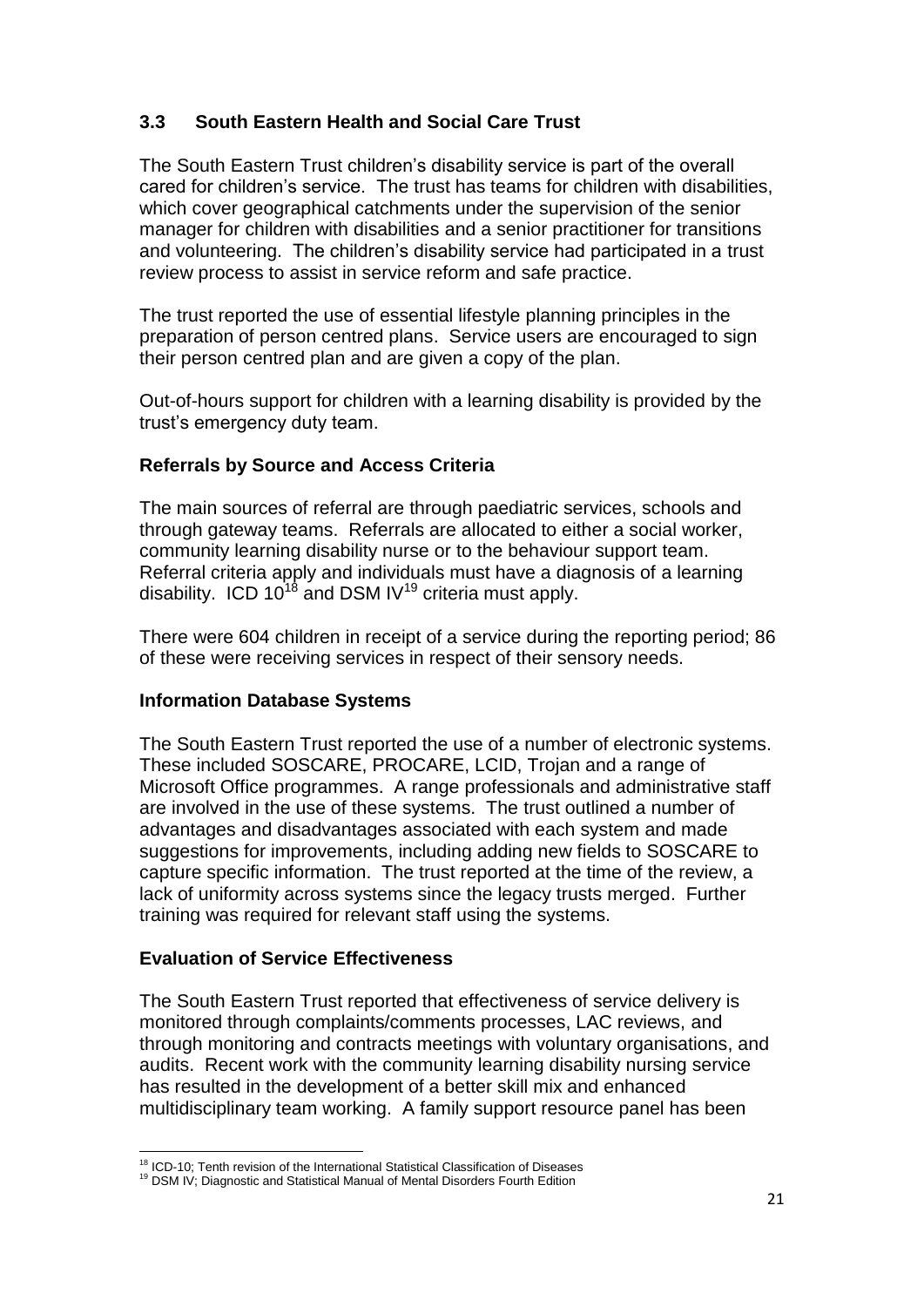# **3.3 South Eastern Health and Social Care Trust**

The South Eastern Trust children"s disability service is part of the overall cared for children"s service. The trust has teams for children with disabilities, which cover geographical catchments under the supervision of the senior manager for children with disabilities and a senior practitioner for transitions and volunteering. The children"s disability service had participated in a trust review process to assist in service reform and safe practice.

The trust reported the use of essential lifestyle planning principles in the preparation of person centred plans. Service users are encouraged to sign their person centred plan and are given a copy of the plan.

Out-of-hours support for children with a learning disability is provided by the trust"s emergency duty team.

# **Referrals by Source and Access Criteria**

The main sources of referral are through paediatric services, schools and through gateway teams. Referrals are allocated to either a social worker, community learning disability nurse or to the behaviour support team. Referral criteria apply and individuals must have a diagnosis of a learning disability. ICD  $10^{18}$  and DSM IV<sup>19</sup> criteria must apply.

There were 604 children in receipt of a service during the reporting period; 86 of these were receiving services in respect of their sensory needs.

# **Information Database Systems**

The South Eastern Trust reported the use of a number of electronic systems. These included SOSCARE, PROCARE, LCID, Trojan and a range of Microsoft Office programmes. A range professionals and administrative staff are involved in the use of these systems. The trust outlined a number of advantages and disadvantages associated with each system and made suggestions for improvements, including adding new fields to SOSCARE to capture specific information. The trust reported at the time of the review, a lack of uniformity across systems since the legacy trusts merged. Further training was required for relevant staff using the systems.

#### **Evaluation of Service Effectiveness**

The South Eastern Trust reported that effectiveness of service delivery is monitored through complaints/comments processes, LAC reviews, and through monitoring and contracts meetings with voluntary organisations, and audits. Recent work with the community learning disability nursing service has resulted in the development of a better skill mix and enhanced multidisciplinary team working. A family support resource panel has been

 $\overline{a}$ <sup>18</sup> ICD-10; Tenth revision of the International Statistical Classification of Diseases

<sup>&</sup>lt;sup>19</sup> DSM IV; Diagnostic and Statistical Manual of Mental Disorders Fourth Edition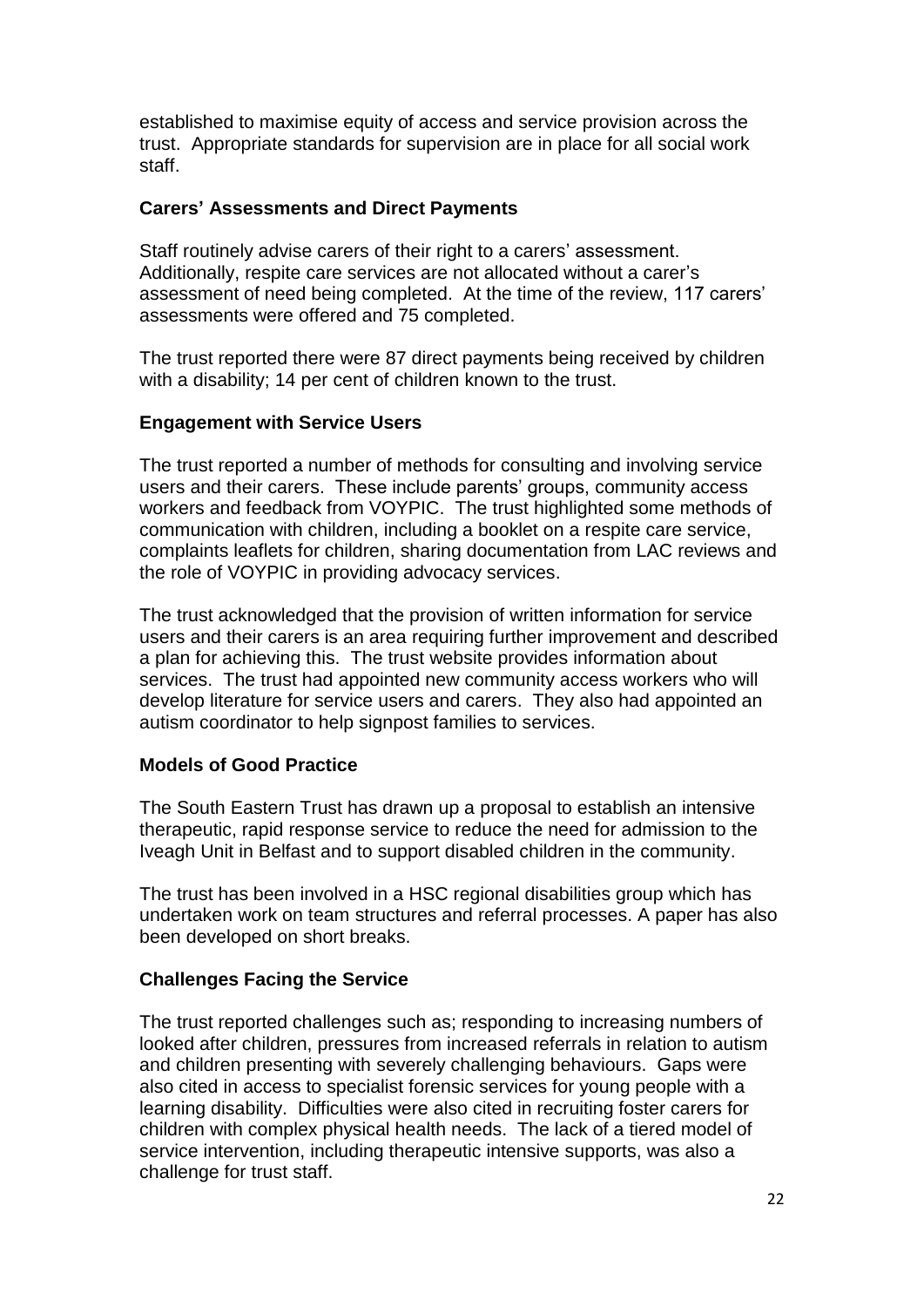established to maximise equity of access and service provision across the trust. Appropriate standards for supervision are in place for all social work staff.

#### **Carers' Assessments and Direct Payments**

Staff routinely advise carers of their right to a carers' assessment. Additionally, respite care services are not allocated without a carer"s assessment of need being completed. At the time of the review, 117 carers" assessments were offered and 75 completed.

The trust reported there were 87 direct payments being received by children with a disability; 14 per cent of children known to the trust.

#### **Engagement with Service Users**

The trust reported a number of methods for consulting and involving service users and their carers. These include parents' groups, community access workers and feedback from VOYPIC. The trust highlighted some methods of communication with children, including a booklet on a respite care service, complaints leaflets for children, sharing documentation from LAC reviews and the role of VOYPIC in providing advocacy services.

The trust acknowledged that the provision of written information for service users and their carers is an area requiring further improvement and described a plan for achieving this. The trust website provides information about services. The trust had appointed new community access workers who will develop literature for service users and carers. They also had appointed an autism coordinator to help signpost families to services.

#### **Models of Good Practice**

The South Eastern Trust has drawn up a proposal to establish an intensive therapeutic, rapid response service to reduce the need for admission to the Iveagh Unit in Belfast and to support disabled children in the community.

The trust has been involved in a HSC regional disabilities group which has undertaken work on team structures and referral processes. A paper has also been developed on short breaks.

#### **Challenges Facing the Service**

The trust reported challenges such as; responding to increasing numbers of looked after children, pressures from increased referrals in relation to autism and children presenting with severely challenging behaviours. Gaps were also cited in access to specialist forensic services for young people with a learning disability. Difficulties were also cited in recruiting foster carers for children with complex physical health needs. The lack of a tiered model of service intervention, including therapeutic intensive supports, was also a challenge for trust staff.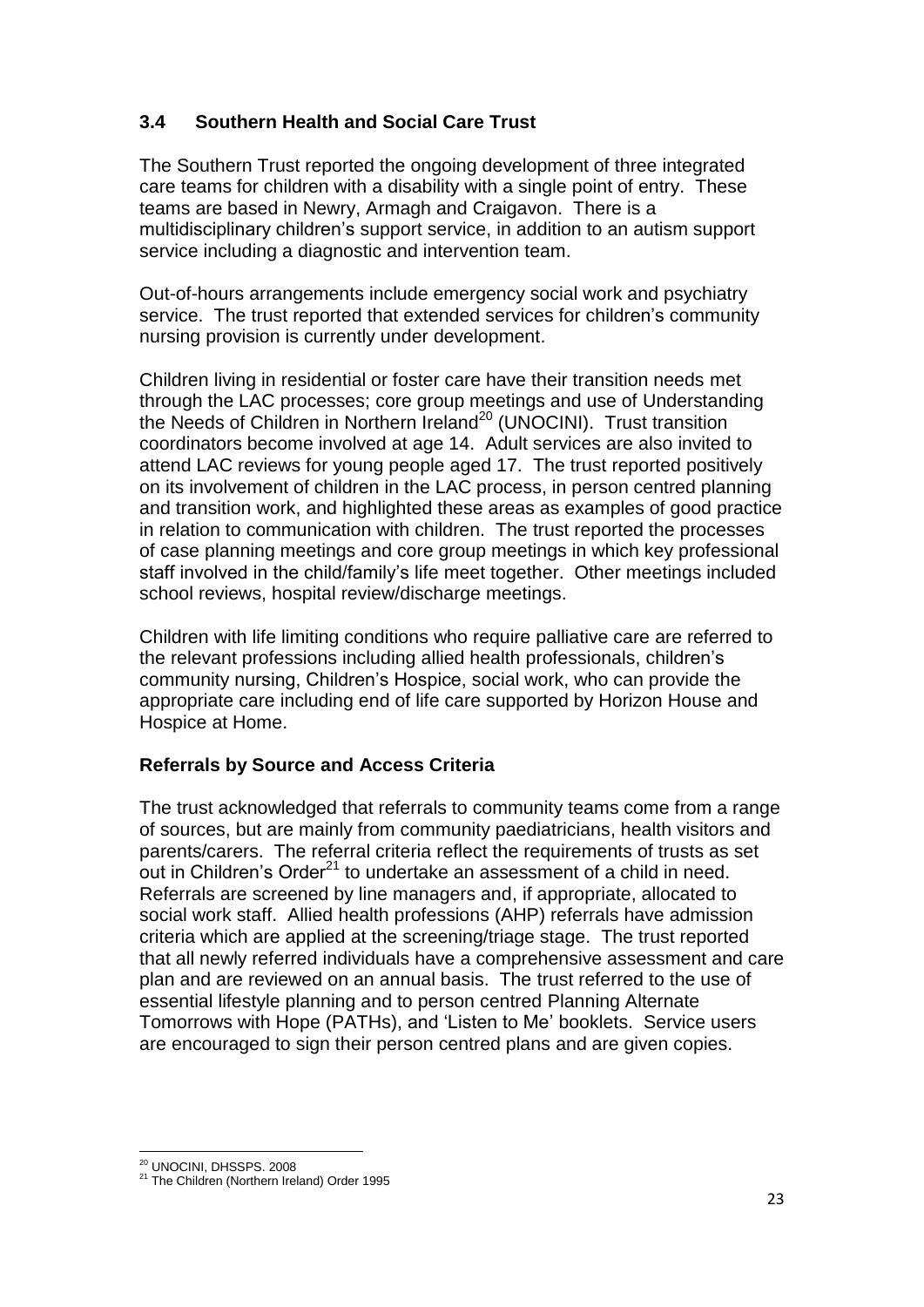# **3.4 Southern Health and Social Care Trust**

The Southern Trust reported the ongoing development of three integrated care teams for children with a disability with a single point of entry. These teams are based in Newry, Armagh and Craigavon. There is a multidisciplinary children"s support service, in addition to an autism support service including a diagnostic and intervention team.

Out-of-hours arrangements include emergency social work and psychiatry service. The trust reported that extended services for children"s community nursing provision is currently under development.

Children living in residential or foster care have their transition needs met through the LAC processes; core group meetings and use of Understanding the Needs of Children in Northern Ireland<sup>20</sup> (UNOCINI). Trust transition coordinators become involved at age 14. Adult services are also invited to attend LAC reviews for young people aged 17. The trust reported positively on its involvement of children in the LAC process, in person centred planning and transition work, and highlighted these areas as examples of good practice in relation to communication with children. The trust reported the processes of case planning meetings and core group meetings in which key professional staff involved in the child/family"s life meet together. Other meetings included school reviews, hospital review/discharge meetings.

Children with life limiting conditions who require palliative care are referred to the relevant professions including allied health professionals, children"s community nursing, Children"s Hospice, social work, who can provide the appropriate care including end of life care supported by Horizon House and Hospice at Home.

# **Referrals by Source and Access Criteria**

The trust acknowledged that referrals to community teams come from a range of sources, but are mainly from community paediatricians, health visitors and parents/carers. The referral criteria reflect the requirements of trusts as set out in Children's Order<sup>21</sup> to undertake an assessment of a child in need. Referrals are screened by line managers and, if appropriate, allocated to social work staff. Allied health professions (AHP) referrals have admission criteria which are applied at the screening/triage stage. The trust reported that all newly referred individuals have a comprehensive assessment and care plan and are reviewed on an annual basis. The trust referred to the use of essential lifestyle planning and to person centred Planning Alternate Tomorrows with Hope (PATHs), and "Listen to Me" booklets. Service users are encouraged to sign their person centred plans and are given copies.

 $\overline{a}$ <sup>20</sup> UNOCINI, DHSSPS. 2008

<sup>&</sup>lt;sup>21</sup> The Children (Northern Ireland) Order 1995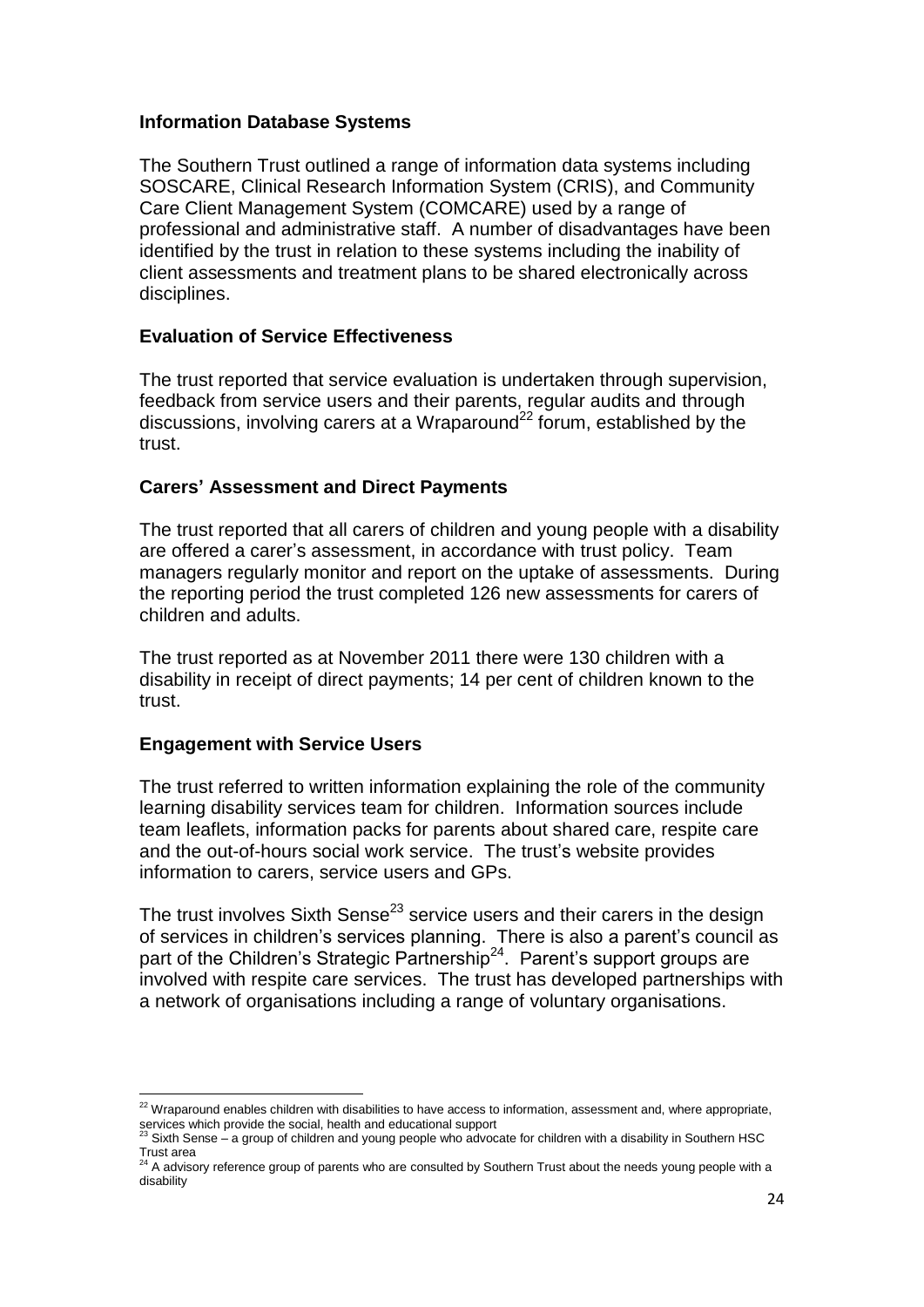#### **Information Database Systems**

The Southern Trust outlined a range of information data systems including SOSCARE, Clinical Research Information System (CRIS), and Community Care Client Management System (COMCARE) used by a range of professional and administrative staff. A number of disadvantages have been identified by the trust in relation to these systems including the inability of client assessments and treatment plans to be shared electronically across disciplines.

#### **Evaluation of Service Effectiveness**

The trust reported that service evaluation is undertaken through supervision, feedback from service users and their parents, regular audits and through discussions, involving carers at a Wraparound<sup>22</sup> forum, established by the trust.

#### **Carers' Assessment and Direct Payments**

The trust reported that all carers of children and young people with a disability are offered a carer"s assessment, in accordance with trust policy. Team managers regularly monitor and report on the uptake of assessments. During the reporting period the trust completed 126 new assessments for carers of children and adults.

The trust reported as at November 2011 there were 130 children with a disability in receipt of direct payments; 14 per cent of children known to the trust.

#### **Engagement with Service Users**

The trust referred to written information explaining the role of the community learning disability services team for children. Information sources include team leaflets, information packs for parents about shared care, respite care and the out-of-hours social work service. The trust"s website provides information to carers, service users and GPs.

The trust involves Sixth Sense<sup>23</sup> service users and their carers in the design of services in children's services planning. There is also a parent's council as part of the Children's Strategic Partnership<sup>24</sup>. Parent's support groups are involved with respite care services. The trust has developed partnerships with a network of organisations including a range of voluntary organisations.

 $\overline{a}$  $^{22}$  Wraparound enables children with disabilities to have access to information, assessment and, where appropriate, services which provide the social, health and educational support<br><sup>23</sup> Sixth Sense – a group of children and young people who advocate for children with a disability in Southern HSC

Trust area<br><sup>24</sup> A advisory reference group of parents who are consulted by Southern Trust about the needs young people with a

disability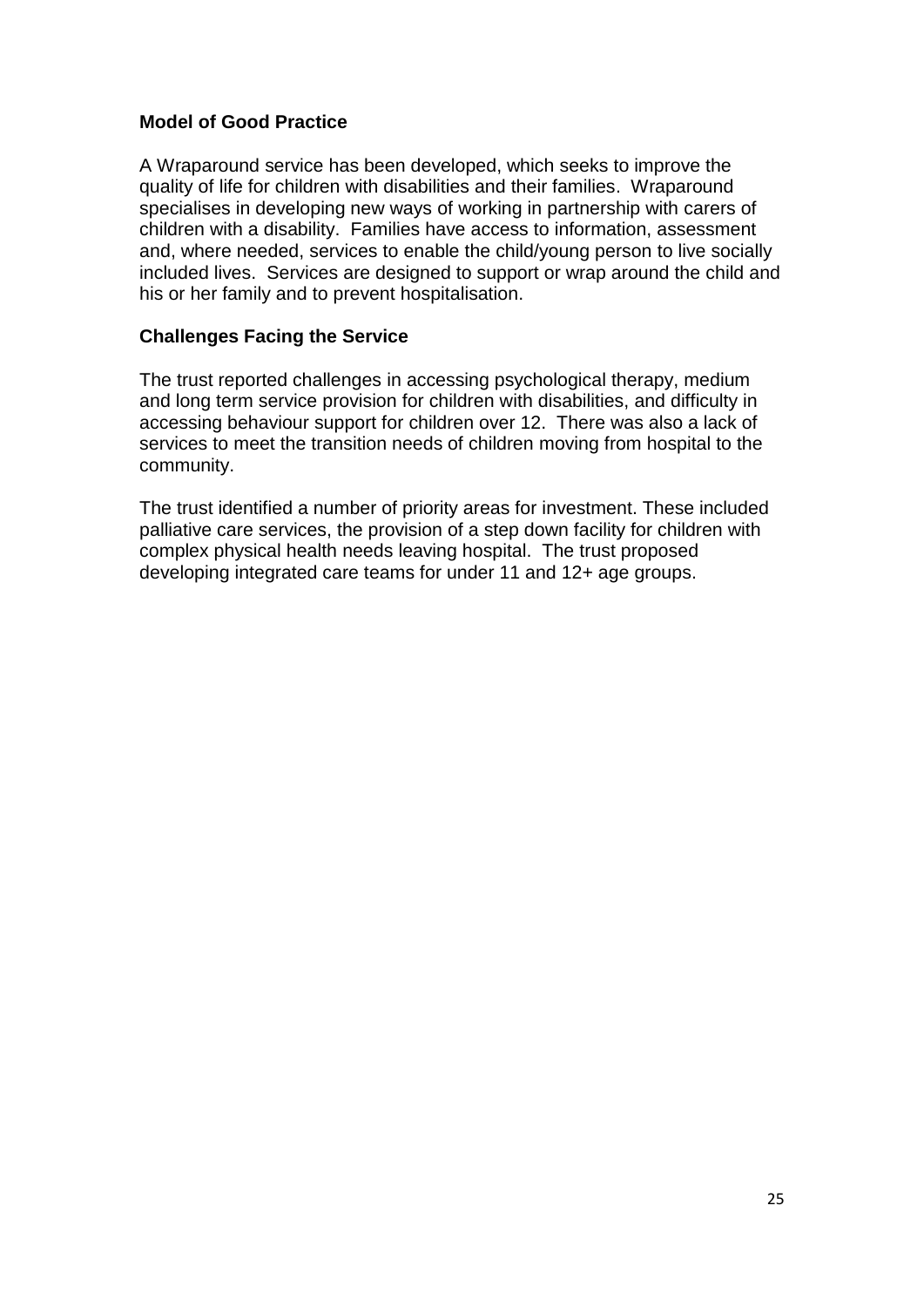#### **Model of Good Practice**

A Wraparound service has been developed, which seeks to improve the quality of life for children with disabilities and their families. Wraparound specialises in developing new ways of working in partnership with carers of children with a disability. Families have access to information, assessment and, where needed, services to enable the child/young person to live socially included lives. Services are designed to support or wrap around the child and his or her family and to prevent hospitalisation.

# **Challenges Facing the Service**

The trust reported challenges in accessing psychological therapy, medium and long term service provision for children with disabilities, and difficulty in accessing behaviour support for children over 12. There was also a lack of services to meet the transition needs of children moving from hospital to the community.

The trust identified a number of priority areas for investment. These included palliative care services, the provision of a step down facility for children with complex physical health needs leaving hospital. The trust proposed developing integrated care teams for under 11 and 12+ age groups.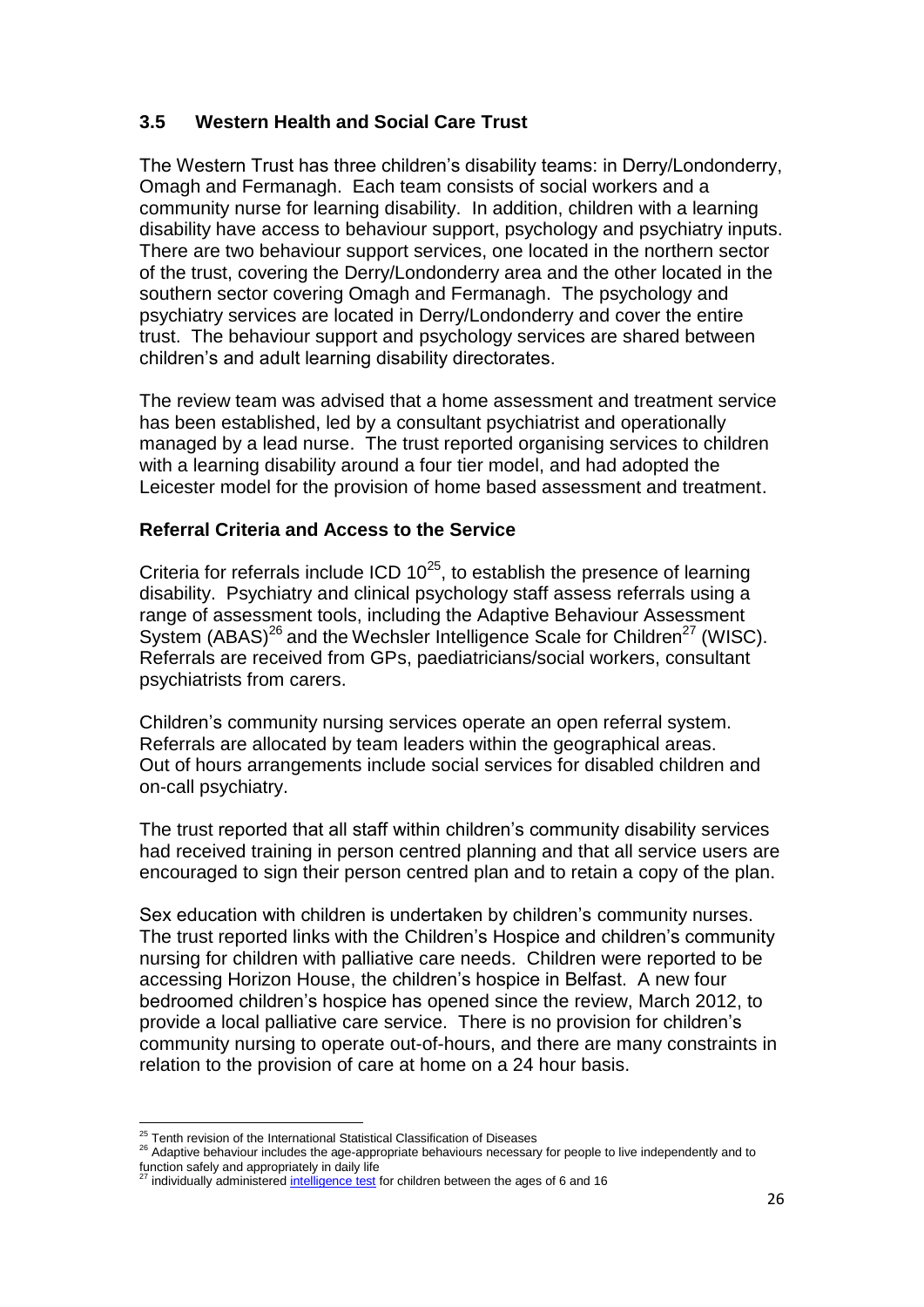# **3.5 Western Health and Social Care Trust**

The Western Trust has three children"s disability teams: in Derry/Londonderry, Omagh and Fermanagh. Each team consists of social workers and a community nurse for learning disability. In addition, children with a learning disability have access to behaviour support, psychology and psychiatry inputs. There are two behaviour support services, one located in the northern sector of the trust, covering the Derry/Londonderry area and the other located in the southern sector covering Omagh and Fermanagh. The psychology and psychiatry services are located in Derry/Londonderry and cover the entire trust. The behaviour support and psychology services are shared between children"s and adult learning disability directorates.

The review team was advised that a home assessment and treatment service has been established, led by a consultant psychiatrist and operationally managed by a lead nurse. The trust reported organising services to children with a learning disability around a four tier model, and had adopted the Leicester model for the provision of home based assessment and treatment.

# **Referral Criteria and Access to the Service**

Criteria for referrals include ICD  $10^{25}$ , to establish the presence of learning disability. Psychiatry and clinical psychology staff assess referrals using a range of assessment tools, including the Adaptive Behaviour Assessment System (ABAS)<sup>26</sup> and the Wechsler Intelligence Scale for Children<sup>27</sup> (WISC). Referrals are received from GPs, paediatricians/social workers, consultant psychiatrists from carers.

Children"s community nursing services operate an open referral system. Referrals are allocated by team leaders within the geographical areas. Out of hours arrangements include social services for disabled children and on-call psychiatry.

The trust reported that all staff within children's community disability services had received training in person centred planning and that all service users are encouraged to sign their person centred plan and to retain a copy of the plan.

Sex education with children is undertaken by children's community nurses. The trust reported links with the Children"s Hospice and children"s community nursing for children with palliative care needs. Children were reported to be accessing Horizon House, the children"s hospice in Belfast. A new four bedroomed children"s hospice has opened since the review, March 2012, to provide a local palliative care service. There is no provision for children"s community nursing to operate out-of-hours, and there are many constraints in relation to the provision of care at home on a 24 hour basis.

 $\overline{a}$ <sup>25</sup> Tenth revision of the International Statistical Classification of Diseases

<sup>&</sup>lt;sup>26</sup> Adaptive behaviour includes the age-appropriate behaviours necessary for people to live independently and to function safely and appropriately in daily life

individually administered [intelligence test](http://en.wikipedia.org/wiki/Intelligence_test) for children between the ages of 6 and 16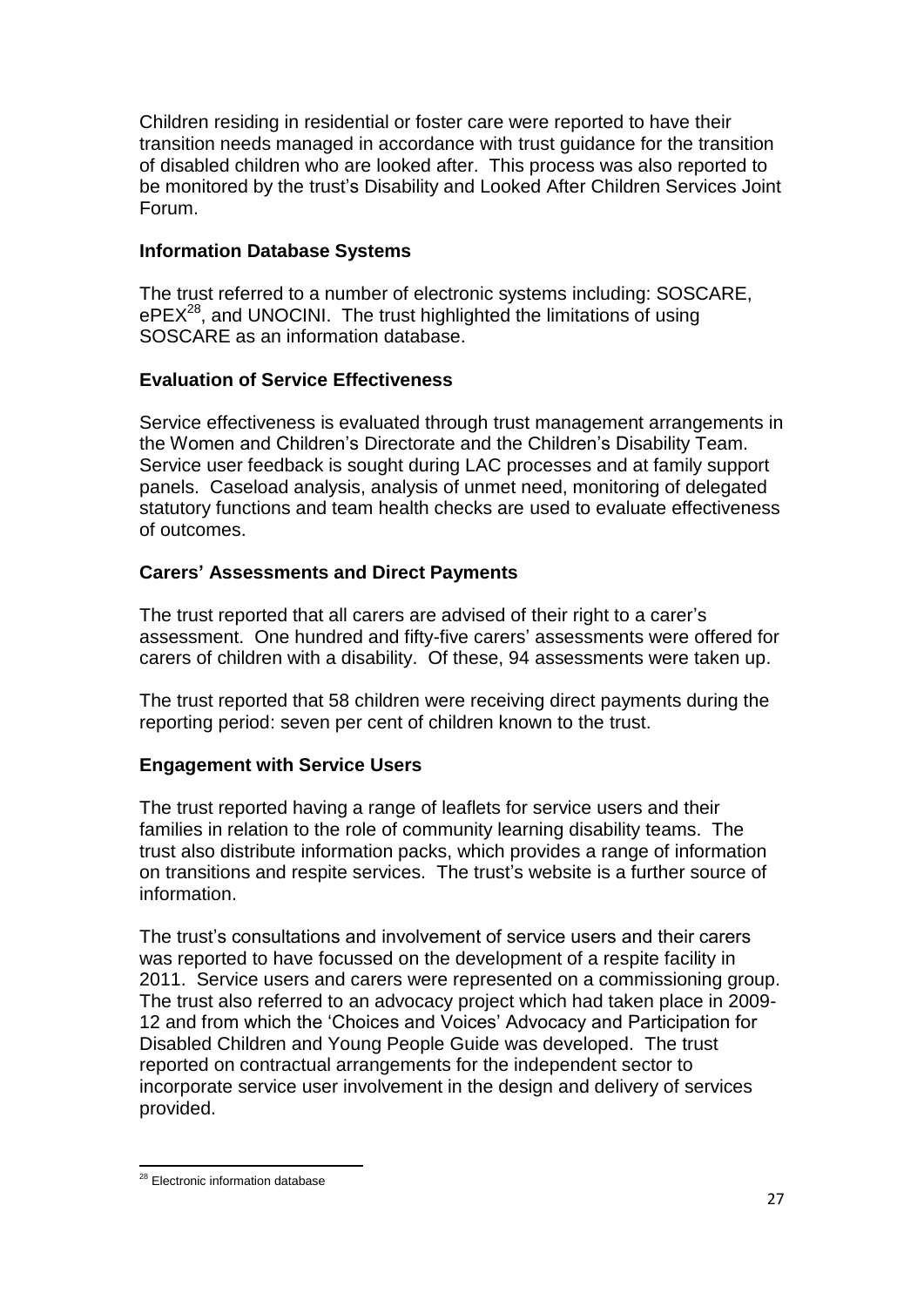Children residing in residential or foster care were reported to have their transition needs managed in accordance with trust guidance for the transition of disabled children who are looked after. This process was also reported to be monitored by the trust"s Disability and Looked After Children Services Joint Forum.

# **Information Database Systems**

The trust referred to a number of electronic systems including: SOSCARE,  $ePEX<sup>28</sup>$ , and UNOCINI. The trust highlighted the limitations of using SOSCARE as an information database.

# **Evaluation of Service Effectiveness**

Service effectiveness is evaluated through trust management arrangements in the Women and Children"s Directorate and the Children"s Disability Team. Service user feedback is sought during LAC processes and at family support panels. Caseload analysis, analysis of unmet need, monitoring of delegated statutory functions and team health checks are used to evaluate effectiveness of outcomes.

# **Carers' Assessments and Direct Payments**

The trust reported that all carers are advised of their right to a carer"s assessment. One hundred and fifty-five carers' assessments were offered for carers of children with a disability. Of these, 94 assessments were taken up.

The trust reported that 58 children were receiving direct payments during the reporting period: seven per cent of children known to the trust.

# **Engagement with Service Users**

The trust reported having a range of leaflets for service users and their families in relation to the role of community learning disability teams. The trust also distribute information packs, which provides a range of information on transitions and respite services. The trust"s website is a further source of information.

The trust"s consultations and involvement of service users and their carers was reported to have focussed on the development of a respite facility in 2011. Service users and carers were represented on a commissioning group. The trust also referred to an advocacy project which had taken place in 2009- 12 and from which the "Choices and Voices" Advocacy and Participation for Disabled Children and Young People Guide was developed. The trust reported on contractual arrangements for the independent sector to incorporate service user involvement in the design and delivery of services provided.

 $\overline{a}$ <sup>28</sup> Electronic information database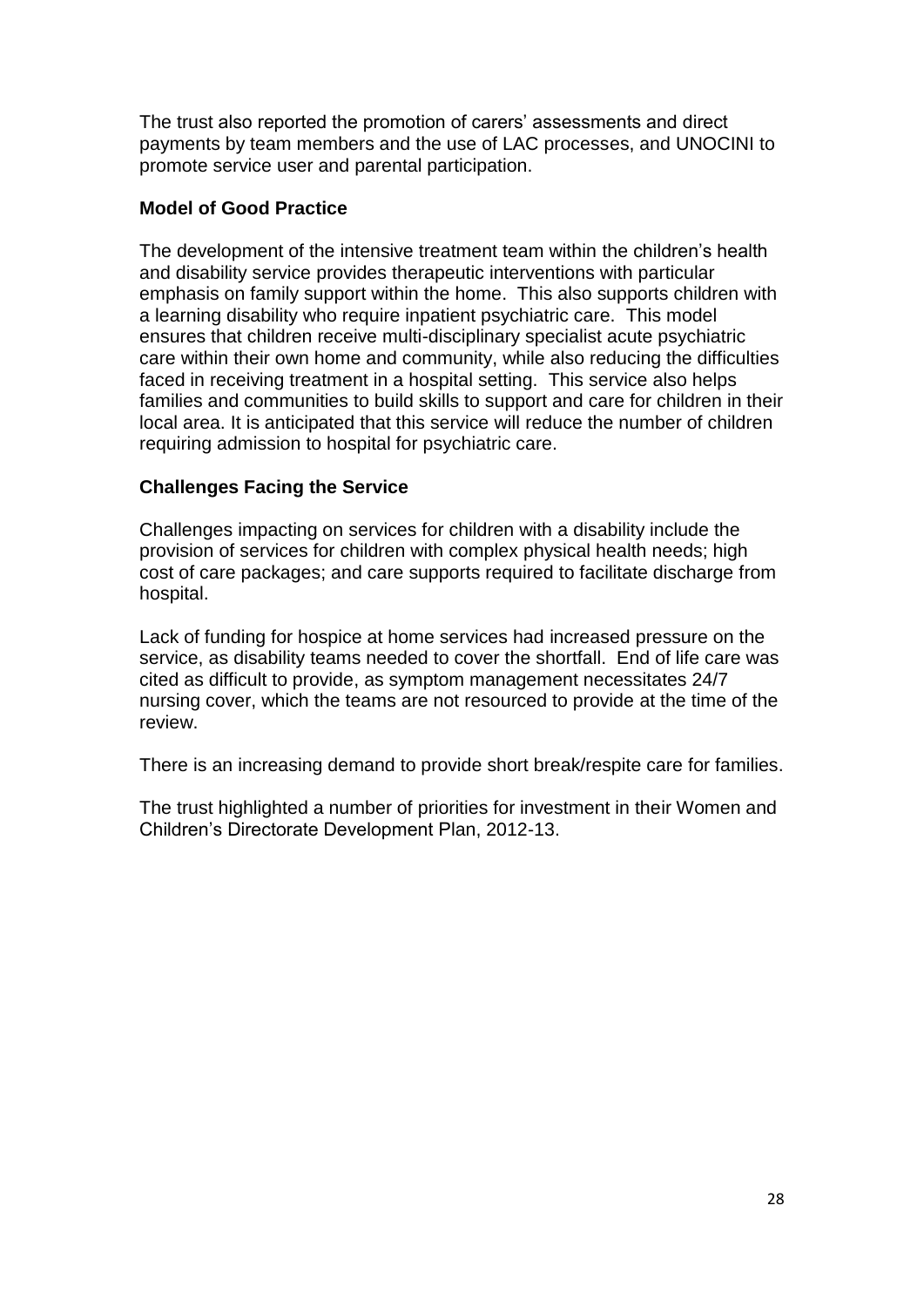The trust also reported the promotion of carers' assessments and direct payments by team members and the use of LAC processes, and UNOCINI to promote service user and parental participation.

# **Model of Good Practice**

The development of the intensive treatment team within the children's health and disability service provides therapeutic interventions with particular emphasis on family support within the home. This also supports children with a learning disability who require inpatient psychiatric care. This model ensures that children receive multi-disciplinary specialist acute psychiatric care within their own home and community, while also reducing the difficulties faced in receiving treatment in a hospital setting. This service also helps families and communities to build skills to support and care for children in their local area. It is anticipated that this service will reduce the number of children requiring admission to hospital for psychiatric care.

# **Challenges Facing the Service**

Challenges impacting on services for children with a disability include the provision of services for children with complex physical health needs; high cost of care packages; and care supports required to facilitate discharge from hospital.

Lack of funding for hospice at home services had increased pressure on the service, as disability teams needed to cover the shortfall. End of life care was cited as difficult to provide, as symptom management necessitates 24/7 nursing cover, which the teams are not resourced to provide at the time of the review.

There is an increasing demand to provide short break/respite care for families.

The trust highlighted a number of priorities for investment in their Women and Children"s Directorate Development Plan, 2012-13.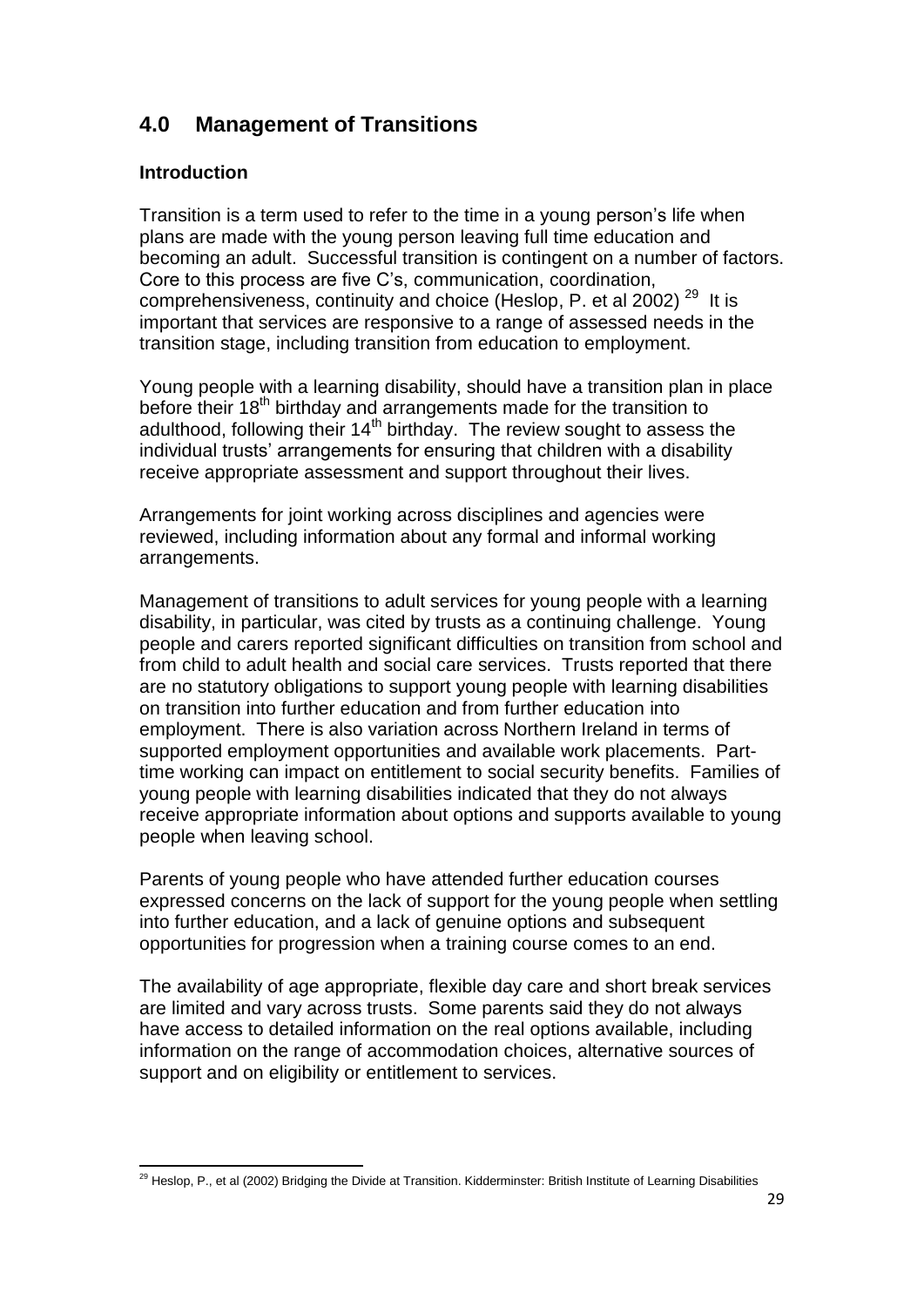# **4.0 Management of Transitions**

# **Introduction**

Transition is a term used to refer to the time in a young person"s life when plans are made with the young person leaving full time education and becoming an adult. Successful transition is contingent on a number of factors. Core to this process are five C"s, communication, coordination, comprehensiveness, continuity and choice (Heslop, P. et al 2002)<sup>29</sup> It is important that services are responsive to a range of assessed needs in the transition stage, including transition from education to employment.

Young people with a learning disability, should have a transition plan in place before their 18<sup>th</sup> birthday and arrangements made for the transition to adulthood, following their  $14<sup>th</sup>$  birthday. The review sought to assess the individual trusts' arrangements for ensuring that children with a disability receive appropriate assessment and support throughout their lives.

Arrangements for joint working across disciplines and agencies were reviewed, including information about any formal and informal working arrangements.

Management of transitions to adult services for young people with a learning disability, in particular, was cited by trusts as a continuing challenge. Young people and carers reported significant difficulties on transition from school and from child to adult health and social care services. Trusts reported that there are no statutory obligations to support young people with learning disabilities on transition into further education and from further education into employment. There is also variation across Northern Ireland in terms of supported employment opportunities and available work placements. Parttime working can impact on entitlement to social security benefits. Families of young people with learning disabilities indicated that they do not always receive appropriate information about options and supports available to young people when leaving school.

Parents of young people who have attended further education courses expressed concerns on the lack of support for the young people when settling into further education, and a lack of genuine options and subsequent opportunities for progression when a training course comes to an end.

The availability of age appropriate, flexible day care and short break services are limited and vary across trusts. Some parents said they do not always have access to detailed information on the real options available, including information on the range of accommodation choices, alternative sources of support and on eligibility or entitlement to services.

 $\overline{a}$ <sup>29</sup> Heslop, P., et al (2002) Bridging the Divide at Transition. Kidderminster: British Institute of Learning Disabilities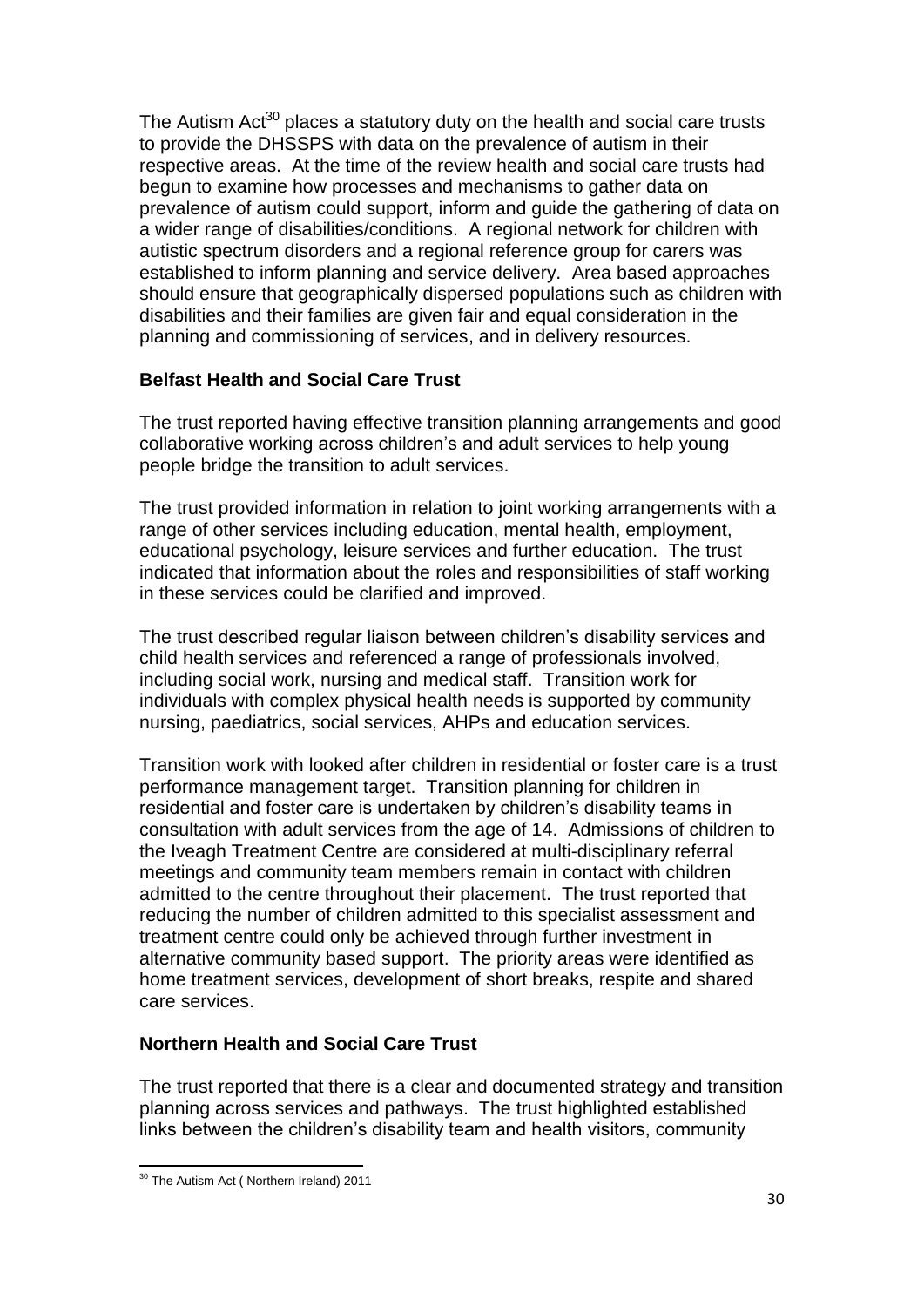The Autism  $Act^{30}$  places a statutory duty on the health and social care trusts to provide the DHSSPS with data on the prevalence of autism in their respective areas. At the time of the review health and social care trusts had begun to examine how processes and mechanisms to gather data on prevalence of autism could support, inform and guide the gathering of data on a wider range of disabilities/conditions. A regional network for children with autistic spectrum disorders and a regional reference group for carers was established to inform planning and service delivery. Area based approaches should ensure that geographically dispersed populations such as children with disabilities and their families are given fair and equal consideration in the planning and commissioning of services, and in delivery resources.

# **Belfast Health and Social Care Trust**

The trust reported having effective transition planning arrangements and good collaborative working across children"s and adult services to help young people bridge the transition to adult services.

The trust provided information in relation to joint working arrangements with a range of other services including education, mental health, employment, educational psychology, leisure services and further education. The trust indicated that information about the roles and responsibilities of staff working in these services could be clarified and improved.

The trust described regular liaison between children"s disability services and child health services and referenced a range of professionals involved, including social work, nursing and medical staff. Transition work for individuals with complex physical health needs is supported by community nursing, paediatrics, social services, AHPs and education services.

Transition work with looked after children in residential or foster care is a trust performance management target. Transition planning for children in residential and foster care is undertaken by children's disability teams in consultation with adult services from the age of 14. Admissions of children to the Iveagh Treatment Centre are considered at multi-disciplinary referral meetings and community team members remain in contact with children admitted to the centre throughout their placement. The trust reported that reducing the number of children admitted to this specialist assessment and treatment centre could only be achieved through further investment in alternative community based support. The priority areas were identified as home treatment services, development of short breaks, respite and shared care services.

# **Northern Health and Social Care Trust**

The trust reported that there is a clear and documented strategy and transition planning across services and pathways. The trust highlighted established links between the children's disability team and health visitors, community

 $\overline{a}$ <sup>30</sup> The Autism Act (Northern Ireland) 2011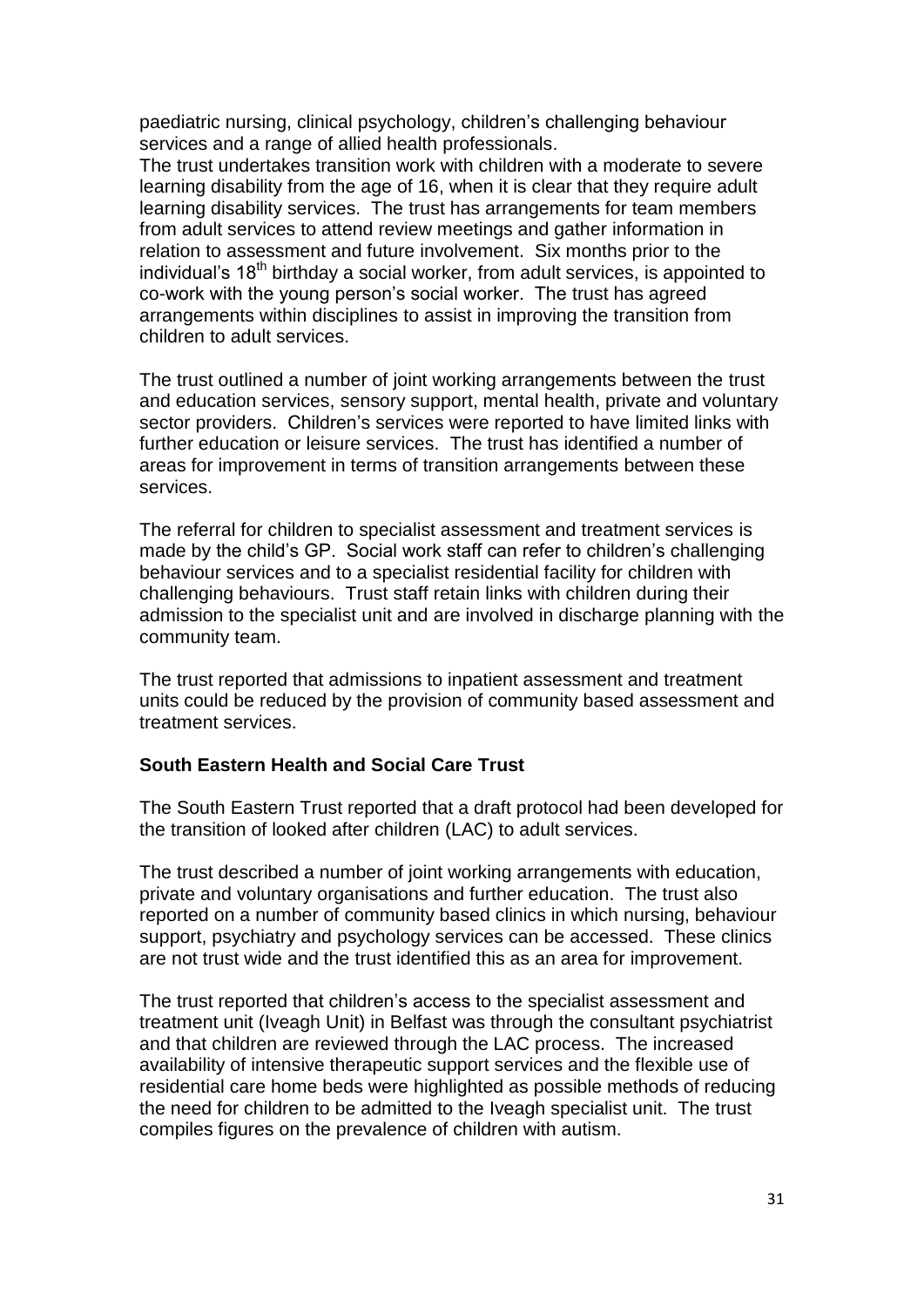paediatric nursing, clinical psychology, children"s challenging behaviour services and a range of allied health professionals.

The trust undertakes transition work with children with a moderate to severe learning disability from the age of 16, when it is clear that they require adult learning disability services. The trust has arrangements for team members from adult services to attend review meetings and gather information in relation to assessment and future involvement. Six months prior to the individual's  $18<sup>th</sup>$  birthday a social worker, from adult services, is appointed to co-work with the young person"s social worker. The trust has agreed arrangements within disciplines to assist in improving the transition from children to adult services.

The trust outlined a number of joint working arrangements between the trust and education services, sensory support, mental health, private and voluntary sector providers. Children's services were reported to have limited links with further education or leisure services. The trust has identified a number of areas for improvement in terms of transition arrangements between these services.

The referral for children to specialist assessment and treatment services is made by the child's GP. Social work staff can refer to children's challenging behaviour services and to a specialist residential facility for children with challenging behaviours. Trust staff retain links with children during their admission to the specialist unit and are involved in discharge planning with the community team.

The trust reported that admissions to inpatient assessment and treatment units could be reduced by the provision of community based assessment and treatment services.

#### **South Eastern Health and Social Care Trust**

The South Eastern Trust reported that a draft protocol had been developed for the transition of looked after children (LAC) to adult services.

The trust described a number of joint working arrangements with education, private and voluntary organisations and further education. The trust also reported on a number of community based clinics in which nursing, behaviour support, psychiatry and psychology services can be accessed. These clinics are not trust wide and the trust identified this as an area for improvement.

The trust reported that children"s access to the specialist assessment and treatment unit (Iveagh Unit) in Belfast was through the consultant psychiatrist and that children are reviewed through the LAC process. The increased availability of intensive therapeutic support services and the flexible use of residential care home beds were highlighted as possible methods of reducing the need for children to be admitted to the Iveagh specialist unit. The trust compiles figures on the prevalence of children with autism.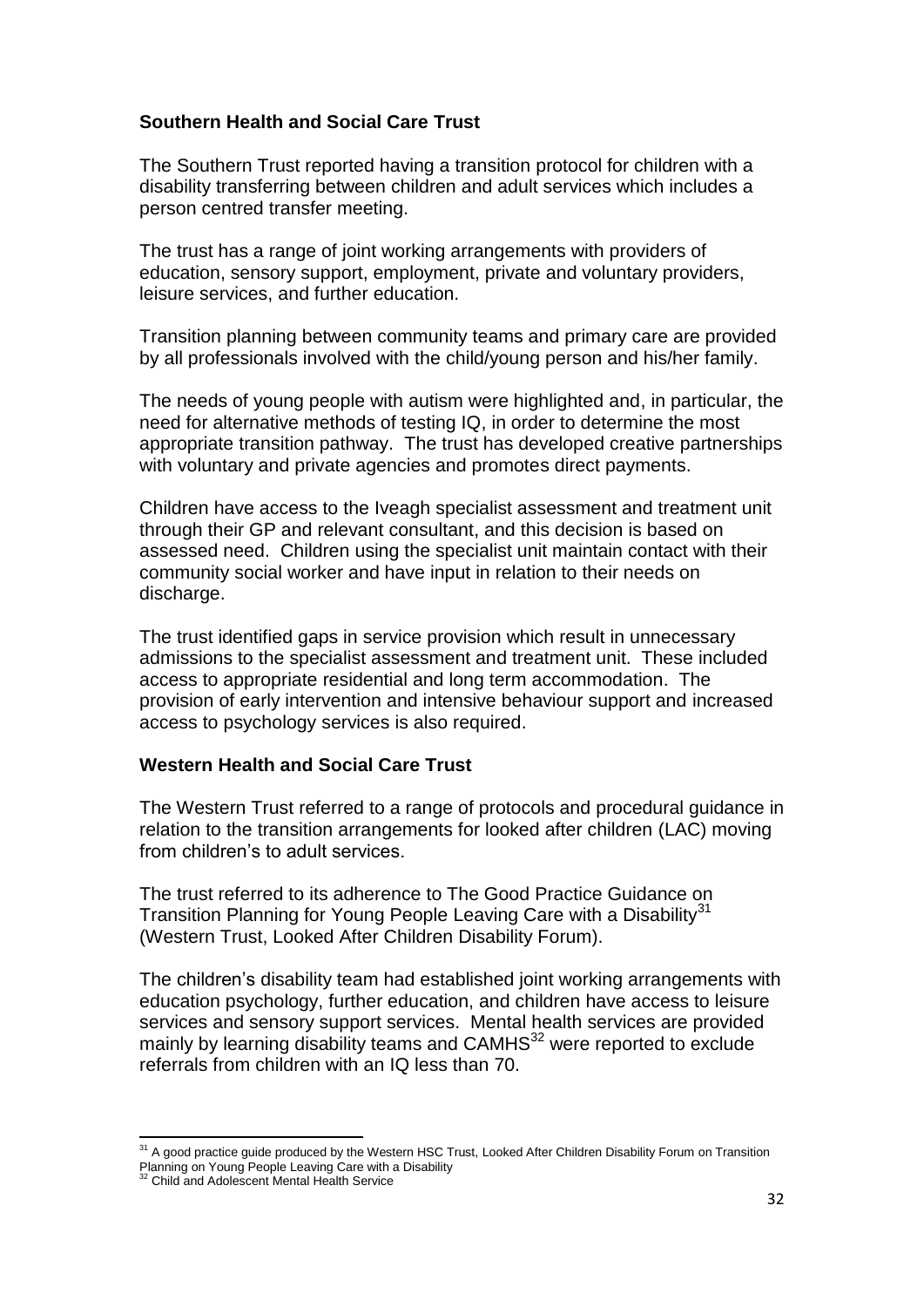# **Southern Health and Social Care Trust**

The Southern Trust reported having a transition protocol for children with a disability transferring between children and adult services which includes a person centred transfer meeting.

The trust has a range of joint working arrangements with providers of education, sensory support, employment, private and voluntary providers, leisure services, and further education.

Transition planning between community teams and primary care are provided by all professionals involved with the child/young person and his/her family.

The needs of young people with autism were highlighted and, in particular, the need for alternative methods of testing IQ, in order to determine the most appropriate transition pathway. The trust has developed creative partnerships with voluntary and private agencies and promotes direct payments.

Children have access to the Iveagh specialist assessment and treatment unit through their GP and relevant consultant, and this decision is based on assessed need. Children using the specialist unit maintain contact with their community social worker and have input in relation to their needs on discharge.

The trust identified gaps in service provision which result in unnecessary admissions to the specialist assessment and treatment unit. These included access to appropriate residential and long term accommodation. The provision of early intervention and intensive behaviour support and increased access to psychology services is also required.

#### **Western Health and Social Care Trust**

The Western Trust referred to a range of protocols and procedural guidance in relation to the transition arrangements for looked after children (LAC) moving from children"s to adult services.

The trust referred to its adherence to The Good Practice Guidance on Transition Planning for Young People Leaving Care with a Disability<sup>31</sup> (Western Trust, Looked After Children Disability Forum).

The children"s disability team had established joint working arrangements with education psychology, further education, and children have access to leisure services and sensory support services. Mental health services are provided mainly by learning disability teams and  $CAMHS<sup>32</sup>$  were reported to exclude referrals from children with an IQ less than 70.

 $\overline{a}$ <sup>31</sup> A good practice guide produced by the Western HSC Trust, Looked After Children Disability Forum on Transition

Planning on Young People Leaving Care with a Disability <sup>32</sup> Child and Adolescent Mental Health Service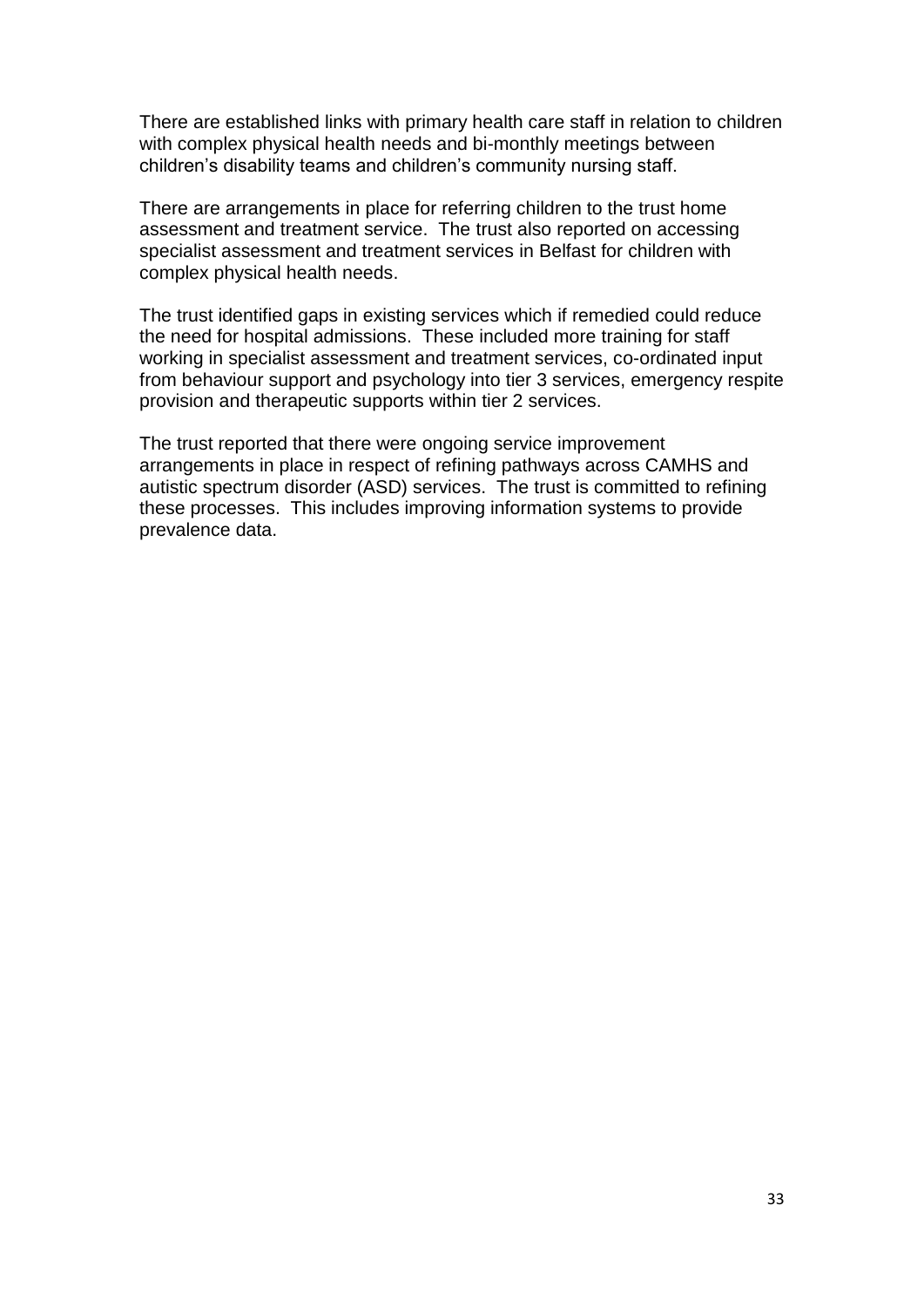There are established links with primary health care staff in relation to children with complex physical health needs and bi-monthly meetings between children"s disability teams and children"s community nursing staff.

There are arrangements in place for referring children to the trust home assessment and treatment service. The trust also reported on accessing specialist assessment and treatment services in Belfast for children with complex physical health needs.

The trust identified gaps in existing services which if remedied could reduce the need for hospital admissions. These included more training for staff working in specialist assessment and treatment services, co-ordinated input from behaviour support and psychology into tier 3 services, emergency respite provision and therapeutic supports within tier 2 services.

The trust reported that there were ongoing service improvement arrangements in place in respect of refining pathways across CAMHS and autistic spectrum disorder (ASD) services. The trust is committed to refining these processes. This includes improving information systems to provide prevalence data.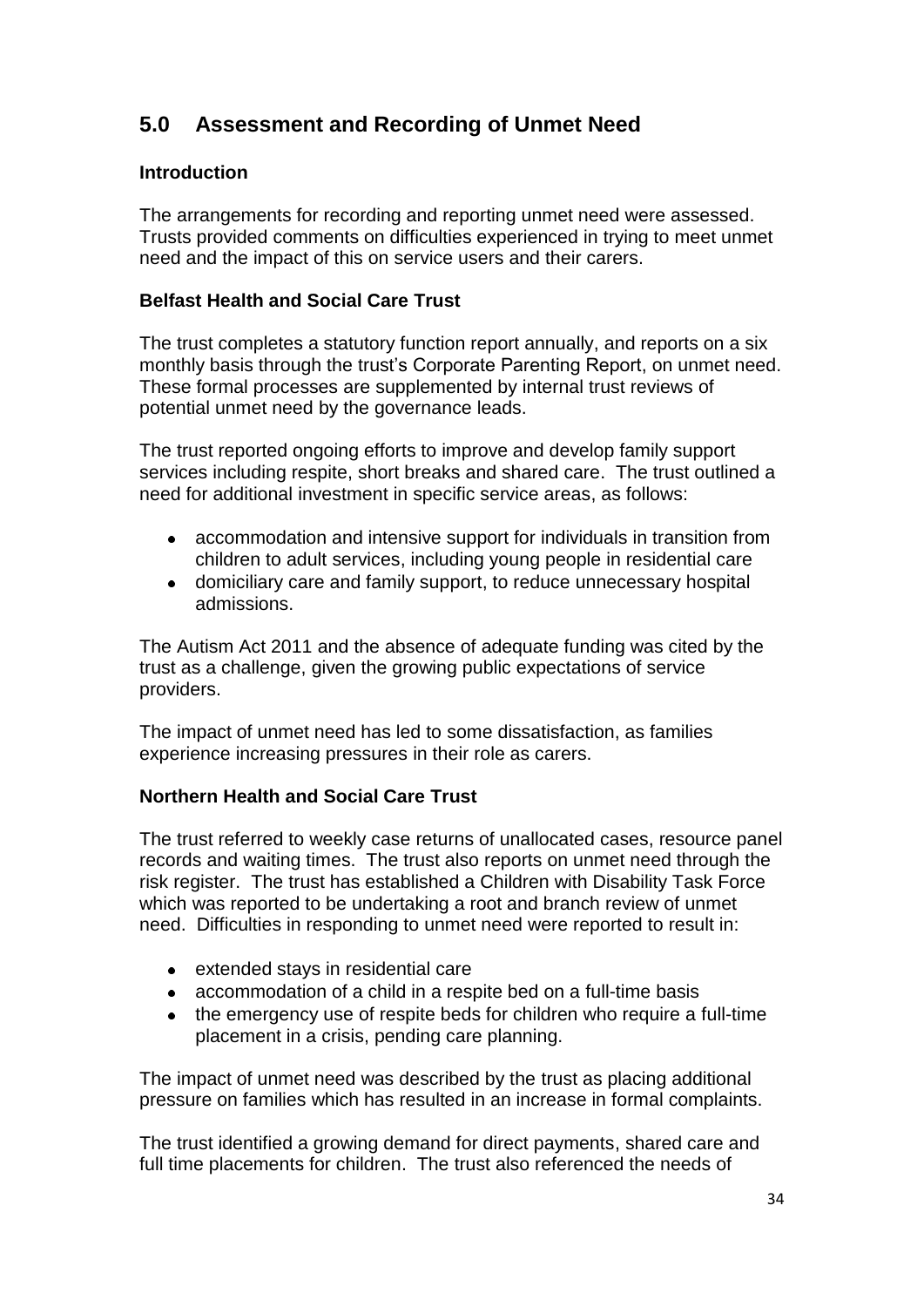# **5.0 Assessment and Recording of Unmet Need**

# **Introduction**

The arrangements for recording and reporting unmet need were assessed. Trusts provided comments on difficulties experienced in trying to meet unmet need and the impact of this on service users and their carers.

# **Belfast Health and Social Care Trust**

The trust completes a statutory function report annually, and reports on a six monthly basis through the trust"s Corporate Parenting Report, on unmet need. These formal processes are supplemented by internal trust reviews of potential unmet need by the governance leads.

The trust reported ongoing efforts to improve and develop family support services including respite, short breaks and shared care. The trust outlined a need for additional investment in specific service areas, as follows:

- accommodation and intensive support for individuals in transition from children to adult services, including young people in residential care
- domiciliary care and family support, to reduce unnecessary hospital admissions.

The Autism Act 2011 and the absence of adequate funding was cited by the trust as a challenge, given the growing public expectations of service providers.

The impact of unmet need has led to some dissatisfaction, as families experience increasing pressures in their role as carers.

# **Northern Health and Social Care Trust**

The trust referred to weekly case returns of unallocated cases, resource panel records and waiting times. The trust also reports on unmet need through the risk register. The trust has established a Children with Disability Task Force which was reported to be undertaking a root and branch review of unmet need. Difficulties in responding to unmet need were reported to result in:

- extended stays in residential care
- accommodation of a child in a respite bed on a full-time basis
- the emergency use of respite beds for children who require a full-time  $\bullet$ placement in a crisis, pending care planning.

The impact of unmet need was described by the trust as placing additional pressure on families which has resulted in an increase in formal complaints.

The trust identified a growing demand for direct payments, shared care and full time placements for children. The trust also referenced the needs of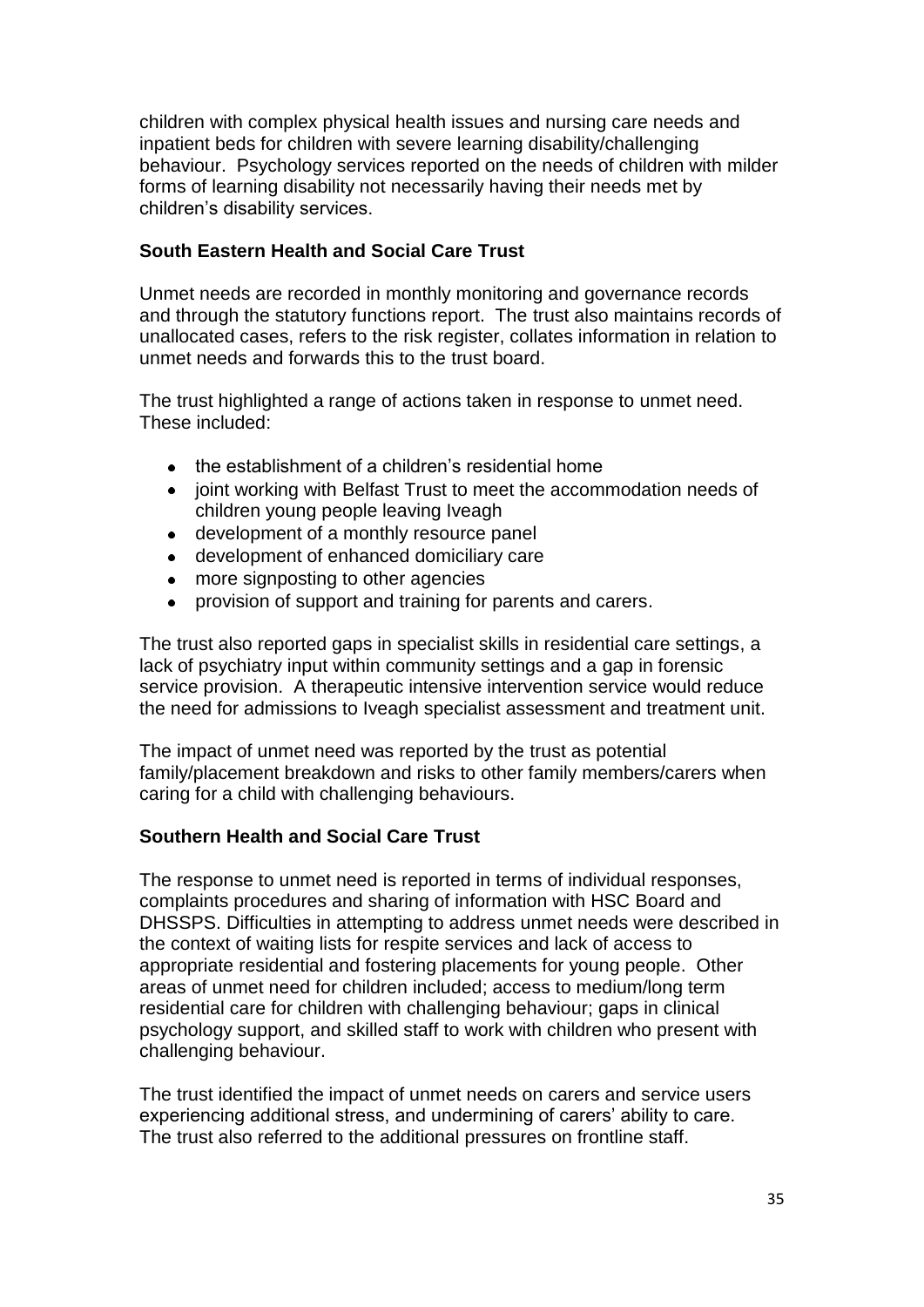children with complex physical health issues and nursing care needs and inpatient beds for children with severe learning disability/challenging behaviour. Psychology services reported on the needs of children with milder forms of learning disability not necessarily having their needs met by children"s disability services.

# **South Eastern Health and Social Care Trust**

Unmet needs are recorded in monthly monitoring and governance records and through the statutory functions report. The trust also maintains records of unallocated cases, refers to the risk register, collates information in relation to unmet needs and forwards this to the trust board.

The trust highlighted a range of actions taken in response to unmet need. These included:

- the establishment of a children"s residential home
- joint working with Belfast Trust to meet the accommodation needs of children young people leaving Iveagh
- development of a monthly resource panel
- development of enhanced domiciliary care
- more signposting to other agencies  $\bullet$
- provision of support and training for parents and carers.  $\bullet$

The trust also reported gaps in specialist skills in residential care settings, a lack of psychiatry input within community settings and a gap in forensic service provision. A therapeutic intensive intervention service would reduce the need for admissions to Iveagh specialist assessment and treatment unit.

The impact of unmet need was reported by the trust as potential family/placement breakdown and risks to other family members/carers when caring for a child with challenging behaviours.

#### **Southern Health and Social Care Trust**

The response to unmet need is reported in terms of individual responses, complaints procedures and sharing of information with HSC Board and DHSSPS. Difficulties in attempting to address unmet needs were described in the context of waiting lists for respite services and lack of access to appropriate residential and fostering placements for young people. Other areas of unmet need for children included; access to medium/long term residential care for children with challenging behaviour; gaps in clinical psychology support, and skilled staff to work with children who present with challenging behaviour.

The trust identified the impact of unmet needs on carers and service users experiencing additional stress, and undermining of carers' ability to care. The trust also referred to the additional pressures on frontline staff.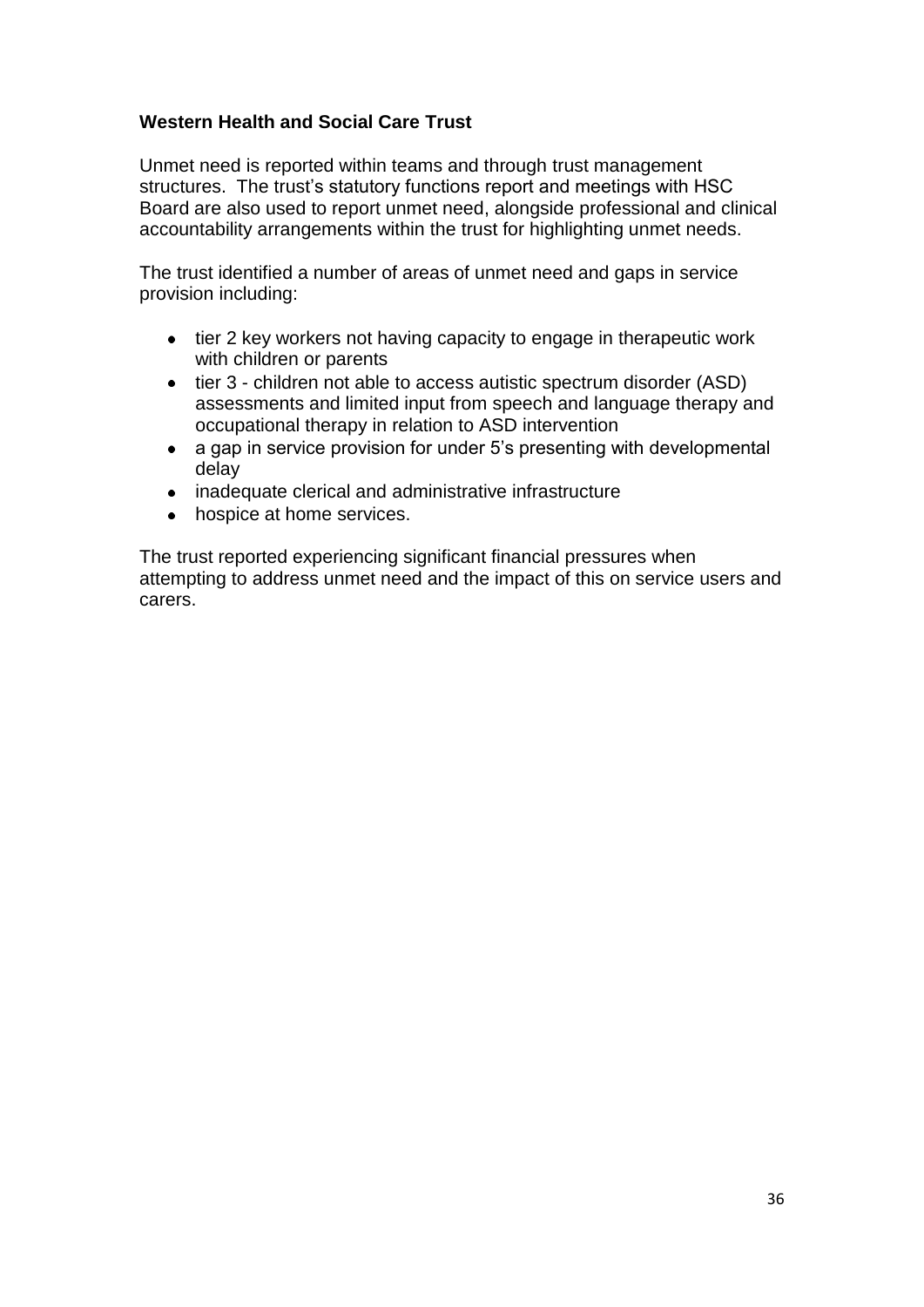# **Western Health and Social Care Trust**

Unmet need is reported within teams and through trust management structures. The trust's statutory functions report and meetings with HSC Board are also used to report unmet need, alongside professional and clinical accountability arrangements within the trust for highlighting unmet needs.

The trust identified a number of areas of unmet need and gaps in service provision including:

- tier 2 key workers not having capacity to engage in therapeutic work with children or parents
- tier 3 children not able to access autistic spectrum disorder (ASD) assessments and limited input from speech and language therapy and occupational therapy in relation to ASD intervention
- a gap in service provision for under 5"s presenting with developmental  $\bullet$ delay
- inadequate clerical and administrative infrastructure
- hospice at home services.  $\bullet$

The trust reported experiencing significant financial pressures when attempting to address unmet need and the impact of this on service users and carers.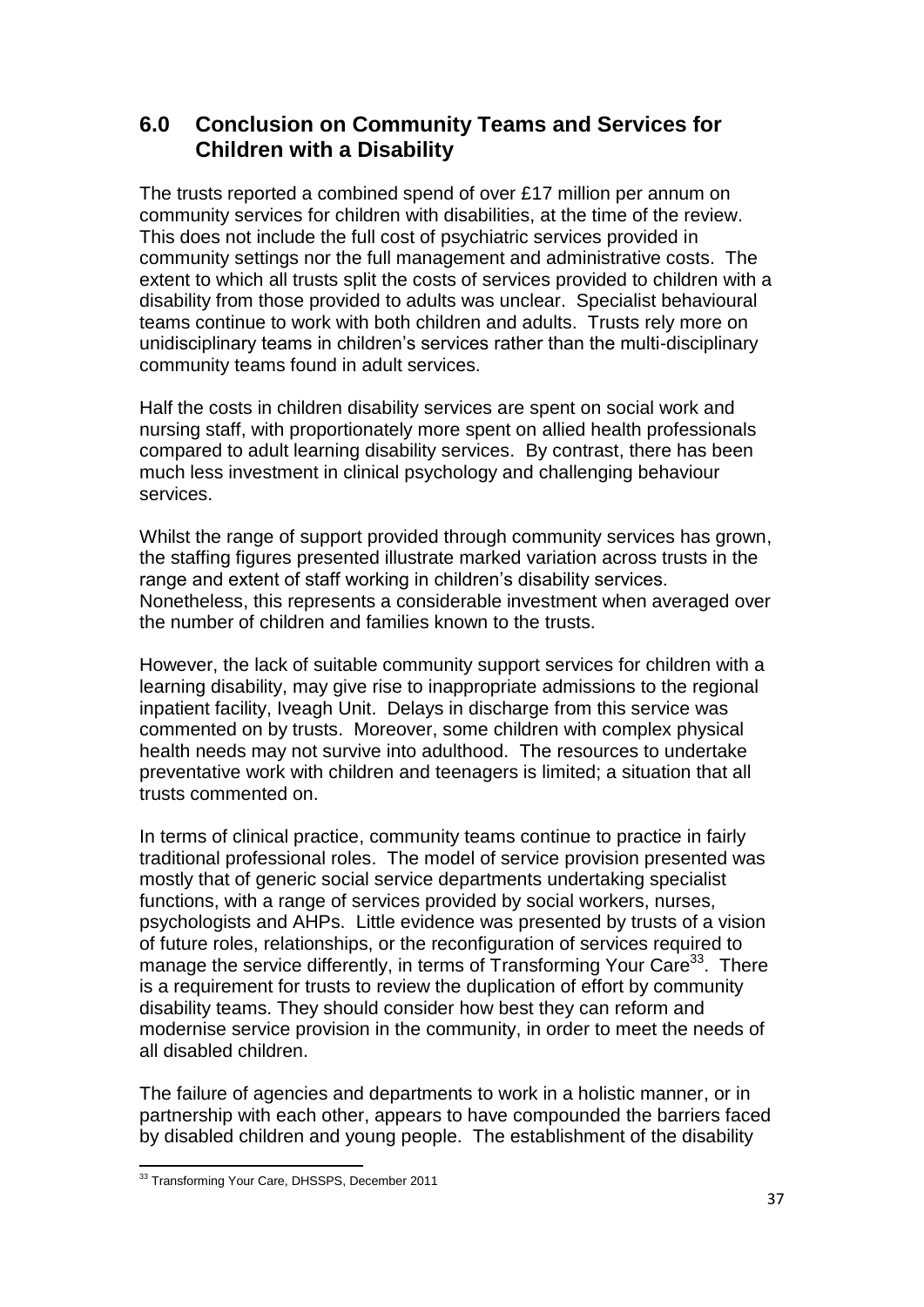# **6.0 Conclusion on Community Teams and Services for Children with a Disability**

The trusts reported a combined spend of over £17 million per annum on community services for children with disabilities, at the time of the review. This does not include the full cost of psychiatric services provided in community settings nor the full management and administrative costs. The extent to which all trusts split the costs of services provided to children with a disability from those provided to adults was unclear. Specialist behavioural teams continue to work with both children and adults. Trusts rely more on unidisciplinary teams in children"s services rather than the multi-disciplinary community teams found in adult services.

Half the costs in children disability services are spent on social work and nursing staff, with proportionately more spent on allied health professionals compared to adult learning disability services. By contrast, there has been much less investment in clinical psychology and challenging behaviour services.

Whilst the range of support provided through community services has grown, the staffing figures presented illustrate marked variation across trusts in the range and extent of staff working in children's disability services. Nonetheless, this represents a considerable investment when averaged over the number of children and families known to the trusts.

However, the lack of suitable community support services for children with a learning disability, may give rise to inappropriate admissions to the regional inpatient facility, Iveagh Unit. Delays in discharge from this service was commented on by trusts. Moreover, some children with complex physical health needs may not survive into adulthood. The resources to undertake preventative work with children and teenagers is limited; a situation that all trusts commented on.

In terms of clinical practice, community teams continue to practice in fairly traditional professional roles. The model of service provision presented was mostly that of generic social service departments undertaking specialist functions, with a range of services provided by social workers, nurses, psychologists and AHPs. Little evidence was presented by trusts of a vision of future roles, relationships, or the reconfiguration of services required to manage the service differently, in terms of Transforming Your Care<sup>33</sup>. There is a requirement for trusts to review the duplication of effort by community disability teams. They should consider how best they can reform and modernise service provision in the community, in order to meet the needs of all disabled children.

The failure of agencies and departments to work in a holistic manner, or in partnership with each other, appears to have compounded the barriers faced by disabled children and young people. The establishment of the disability

 $\overline{a}$ <sup>33</sup> Transforming Your Care, DHSSPS, December 2011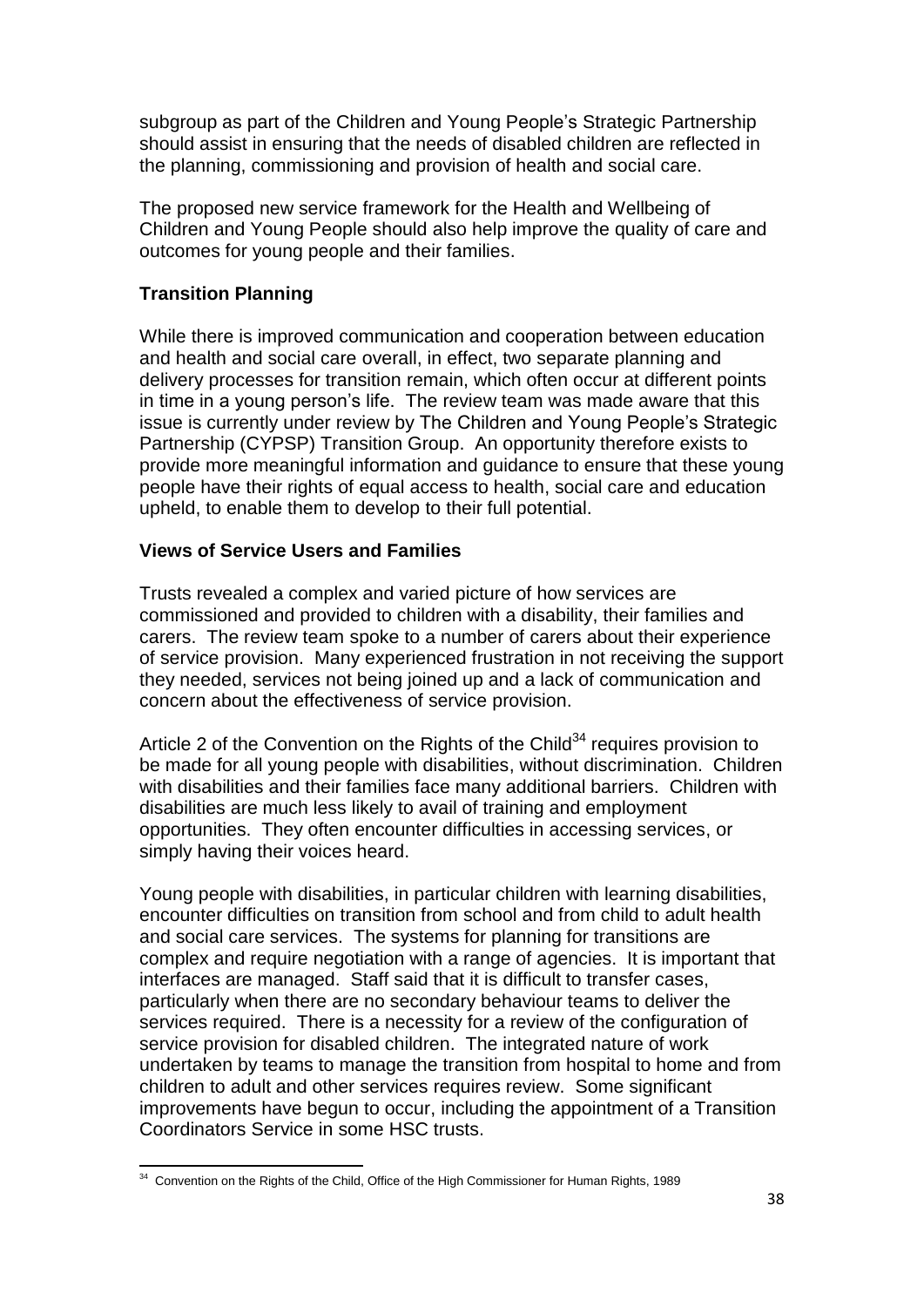subaroup as part of the Children and Young People's Strategic Partnership should assist in ensuring that the needs of disabled children are reflected in the planning, commissioning and provision of health and social care.

The proposed new service framework for the Health and Wellbeing of Children and Young People should also help improve the quality of care and outcomes for young people and their families.

# **Transition Planning**

While there is improved communication and cooperation between education and health and social care overall, in effect, two separate planning and delivery processes for transition remain, which often occur at different points in time in a young person"s life. The review team was made aware that this issue is currently under review by The Children and Young People"s Strategic Partnership (CYPSP) Transition Group. An opportunity therefore exists to provide more meaningful information and guidance to ensure that these young people have their rights of equal access to health, social care and education upheld, to enable them to develop to their full potential.

#### **Views of Service Users and Families**

Trusts revealed a complex and varied picture of how services are commissioned and provided to children with a disability, their families and carers. The review team spoke to a number of carers about their experience of service provision. Many experienced frustration in not receiving the support they needed, services not being joined up and a lack of communication and concern about the effectiveness of service provision.

Article 2 of the Convention on the Rights of the Child $34$  requires provision to be made for all young people with disabilities, without discrimination. Children with disabilities and their families face many additional barriers. Children with disabilities are much less likely to avail of training and employment opportunities. They often encounter difficulties in accessing services, or simply having their voices heard.

Young people with disabilities, in particular children with learning disabilities, encounter difficulties on transition from school and from child to adult health and social care services. The systems for planning for transitions are complex and require negotiation with a range of agencies. It is important that interfaces are managed. Staff said that it is difficult to transfer cases, particularly when there are no secondary behaviour teams to deliver the services required. There is a necessity for a review of the configuration of service provision for disabled children. The integrated nature of work undertaken by teams to manage the transition from hospital to home and from children to adult and other services requires review. Some significant improvements have begun to occur, including the appointment of a Transition Coordinators Service in some HSC trusts.

 $\overline{a}$  $34$  Convention on the Rights of the Child, Office of the High Commissioner for Human Rights, 1989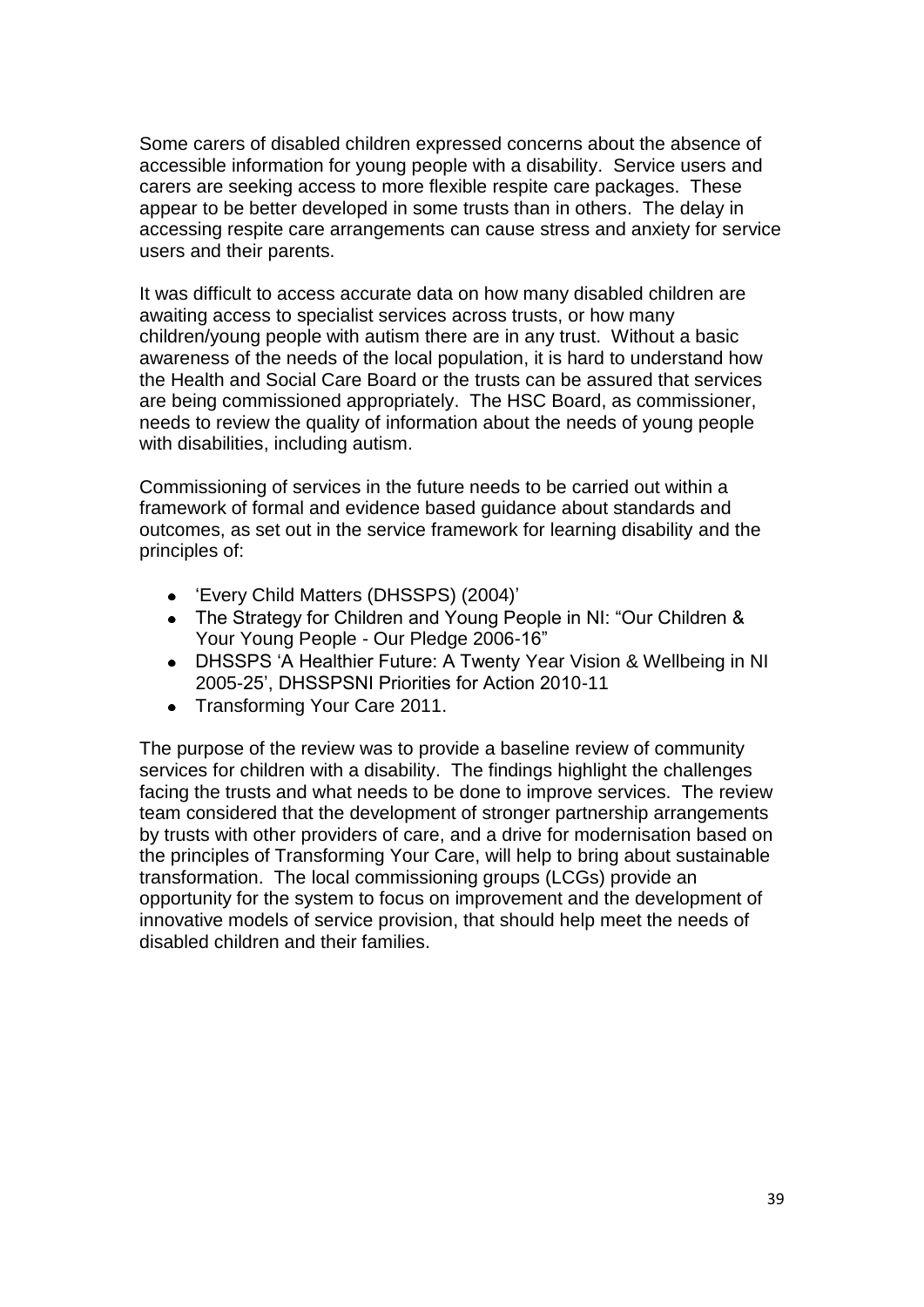Some carers of disabled children expressed concerns about the absence of accessible information for young people with a disability. Service users and carers are seeking access to more flexible respite care packages. These appear to be better developed in some trusts than in others. The delay in accessing respite care arrangements can cause stress and anxiety for service users and their parents.

It was difficult to access accurate data on how many disabled children are awaiting access to specialist services across trusts, or how many children/young people with autism there are in any trust. Without a basic awareness of the needs of the local population, it is hard to understand how the Health and Social Care Board or the trusts can be assured that services are being commissioned appropriately. The HSC Board, as commissioner, needs to review the quality of information about the needs of young people with disabilities, including autism.

Commissioning of services in the future needs to be carried out within a framework of formal and evidence based guidance about standards and outcomes, as set out in the service framework for learning disability and the principles of:

- 'Every Child Matters (DHSSPS) (2004)'
- The Strategy for Children and Young People in NI: "Our Children & Your Young People - Our Pledge 2006-16"
- DHSSPS "A Healthier Future: A Twenty Year Vision & Wellbeing in NI 2005-25", DHSSPSNI Priorities for Action 2010-11
- Transforming Your Care 2011.

The purpose of the review was to provide a baseline review of community services for children with a disability. The findings highlight the challenges facing the trusts and what needs to be done to improve services. The review team considered that the development of stronger partnership arrangements by trusts with other providers of care, and a drive for modernisation based on the principles of Transforming Your Care, will help to bring about sustainable transformation. The local commissioning groups (LCGs) provide an opportunity for the system to focus on improvement and the development of innovative models of service provision, that should help meet the needs of disabled children and their families.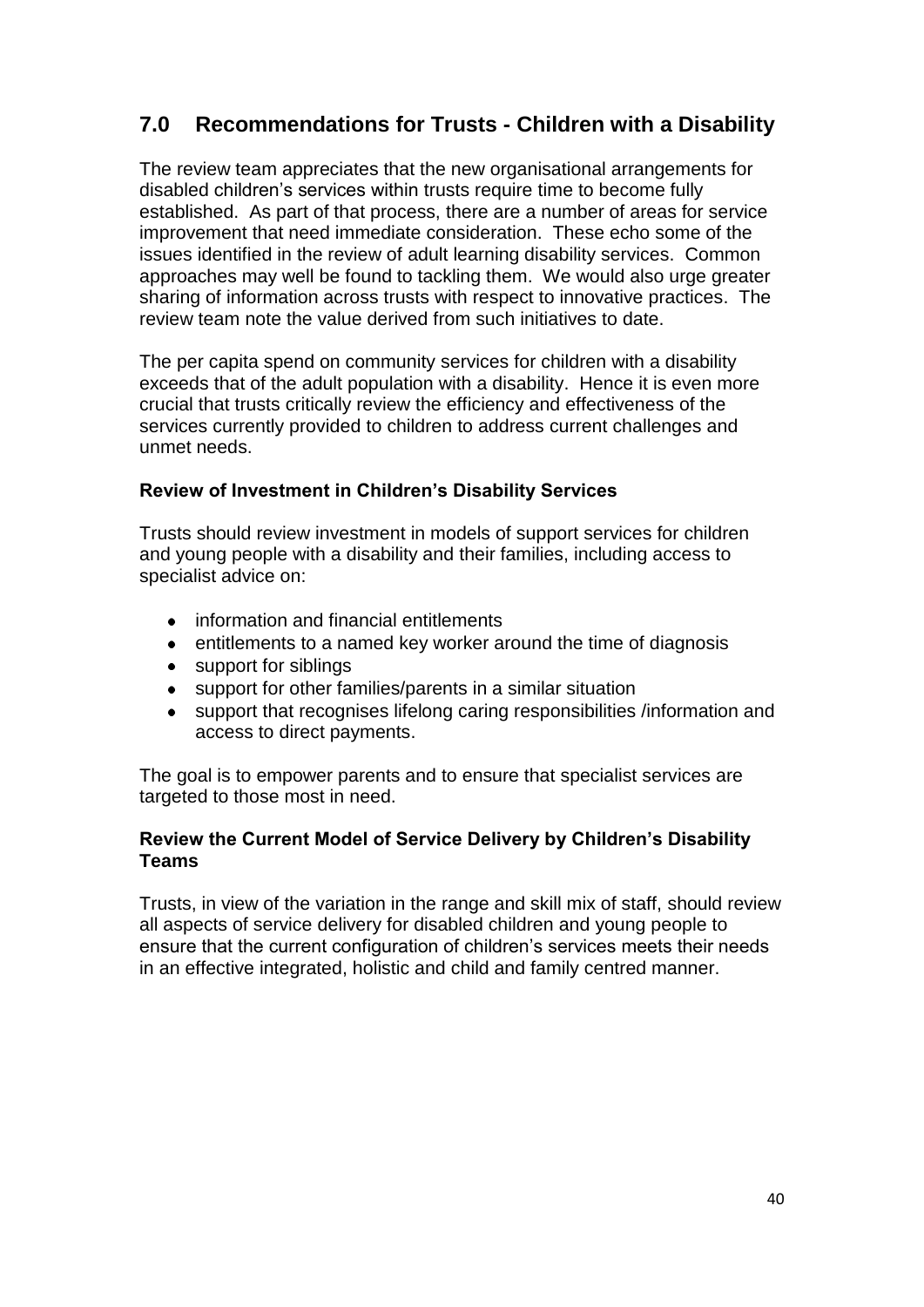# **7.0 Recommendations for Trusts - Children with a Disability**

The review team appreciates that the new organisational arrangements for disabled children"s services within trusts require time to become fully established. As part of that process, there are a number of areas for service improvement that need immediate consideration. These echo some of the issues identified in the review of adult learning disability services. Common approaches may well be found to tackling them. We would also urge greater sharing of information across trusts with respect to innovative practices. The review team note the value derived from such initiatives to date.

The per capita spend on community services for children with a disability exceeds that of the adult population with a disability. Hence it is even more crucial that trusts critically review the efficiency and effectiveness of the services currently provided to children to address current challenges and unmet needs.

# **Review of Investment in Children's Disability Services**

Trusts should review investment in models of support services for children and young people with a disability and their families, including access to specialist advice on:

- information and financial entitlements
- entitlements to a named key worker around the time of diagnosis
- support for siblings  $\bullet$
- support for other families/parents in a similar situation  $\bullet$
- support that recognises lifelong caring responsibilities /information and  $\bullet$ access to direct payments.

The goal is to empower parents and to ensure that specialist services are targeted to those most in need.

#### **Review the Current Model of Service Delivery by Children's Disability Teams**

Trusts, in view of the variation in the range and skill mix of staff, should review all aspects of service delivery for disabled children and young people to ensure that the current configuration of children"s services meets their needs in an effective integrated, holistic and child and family centred manner.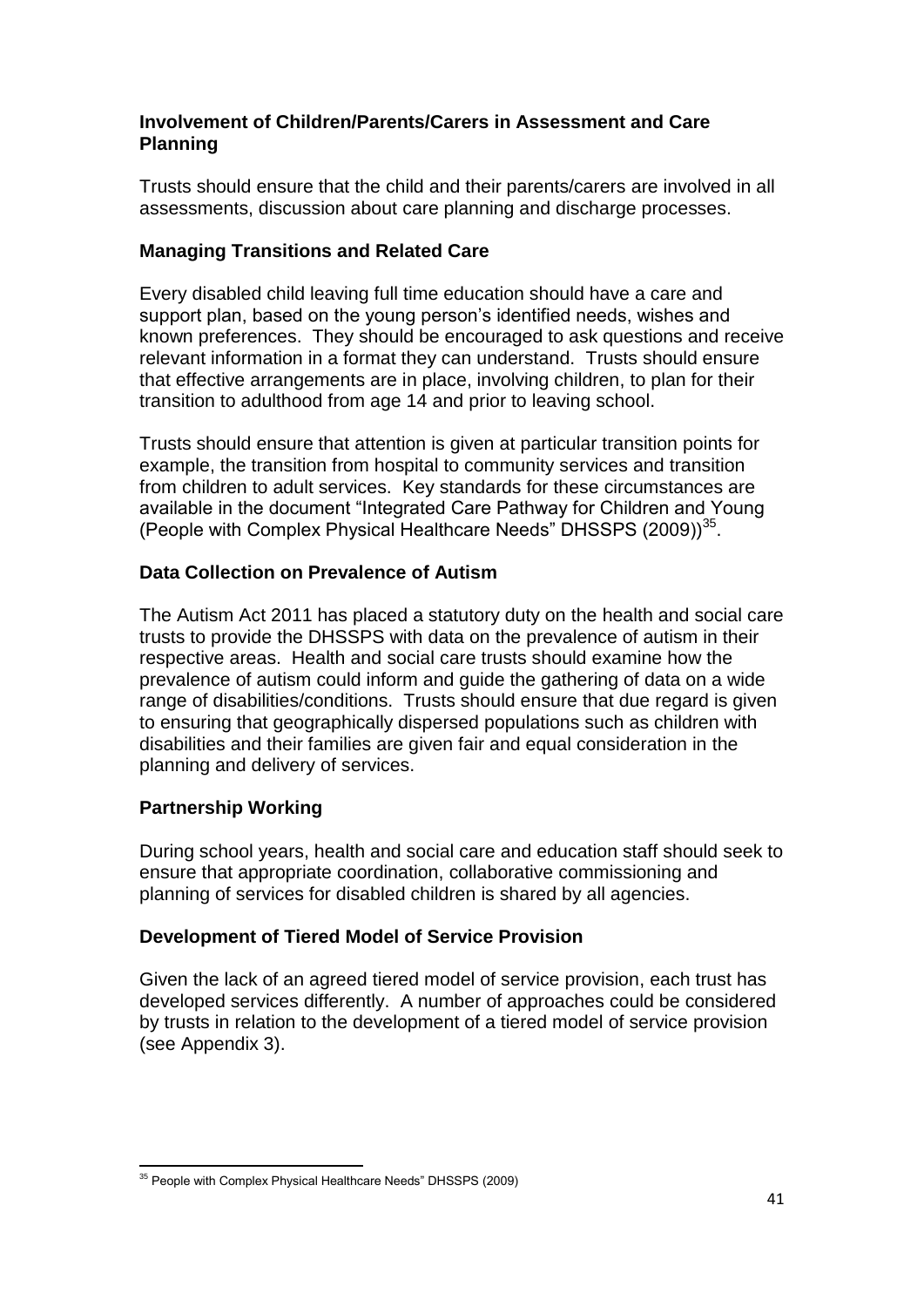# **Involvement of Children/Parents/Carers in Assessment and Care Planning**

Trusts should ensure that the child and their parents/carers are involved in all assessments, discussion about care planning and discharge processes.

# **Managing Transitions and Related Care**

Every disabled child leaving full time education should have a care and support plan, based on the young person's identified needs, wishes and known preferences. They should be encouraged to ask questions and receive relevant information in a format they can understand. Trusts should ensure that effective arrangements are in place, involving children, to plan for their transition to adulthood from age 14 and prior to leaving school.

Trusts should ensure that attention is given at particular transition points for example, the transition from hospital to community services and transition from children to adult services. Key standards for these circumstances are available in the document "Integrated Care Pathway for Children and Young (People with Complex Physical Healthcare Needs" DHSSPS (2009))<sup>35</sup>.

# **Data Collection on Prevalence of Autism**

The Autism Act 2011 has placed a statutory duty on the health and social care trusts to provide the DHSSPS with data on the prevalence of autism in their respective areas. Health and social care trusts should examine how the prevalence of autism could inform and guide the gathering of data on a wide range of disabilities/conditions. Trusts should ensure that due regard is given to ensuring that geographically dispersed populations such as children with disabilities and their families are given fair and equal consideration in the planning and delivery of services.

# **Partnership Working**

During school years, health and social care and education staff should seek to ensure that appropriate coordination, collaborative commissioning and planning of services for disabled children is shared by all agencies.

# **Development of Tiered Model of Service Provision**

Given the lack of an agreed tiered model of service provision, each trust has developed services differently. A number of approaches could be considered by trusts in relation to the development of a tiered model of service provision (see Appendix 3).

 $\overline{a}$ <sup>35</sup> People with Complex Physical Healthcare Needs" DHSSPS (2009)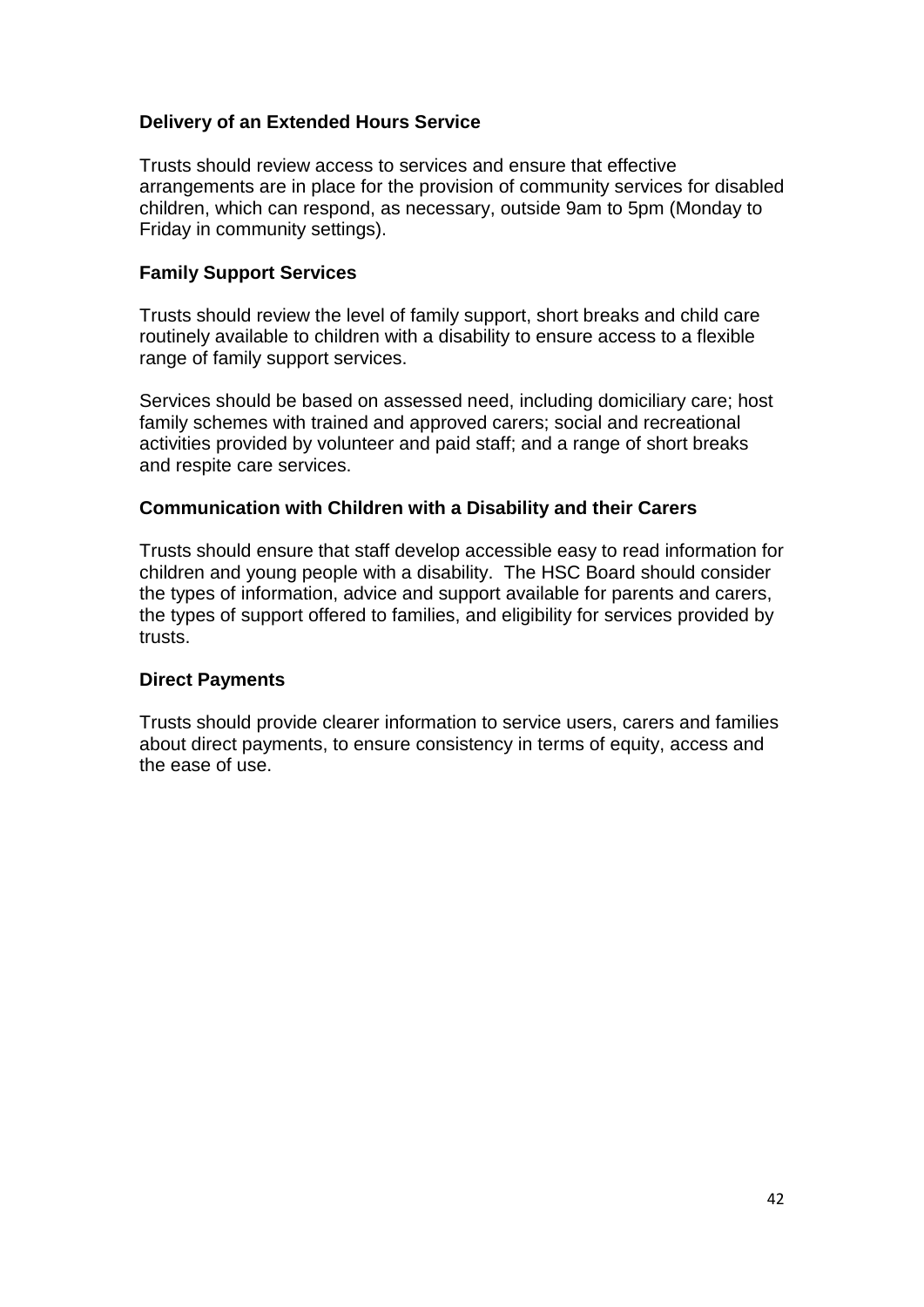# **Delivery of an Extended Hours Service**

Trusts should review access to services and ensure that effective arrangements are in place for the provision of community services for disabled children, which can respond, as necessary, outside 9am to 5pm (Monday to Friday in community settings).

#### **Family Support Services**

Trusts should review the level of family support, short breaks and child care routinely available to children with a disability to ensure access to a flexible range of family support services.

Services should be based on assessed need, including domiciliary care; host family schemes with trained and approved carers; social and recreational activities provided by volunteer and paid staff; and a range of short breaks and respite care services.

#### **Communication with Children with a Disability and their Carers**

Trusts should ensure that staff develop accessible easy to read information for children and young people with a disability. The HSC Board should consider the types of information, advice and support available for parents and carers, the types of support offered to families, and eligibility for services provided by trusts.

#### **Direct Payments**

Trusts should provide clearer information to service users, carers and families about direct payments, to ensure consistency in terms of equity, access and the ease of use.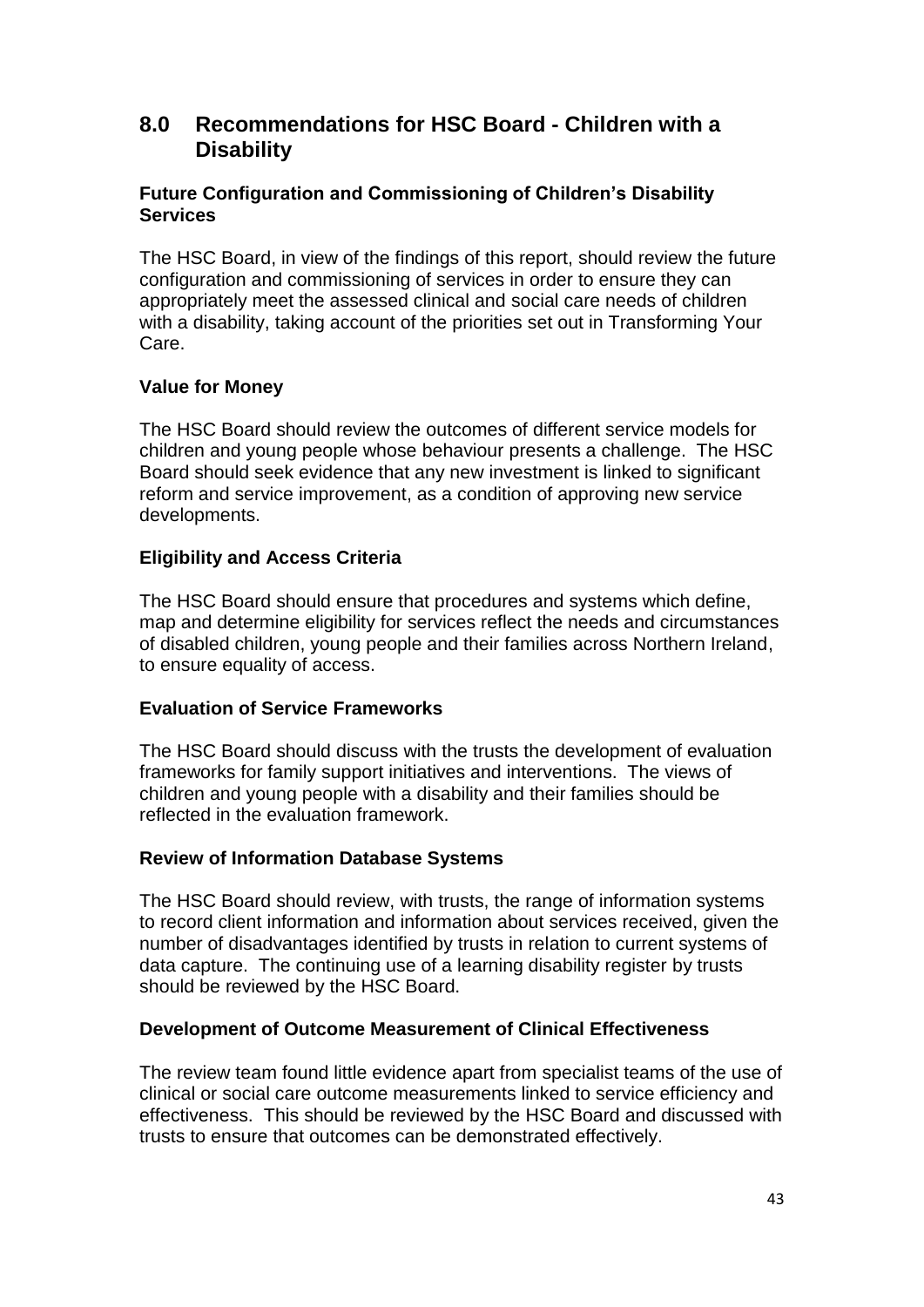# **8.0 Recommendations for HSC Board - Children with a Disability**

# **Future Configuration and Commissioning of Children's Disability Services**

The HSC Board, in view of the findings of this report, should review the future configuration and commissioning of services in order to ensure they can appropriately meet the assessed clinical and social care needs of children with a disability, taking account of the priorities set out in Transforming Your Care.

# **Value for Money**

The HSC Board should review the outcomes of different service models for children and young people whose behaviour presents a challenge. The HSC Board should seek evidence that any new investment is linked to significant reform and service improvement, as a condition of approving new service developments.

# **Eligibility and Access Criteria**

The HSC Board should ensure that procedures and systems which define, map and determine eligibility for services reflect the needs and circumstances of disabled children, young people and their families across Northern Ireland, to ensure equality of access.

#### **Evaluation of Service Frameworks**

The HSC Board should discuss with the trusts the development of evaluation frameworks for family support initiatives and interventions. The views of children and young people with a disability and their families should be reflected in the evaluation framework.

#### **Review of Information Database Systems**

The HSC Board should review, with trusts, the range of information systems to record client information and information about services received, given the number of disadvantages identified by trusts in relation to current systems of data capture. The continuing use of a learning disability register by trusts should be reviewed by the HSC Board.

#### **Development of Outcome Measurement of Clinical Effectiveness**

The review team found little evidence apart from specialist teams of the use of clinical or social care outcome measurements linked to service efficiency and effectiveness. This should be reviewed by the HSC Board and discussed with trusts to ensure that outcomes can be demonstrated effectively.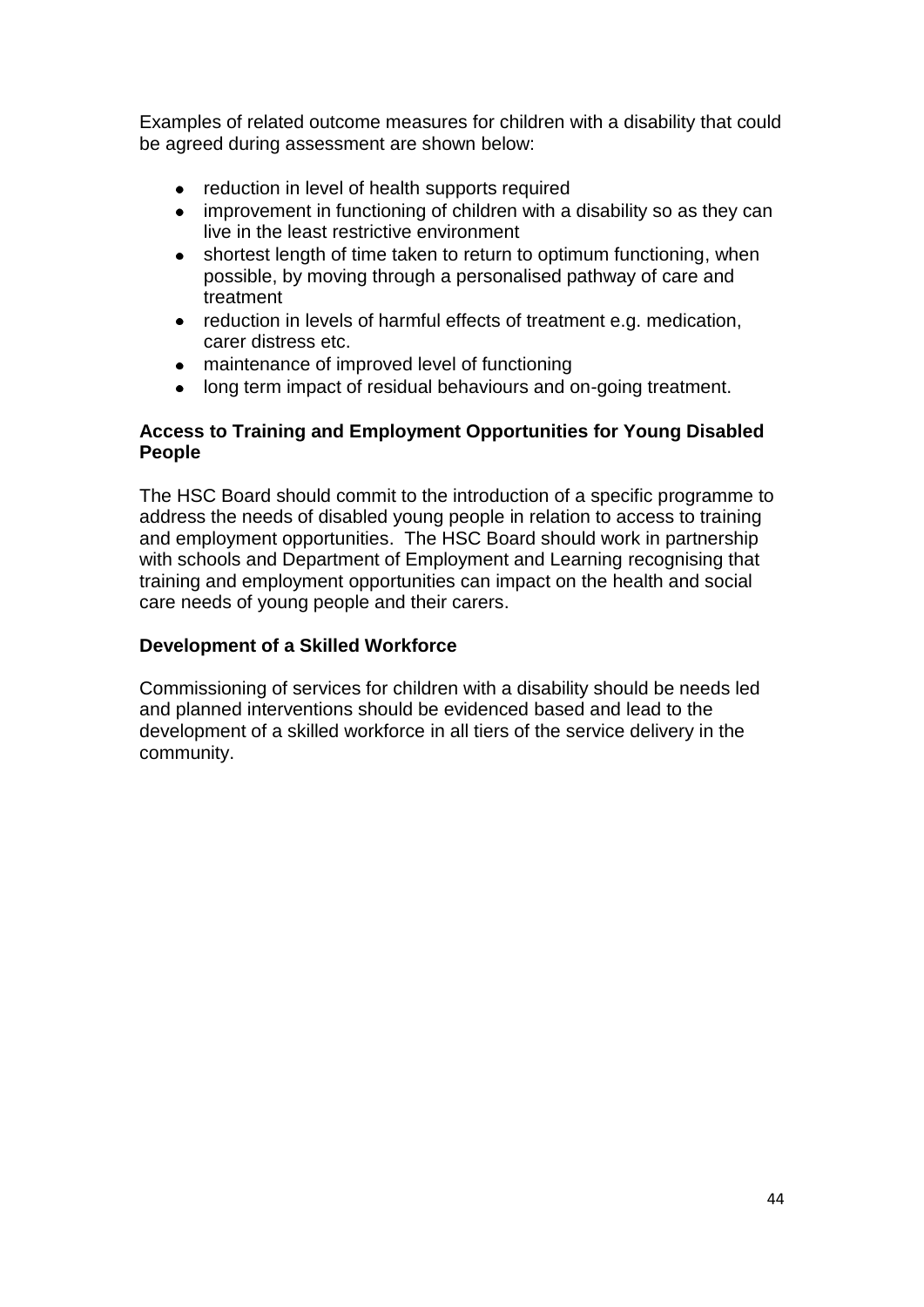Examples of related outcome measures for children with a disability that could be agreed during assessment are shown below:

- reduction in level of health supports required
- improvement in functioning of children with a disability so as they can live in the least restrictive environment
- shortest length of time taken to return to optimum functioning, when possible, by moving through a personalised pathway of care and treatment
- reduction in levels of harmful effects of treatment e.g. medication, carer distress etc.
- maintenance of improved level of functioning
- long term impact of residual behaviours and on-going treatment.

# **Access to Training and Employment Opportunities for Young Disabled People**

The HSC Board should commit to the introduction of a specific programme to address the needs of disabled young people in relation to access to training and employment opportunities. The HSC Board should work in partnership with schools and Department of Employment and Learning recognising that training and employment opportunities can impact on the health and social care needs of young people and their carers.

# **Development of a Skilled Workforce**

Commissioning of services for children with a disability should be needs led and planned interventions should be evidenced based and lead to the development of a skilled workforce in all tiers of the service delivery in the community.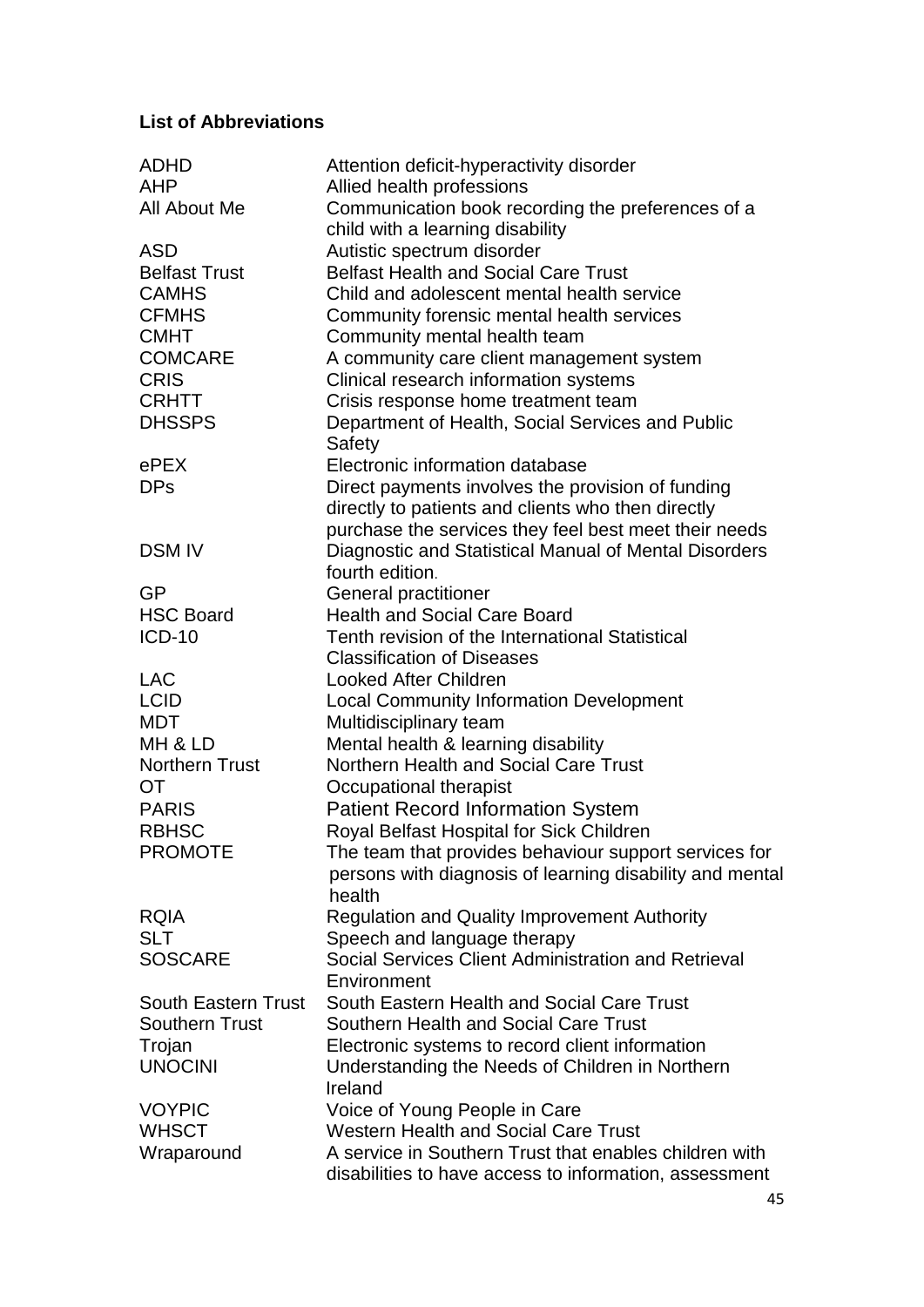# **List of Abbreviations**

| <b>ADHD</b><br><b>AHP</b><br>All About Me | Attention deficit-hyperactivity disorder<br>Allied health professions<br>Communication book recording the preferences of a |
|-------------------------------------------|----------------------------------------------------------------------------------------------------------------------------|
|                                           | child with a learning disability                                                                                           |
| <b>ASD</b>                                | Autistic spectrum disorder                                                                                                 |
| <b>Belfast Trust</b>                      | <b>Belfast Health and Social Care Trust</b>                                                                                |
| <b>CAMHS</b>                              | Child and adolescent mental health service                                                                                 |
| <b>CFMHS</b>                              | Community forensic mental health services                                                                                  |
| <b>CMHT</b>                               | Community mental health team                                                                                               |
| <b>COMCARE</b>                            | A community care client management system                                                                                  |
| <b>CRIS</b>                               | Clinical research information systems                                                                                      |
| <b>CRHTT</b>                              | Crisis response home treatment team                                                                                        |
| <b>DHSSPS</b>                             | Department of Health, Social Services and Public<br>Safety                                                                 |
| ePEX                                      | Electronic information database                                                                                            |
| <b>DPs</b>                                | Direct payments involves the provision of funding                                                                          |
|                                           | directly to patients and clients who then directly                                                                         |
|                                           | purchase the services they feel best meet their needs                                                                      |
| <b>DSM IV</b>                             | Diagnostic and Statistical Manual of Mental Disorders                                                                      |
|                                           | fourth edition.                                                                                                            |
| <b>GP</b>                                 | General practitioner                                                                                                       |
| <b>HSC Board</b>                          | <b>Health and Social Care Board</b>                                                                                        |
| <b>ICD-10</b>                             | Tenth revision of the International Statistical                                                                            |
|                                           | <b>Classification of Diseases</b>                                                                                          |
| <b>LAC</b>                                | <b>Looked After Children</b>                                                                                               |
| <b>LCID</b>                               | <b>Local Community Information Development</b>                                                                             |
| <b>MDT</b>                                | Multidisciplinary team                                                                                                     |
| MH & LD                                   | Mental health & learning disability                                                                                        |
| <b>Northern Trust</b>                     | Northern Health and Social Care Trust                                                                                      |
| <b>OT</b>                                 | Occupational therapist                                                                                                     |
| <b>PARIS</b>                              | <b>Patient Record Information System</b>                                                                                   |
| <b>RBHSC</b>                              | Royal Belfast Hospital for Sick Children                                                                                   |
| <b>PROMOTE</b>                            | The team that provides behaviour support services for                                                                      |
|                                           | persons with diagnosis of learning disability and mental<br>health                                                         |
| <b>RQIA</b>                               | <b>Regulation and Quality Improvement Authority</b>                                                                        |
| <b>SLT</b>                                | Speech and language therapy                                                                                                |
| <b>SOSCARE</b>                            | Social Services Client Administration and Retrieval                                                                        |
|                                           | Environment                                                                                                                |
| <b>South Eastern Trust</b>                | South Eastern Health and Social Care Trust                                                                                 |
| <b>Southern Trust</b>                     | Southern Health and Social Care Trust                                                                                      |
| Trojan                                    | Electronic systems to record client information                                                                            |
| <b>UNOCINI</b>                            | Understanding the Needs of Children in Northern<br>Ireland                                                                 |
| <b>VOYPIC</b>                             | Voice of Young People in Care                                                                                              |
| <b>WHSCT</b>                              | <b>Western Health and Social Care Trust</b>                                                                                |
| Wraparound                                | A service in Southern Trust that enables children with                                                                     |
|                                           | disabilities to have access to information, assessment                                                                     |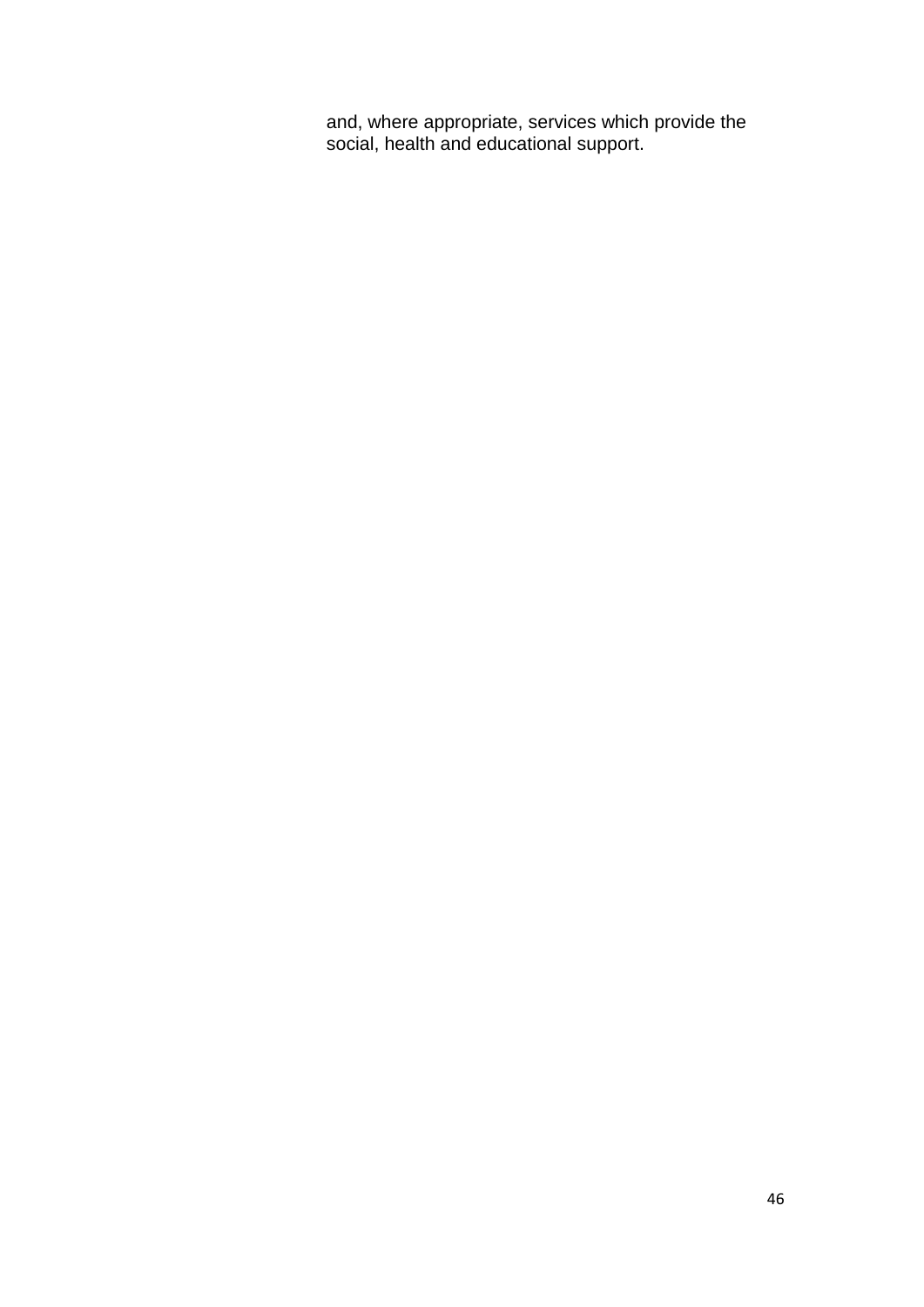and, where appropriate, services which provide the social, health and educational support.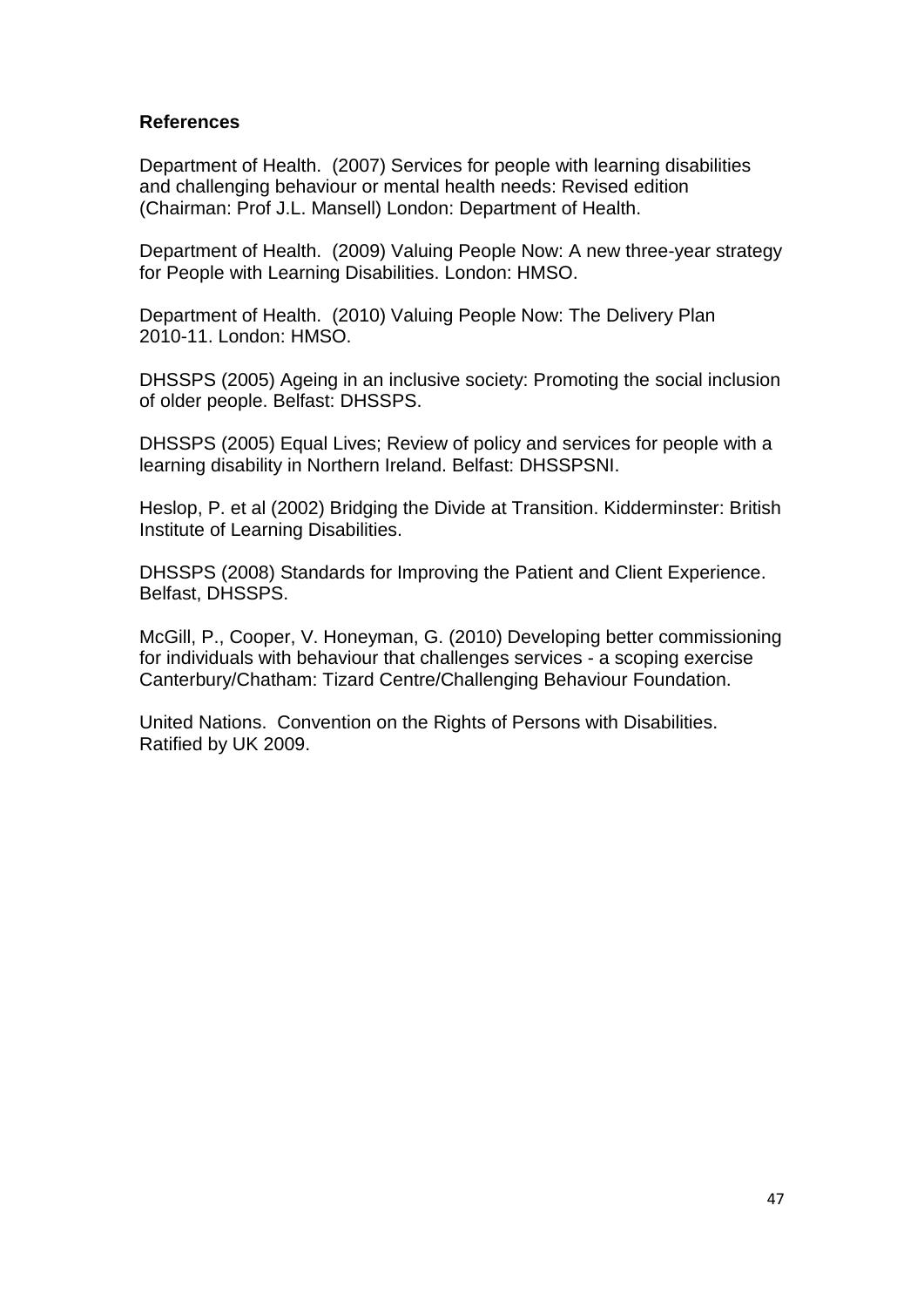#### **References**

Department of Health. (2007) Services for people with learning disabilities and challenging behaviour or mental health needs: Revised edition (Chairman: Prof J.L. Mansell) London: Department of Health.

Department of Health. (2009) Valuing People Now: A new three-year strategy for People with Learning Disabilities. London: HMSO.

Department of Health. (2010) Valuing People Now: The Delivery Plan 2010-11. London: HMSO.

DHSSPS (2005) Ageing in an inclusive society: Promoting the social inclusion of older people. Belfast: DHSSPS.

DHSSPS (2005) Equal Lives; Review of policy and services for people with a learning disability in Northern Ireland. Belfast: DHSSPSNI.

Heslop, P. et al (2002) Bridging the Divide at Transition. Kidderminster: British Institute of Learning Disabilities.

DHSSPS (2008) Standards for Improving the Patient and Client Experience. Belfast, DHSSPS.

McGill, P., Cooper, V. Honeyman, G. (2010) Developing better commissioning for individuals with behaviour that challenges services - a scoping exercise Canterbury/Chatham: Tizard Centre/Challenging Behaviour Foundation.

United Nations. Convention on the Rights of Persons with Disabilities. Ratified by UK 2009.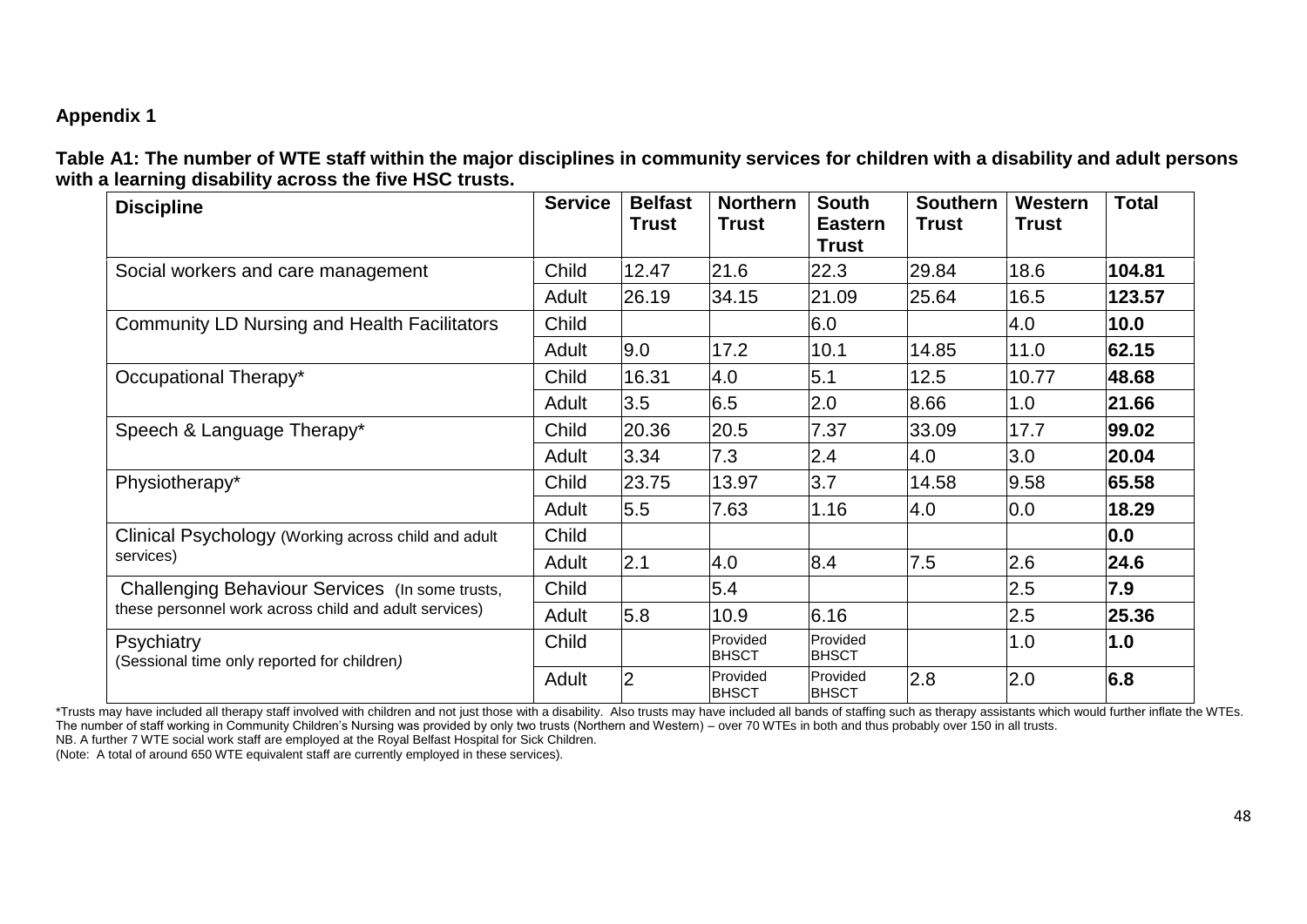# **Appendix 1**

**Table A1: The number of WTE staff within the major disciplines in community services for children with a disability and adult persons with a learning disability across the five HSC trusts.**

| <b>Discipline</b>                                         | <b>Service</b> | <b>Belfast</b><br><b>Trust</b> | <b>Northern</b><br><b>Trust</b> | <b>South</b><br><b>Eastern</b><br><b>Trust</b> | <b>Southern</b><br><b>Trust</b> | Western<br><b>Trust</b> | <b>Total</b> |
|-----------------------------------------------------------|----------------|--------------------------------|---------------------------------|------------------------------------------------|---------------------------------|-------------------------|--------------|
| Social workers and care management                        | Child          | 12.47                          | 21.6                            | 22.3                                           | 29.84                           | 18.6                    | 104.81       |
|                                                           | Adult          | 26.19                          | 34.15                           | 21.09                                          | 25.64                           | 16.5                    | 123.57       |
| <b>Community LD Nursing and Health Facilitators</b>       | Child          |                                |                                 | 6.0                                            |                                 | 4.0                     | 10.0         |
|                                                           | Adult          | 9.0                            | 17.2                            | 10.1                                           | 14.85                           | 11.0                    | 62.15        |
| Occupational Therapy*                                     | Child          | 16.31                          | 4.0                             | 5.1                                            | 12.5                            | 10.77                   | 48.68        |
|                                                           | Adult          | 3.5                            | 6.5                             | 2.0                                            | 8.66                            | 1.0                     | 21.66        |
| Speech & Language Therapy*                                | Child          | 20.36                          | 20.5                            | 7.37                                           | 33.09                           | 17.7                    | 99.02        |
|                                                           | Adult          | 3.34                           | 7.3                             | 2.4                                            | 4.0                             | 3.0                     | 20.04        |
| Physiotherapy*                                            | Child          | 23.75                          | 13.97                           | 3.7                                            | 14.58                           | 9.58                    | 65.58        |
|                                                           | Adult          | 5.5                            | 7.63                            | 1.16                                           | 4.0                             | 0.0                     | 18.29        |
| Clinical Psychology (Working across child and adult       | Child          |                                |                                 |                                                |                                 |                         | 0.0          |
| services)                                                 | Adult          | 2.1                            | 4.0                             | 8.4                                            | 7.5                             | 2.6                     | 24.6         |
| Challenging Behaviour Services (In some trusts,           | Child          |                                | 5.4                             |                                                |                                 | 2.5                     | 7.9          |
| these personnel work across child and adult services)     | Adult          | 5.8                            | 10.9                            | 6.16                                           |                                 | 2.5                     | 25.36        |
| Psychiatry<br>(Sessional time only reported for children) | Child          |                                | Provided<br>IBHSCT              | Provided<br>IBHSCT                             |                                 | 1.0                     | 1.0          |
|                                                           | Adult          | $\overline{2}$                 | Provided<br><b>BHSCT</b>        | Provided<br><b>BHSCT</b>                       | 2.8                             | 2.0                     | 6.8          |

\*Trusts may have included all therapy staff involved with children and not just those with a disability. Also trusts may have included all bands of staffing such as therapy assistants which would further inflate the WTEs. The number of staff working in Community Children"s Nursing was provided by only two trusts (Northern and Western) – over 70 WTEs in both and thus probably over 150 in all trusts. NB. A further 7 WTE social work staff are employed at the Royal Belfast Hospital for Sick Children.

(Note: A total of around 650 WTE equivalent staff are currently employed in these services).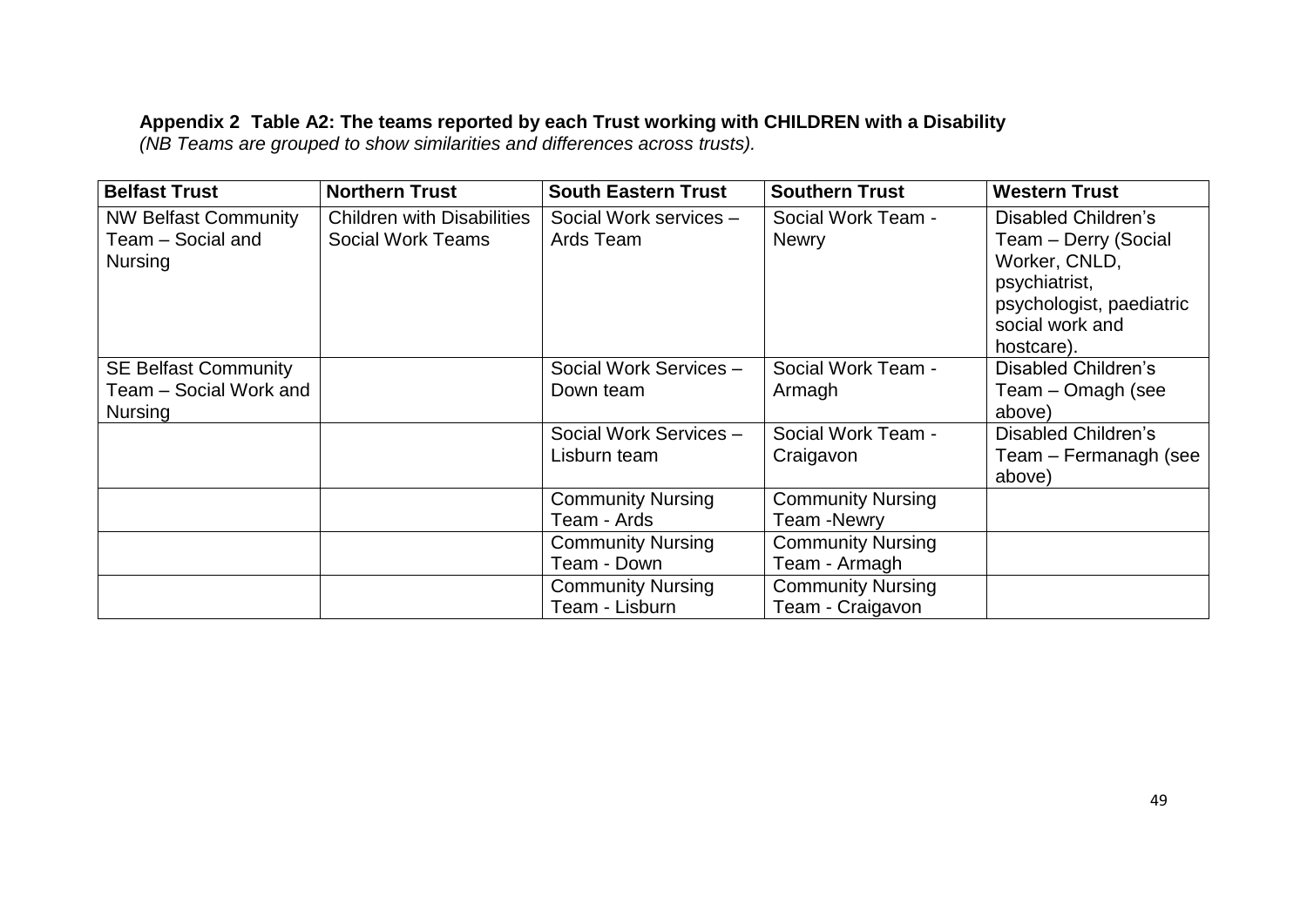#### **Appendix 2 Table A2: The teams reported by each Trust working with CHILDREN with a Disability**

*(NB Teams are grouped to show similarities and differences across trusts).*

| <b>Belfast Trust</b>                                                    | <b>Northern Trust</b>                                         | <b>South Eastern Trust</b>                 | <b>Southern Trust</b>                         | <b>Western Trust</b>                                                                                                                       |
|-------------------------------------------------------------------------|---------------------------------------------------------------|--------------------------------------------|-----------------------------------------------|--------------------------------------------------------------------------------------------------------------------------------------------|
| <b>NW Belfast Community</b><br>Team - Social and<br><b>Nursing</b>      | <b>Children with Disabilities</b><br><b>Social Work Teams</b> | Social Work services -<br>Ards Team        | Social Work Team -<br><b>Newry</b>            | Disabled Children's<br>Team - Derry (Social<br>Worker, CNLD,<br>psychiatrist,<br>psychologist, paediatric<br>social work and<br>hostcare). |
| <b>SE Belfast Community</b><br>Team - Social Work and<br><b>Nursing</b> |                                                               | Social Work Services -<br>Down team        | Social Work Team -<br>Armagh                  | Disabled Children's<br>Team - Omagh (see<br>above)                                                                                         |
|                                                                         |                                                               | Social Work Services -<br>Lisburn team     | Social Work Team -<br>Craigavon               | Disabled Children's<br>Team – Fermanagh (see<br>above)                                                                                     |
|                                                                         |                                                               | <b>Community Nursing</b><br>Team - Ards    | <b>Community Nursing</b><br><b>Team-Newry</b> |                                                                                                                                            |
|                                                                         |                                                               | <b>Community Nursing</b><br>Team - Down    | <b>Community Nursing</b><br>Team - Armagh     |                                                                                                                                            |
|                                                                         |                                                               | <b>Community Nursing</b><br>Team - Lisburn | <b>Community Nursing</b><br>Team - Craigavon  |                                                                                                                                            |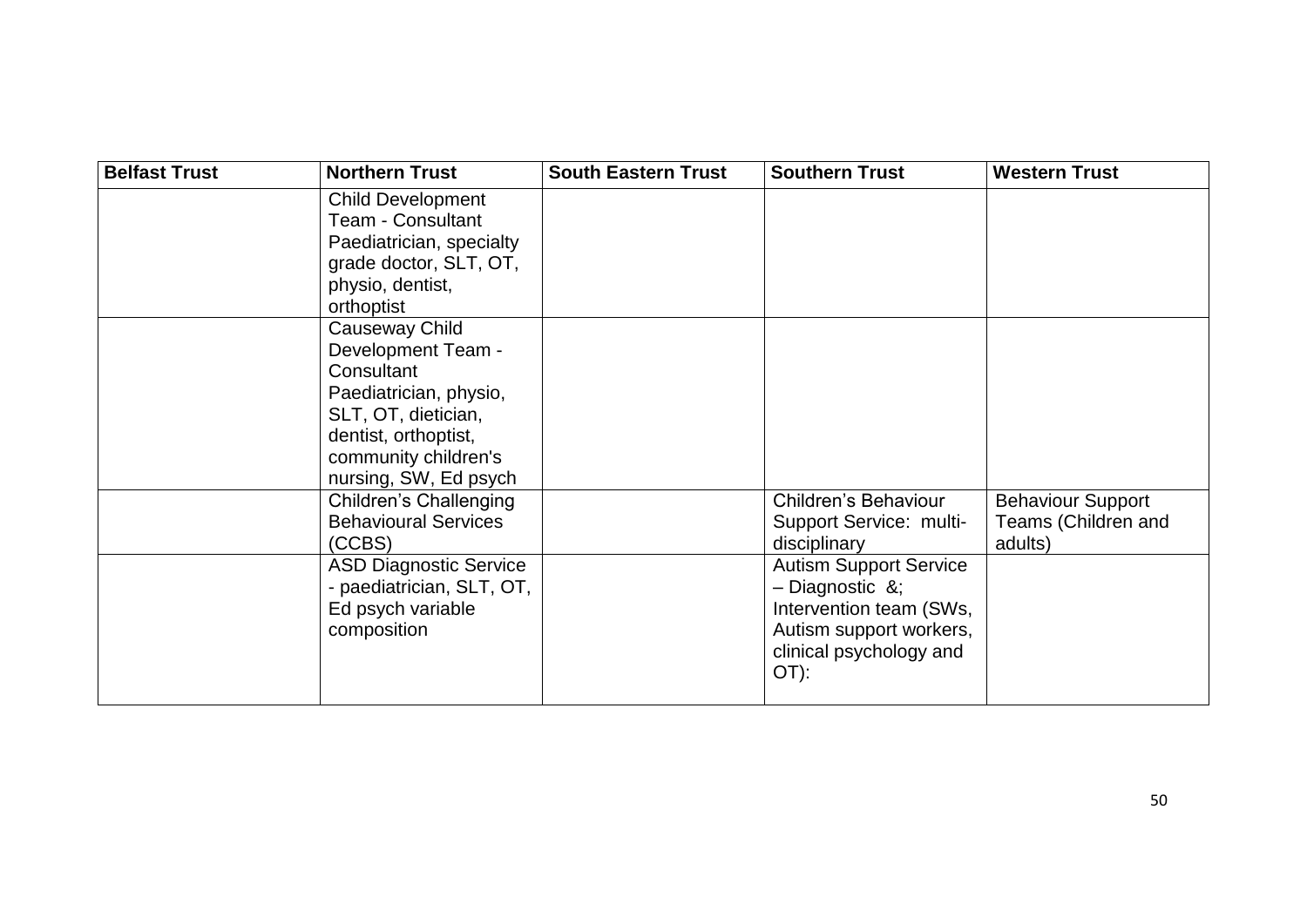| <b>Belfast Trust</b> | <b>Northern Trust</b>         | <b>South Eastern Trust</b> | <b>Southern Trust</b>         | <b>Western Trust</b>     |
|----------------------|-------------------------------|----------------------------|-------------------------------|--------------------------|
|                      | <b>Child Development</b>      |                            |                               |                          |
|                      | <b>Team - Consultant</b>      |                            |                               |                          |
|                      | Paediatrician, specialty      |                            |                               |                          |
|                      | grade doctor, SLT, OT,        |                            |                               |                          |
|                      | physio, dentist,              |                            |                               |                          |
|                      | orthoptist                    |                            |                               |                          |
|                      | Causeway Child                |                            |                               |                          |
|                      | Development Team -            |                            |                               |                          |
|                      | Consultant                    |                            |                               |                          |
|                      | Paediatrician, physio,        |                            |                               |                          |
|                      | SLT, OT, dietician,           |                            |                               |                          |
|                      | dentist, orthoptist,          |                            |                               |                          |
|                      | community children's          |                            |                               |                          |
|                      | nursing, SW, Ed psych         |                            |                               |                          |
|                      | Children's Challenging        |                            | Children's Behaviour          | <b>Behaviour Support</b> |
|                      | <b>Behavioural Services</b>   |                            | Support Service: multi-       | Teams (Children and      |
|                      | (CCBS)                        |                            | disciplinary                  | adults)                  |
|                      | <b>ASD Diagnostic Service</b> |                            | <b>Autism Support Service</b> |                          |
|                      | - paediatrician, SLT, OT,     |                            | $-$ Diagnostic &;             |                          |
|                      | Ed psych variable             |                            | Intervention team (SWs,       |                          |
|                      | composition                   |                            | Autism support workers,       |                          |
|                      |                               |                            | clinical psychology and       |                          |
|                      |                               |                            | OT):                          |                          |
|                      |                               |                            |                               |                          |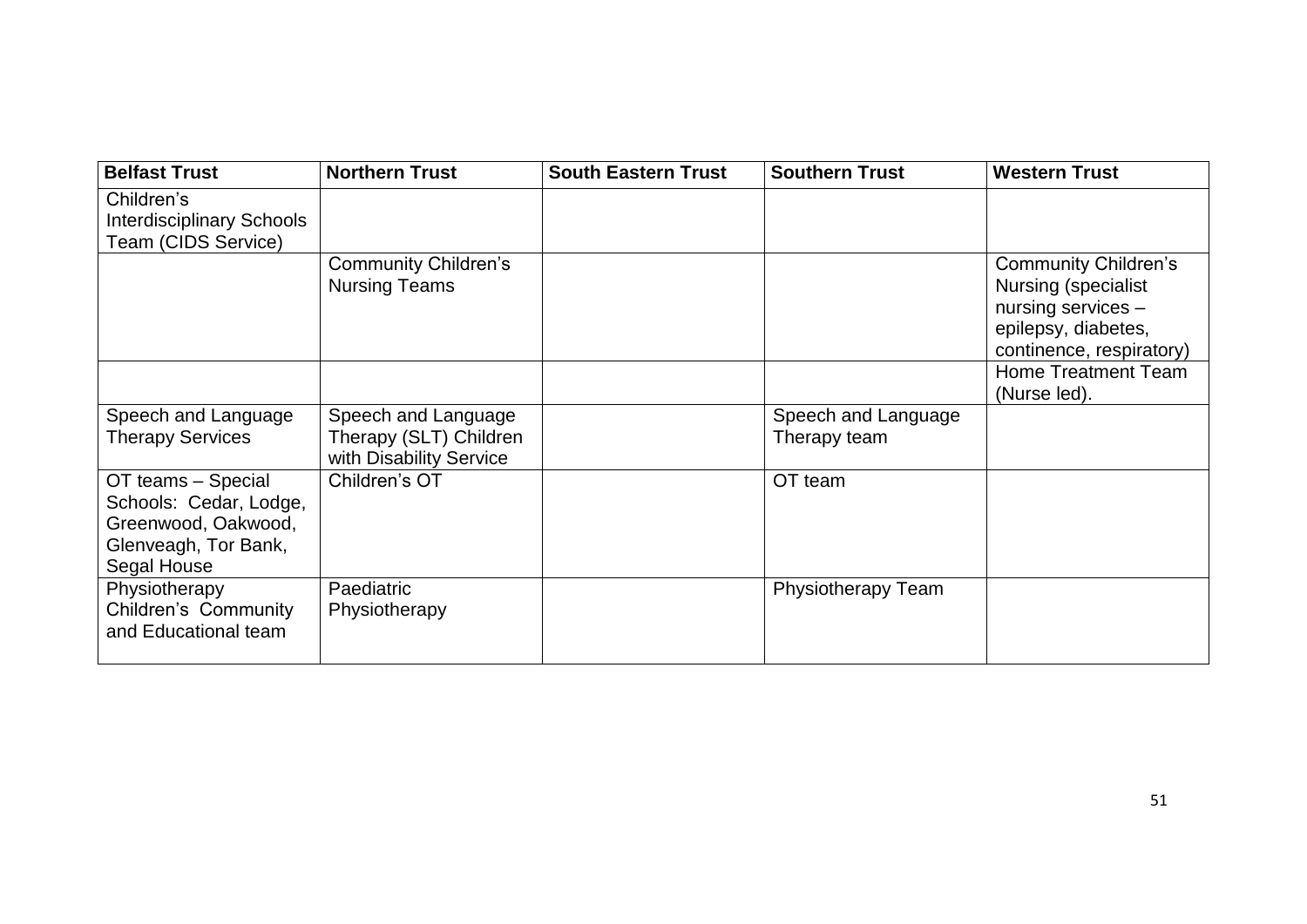| <b>Belfast Trust</b>                                                                                       | <b>Northern Trust</b>                                                    | <b>South Eastern Trust</b> | <b>Southern Trust</b>               | <b>Western Trust</b>                                                                                                               |
|------------------------------------------------------------------------------------------------------------|--------------------------------------------------------------------------|----------------------------|-------------------------------------|------------------------------------------------------------------------------------------------------------------------------------|
| Children's<br><b>Interdisciplinary Schools</b><br>Team (CIDS Service)                                      |                                                                          |                            |                                     |                                                                                                                                    |
|                                                                                                            | <b>Community Children's</b><br><b>Nursing Teams</b>                      |                            |                                     | <b>Community Children's</b><br><b>Nursing (specialist</b><br>nursing services -<br>epilepsy, diabetes,<br>continence, respiratory) |
|                                                                                                            |                                                                          |                            |                                     | <b>Home Treatment Team</b><br>(Nurse led).                                                                                         |
| Speech and Language<br><b>Therapy Services</b>                                                             | Speech and Language<br>Therapy (SLT) Children<br>with Disability Service |                            | Speech and Language<br>Therapy team |                                                                                                                                    |
| OT teams - Special<br>Schools: Cedar, Lodge,<br>Greenwood, Oakwood,<br>Glenveagh, Tor Bank,<br>Segal House | Children's OT                                                            |                            | OT team                             |                                                                                                                                    |
| Physiotherapy<br>Children's Community<br>and Educational team                                              | Paediatric<br>Physiotherapy                                              |                            | Physiotherapy Team                  |                                                                                                                                    |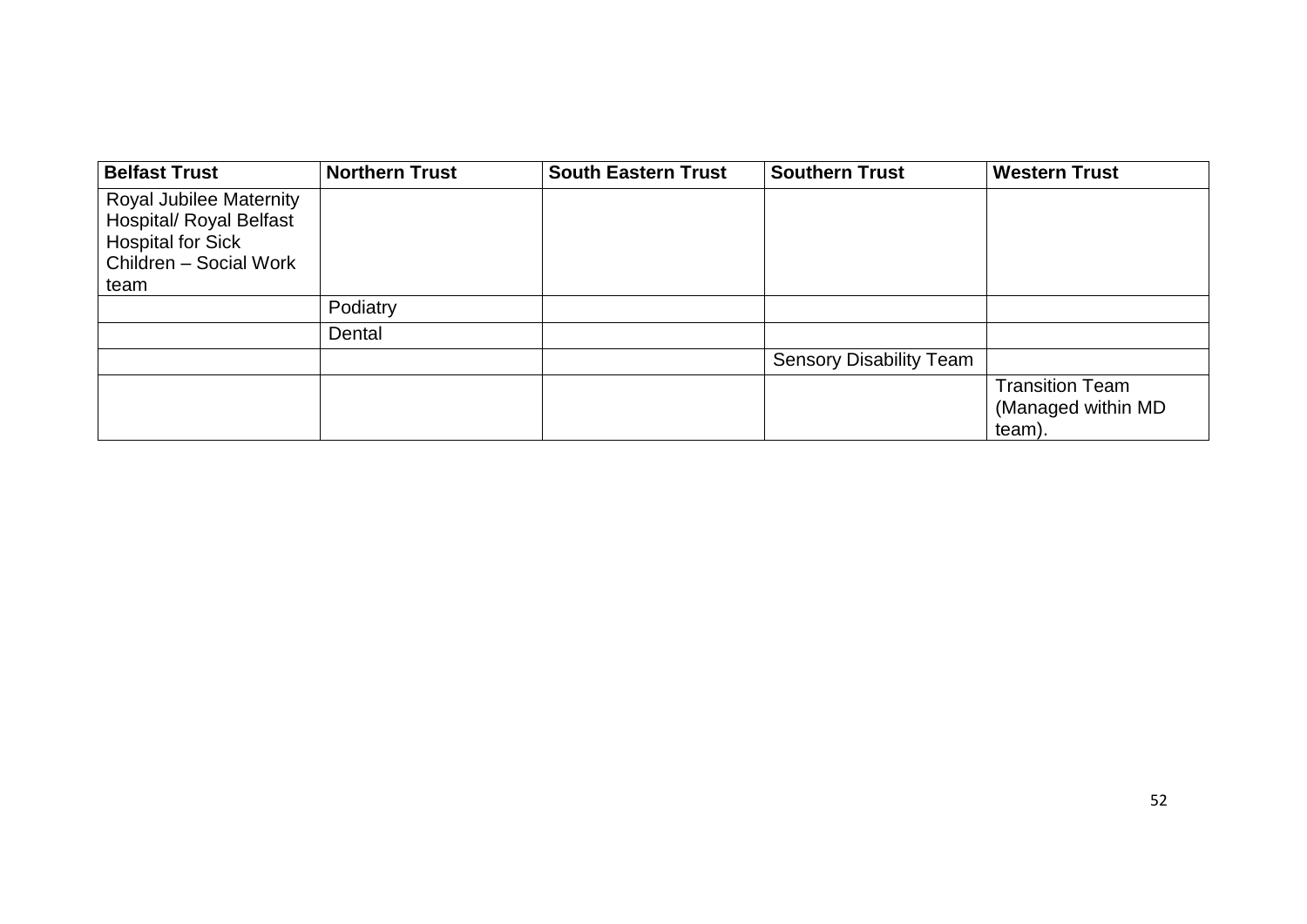| <b>Belfast Trust</b>           | <b>Northern Trust</b> | <b>South Eastern Trust</b> | <b>Southern Trust</b>          | <b>Western Trust</b>   |
|--------------------------------|-----------------------|----------------------------|--------------------------------|------------------------|
| <b>Royal Jubilee Maternity</b> |                       |                            |                                |                        |
| <b>Hospital/ Royal Belfast</b> |                       |                            |                                |                        |
| <b>Hospital for Sick</b>       |                       |                            |                                |                        |
| Children - Social Work         |                       |                            |                                |                        |
| team                           |                       |                            |                                |                        |
|                                | Podiatry              |                            |                                |                        |
|                                | Dental                |                            |                                |                        |
|                                |                       |                            | <b>Sensory Disability Team</b> |                        |
|                                |                       |                            |                                | <b>Transition Team</b> |
|                                |                       |                            |                                | (Managed within MD)    |
|                                |                       |                            |                                | team).                 |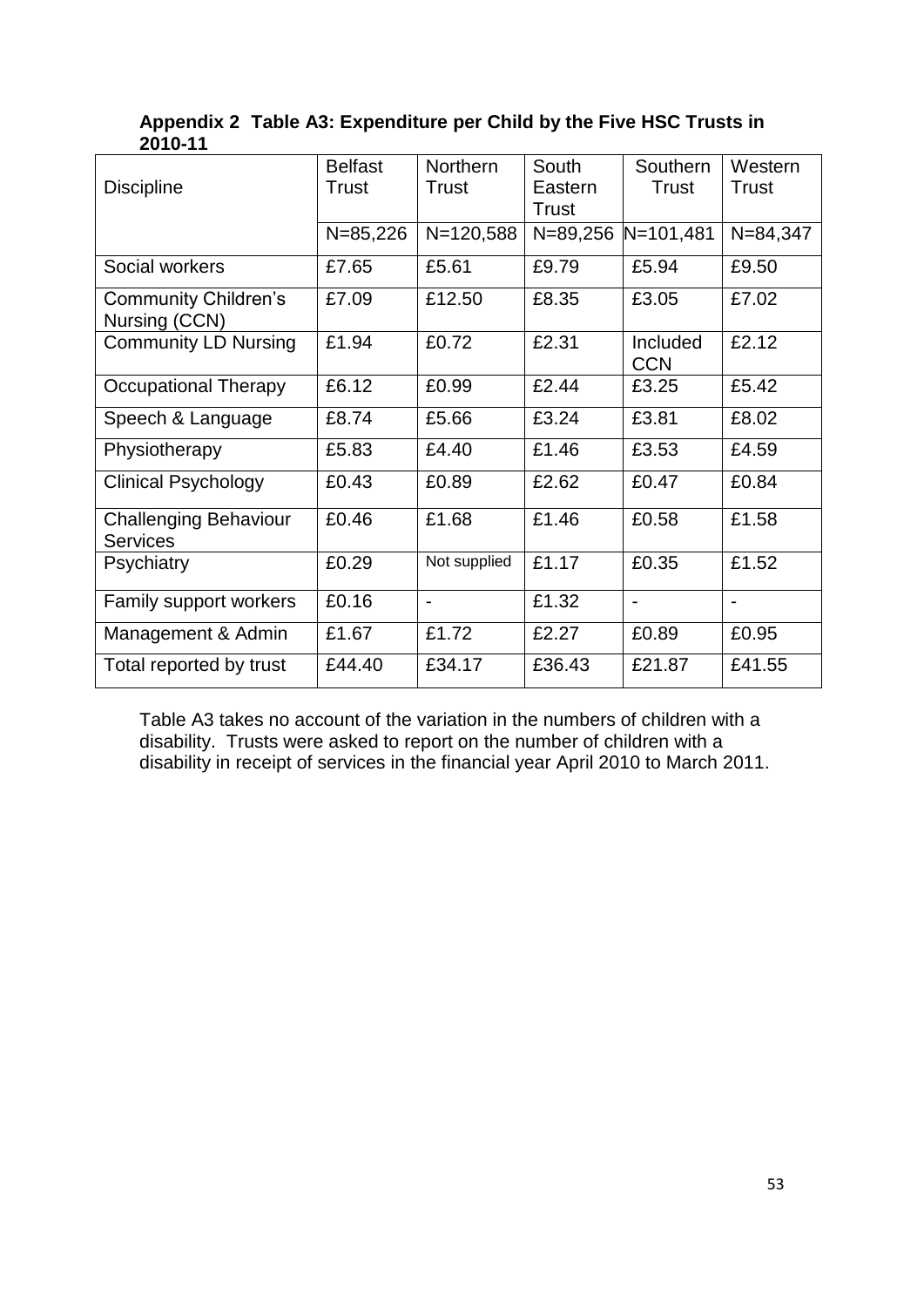| LV I V I I                                      |                |                 |              |                          |                |
|-------------------------------------------------|----------------|-----------------|--------------|--------------------------|----------------|
|                                                 | <b>Belfast</b> | <b>Northern</b> | South        | Southern                 | Western        |
| <b>Discipline</b>                               | <b>Trust</b>   | <b>Trust</b>    | Eastern      | <b>Trust</b>             | <b>Trust</b>   |
|                                                 |                |                 | <b>Trust</b> |                          |                |
|                                                 | $N = 85,226$   | $N = 120,588$   | $N = 89,256$ | $N = 101,481$            | $N = 84, 347$  |
| Social workers                                  | £7.65          | £5.61           | £9.79        | £5.94                    | £9.50          |
| <b>Community Children's</b><br>Nursing (CCN)    | £7.09          | £12.50          | £8.35        | £3.05                    | £7.02          |
| <b>Community LD Nursing</b>                     | £1.94          | £0.72           | £2.31        | Included<br><b>CCN</b>   | £2.12          |
| <b>Occupational Therapy</b>                     | £6.12          | £0.99           | £2.44        | £3.25                    | £5.42          |
| Speech & Language                               | £8.74          | £5.66           | £3.24        | £3.81                    | £8.02          |
| Physiotherapy                                   | £5.83          | £4.40           | £1.46        | £3.53                    | £4.59          |
| <b>Clinical Psychology</b>                      | £0.43          | £0.89           | £2.62        | £0.47                    | £0.84          |
| <b>Challenging Behaviour</b><br><b>Services</b> | £0.46          | £1.68           | £1.46        | £0.58                    | £1.58          |
| Psychiatry                                      | £0.29          | Not supplied    | £1.17        | £0.35                    | £1.52          |
| Family support workers                          | £0.16          | $\blacksquare$  | £1.32        | $\overline{\phantom{a}}$ | $\blacksquare$ |
| Management & Admin                              | £1.67          | £1.72           | £2.27        | £0.89                    | £0.95          |
| Total reported by trust                         | £44.40         | £34.17          | £36.43       | £21.87                   | £41.55         |

**Appendix 2 Table A3: Expenditure per Child by the Five HSC Trusts in 2010-11** 

Table A3 takes no account of the variation in the numbers of children with a disability. Trusts were asked to report on the number of children with a disability in receipt of services in the financial year April 2010 to March 2011.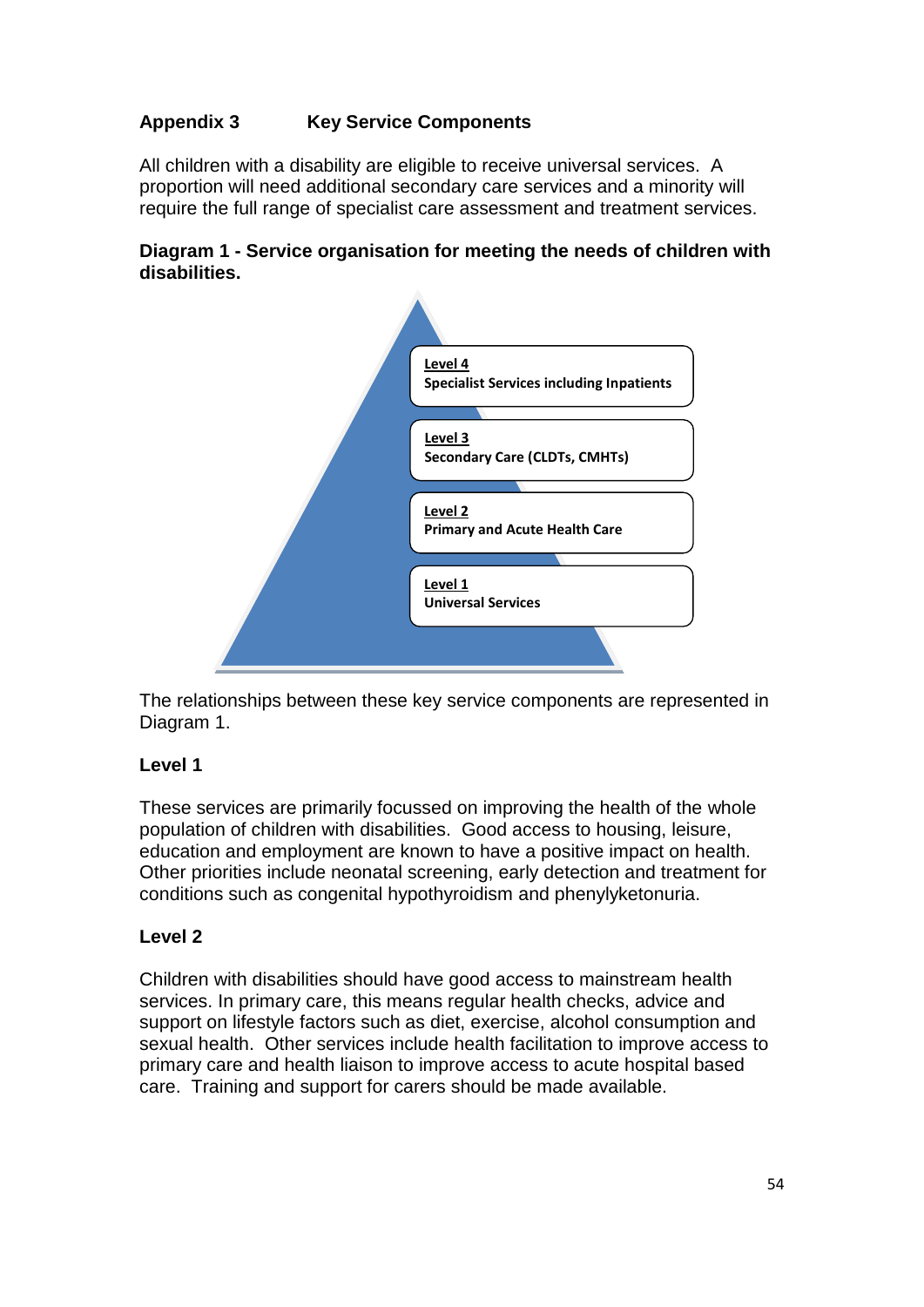# **Appendix 3 Key Service Components**

All children with a disability are eligible to receive universal services. A proportion will need additional secondary care services and a minority will require the full range of specialist care assessment and treatment services.

#### **Diagram 1 - Service organisation for meeting the needs of children with disabilities.**



The relationships between these key service components are represented in Diagram 1.

# **Level 1**

These services are primarily focussed on improving the health of the whole population of children with disabilities. Good access to housing, leisure, education and employment are known to have a positive impact on health. Other priorities include neonatal screening, early detection and treatment for conditions such as congenital hypothyroidism and phenylyketonuria.

#### **Level 2**

Children with disabilities should have good access to mainstream health services. In primary care, this means regular health checks, advice and support on lifestyle factors such as diet, exercise, alcohol consumption and sexual health. Other services include health facilitation to improve access to primary care and health liaison to improve access to acute hospital based care. Training and support for carers should be made available.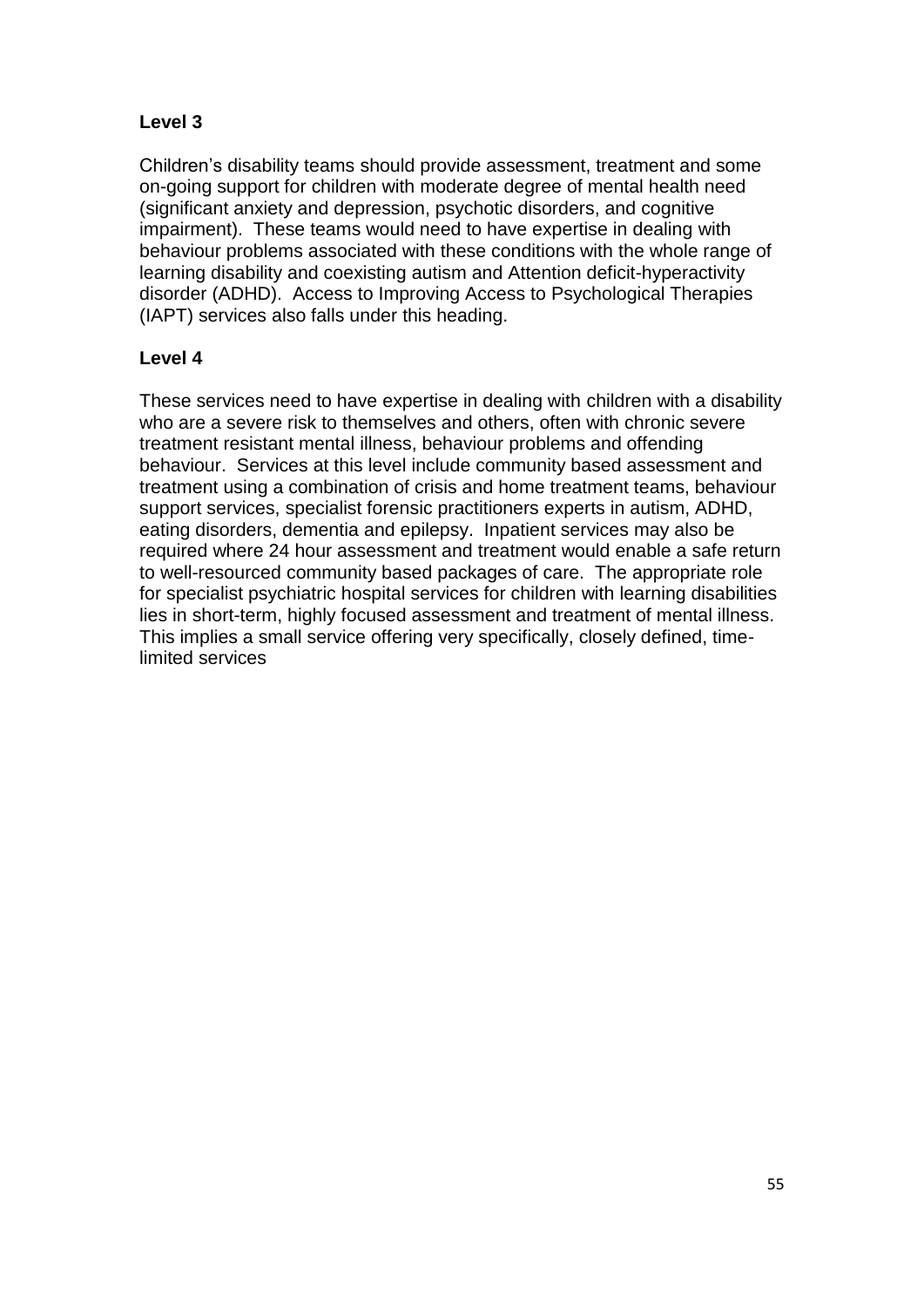# **Level 3**

Children"s disability teams should provide assessment, treatment and some on-going support for children with moderate degree of mental health need (significant anxiety and depression, psychotic disorders, and cognitive impairment). These teams would need to have expertise in dealing with behaviour problems associated with these conditions with the whole range of learning disability and coexisting autism and Attention deficit-hyperactivity disorder (ADHD). Access to Improving Access to Psychological Therapies (IAPT) services also falls under this heading.

# **Level 4**

These services need to have expertise in dealing with children with a disability who are a severe risk to themselves and others, often with chronic severe treatment resistant mental illness, behaviour problems and offending behaviour. Services at this level include community based assessment and treatment using a combination of crisis and home treatment teams, behaviour support services, specialist forensic practitioners experts in autism, ADHD, eating disorders, dementia and epilepsy. Inpatient services may also be required where 24 hour assessment and treatment would enable a safe return to well-resourced community based packages of care. The appropriate role for specialist psychiatric hospital services for children with learning disabilities lies in short-term, highly focused assessment and treatment of mental illness. This implies a small service offering very specifically, closely defined, timelimited services